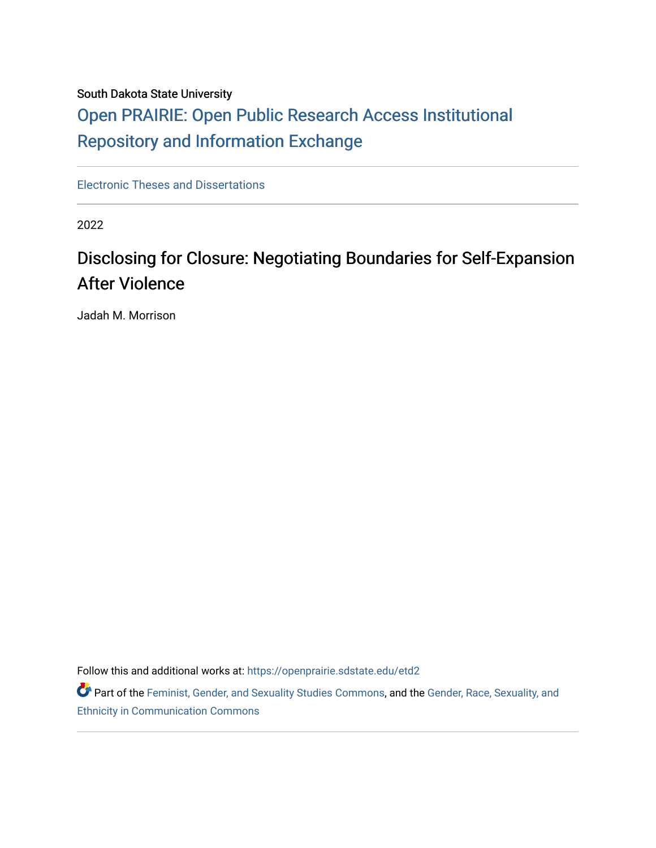### South Dakota State University

# [Open PRAIRIE: Open Public Research Access Institutional](https://openprairie.sdstate.edu/)  [Repository and Information Exchange](https://openprairie.sdstate.edu/)

[Electronic Theses and Dissertations](https://openprairie.sdstate.edu/etd2)

2022

# Disclosing for Closure: Negotiating Boundaries for Self-Expansion After Violence

Jadah M. Morrison

Follow this and additional works at: [https://openprairie.sdstate.edu/etd2](https://openprairie.sdstate.edu/etd2?utm_source=openprairie.sdstate.edu%2Fetd2%2F401&utm_medium=PDF&utm_campaign=PDFCoverPages) 

Part of the [Feminist, Gender, and Sexuality Studies Commons](https://network.bepress.com/hgg/discipline/559?utm_source=openprairie.sdstate.edu%2Fetd2%2F401&utm_medium=PDF&utm_campaign=PDFCoverPages), and the Gender, Race, Sexuality, and [Ethnicity in Communication Commons](https://network.bepress.com/hgg/discipline/329?utm_source=openprairie.sdstate.edu%2Fetd2%2F401&utm_medium=PDF&utm_campaign=PDFCoverPages)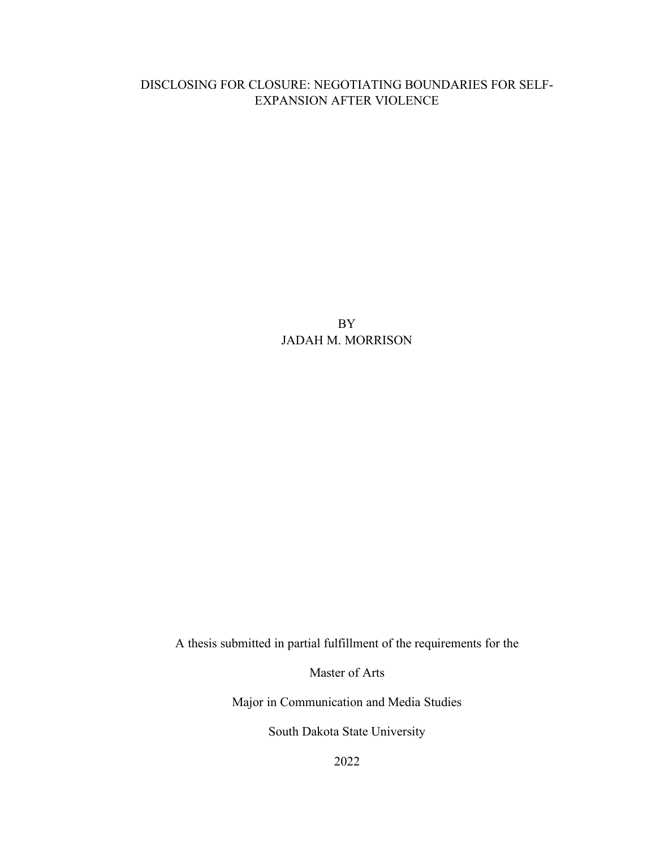### DISCLOSING FOR CLOSURE: NEGOTIATING BOUNDARIES FOR SELF-EXPANSION AFTER VIOLENCE

BY JADAH M. MORRISON

A thesis submitted in partial fulfillment of the requirements for the

Master of Arts

Major in Communication and Media Studies

South Dakota State University

2022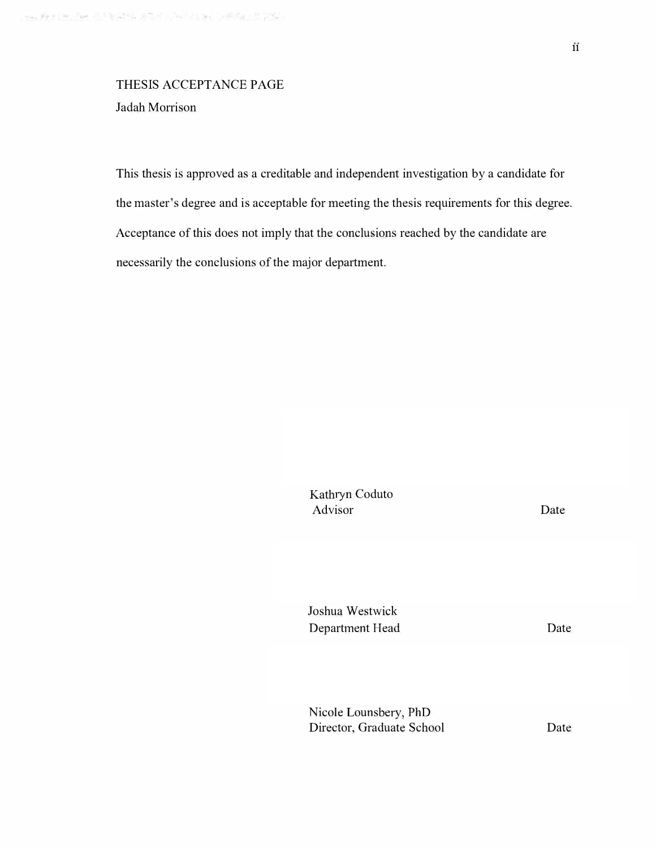# THESIS ACCEPTANCE PAGE

Jadah Morrison

This thesis is approved as a creditable and independent investigation by a candidate for the master's degree and is acceptable for meeting the thesis requirements for this degree. Acceptance of this does not imply that the conclusions reached by the candidate are necessarily the conclusions of the major department.

> Kathryn Coduto Advisor

Date

Joshua Westwick Department Head

Date

Nicole Lounsbery, PhD Director, Graduate School

Date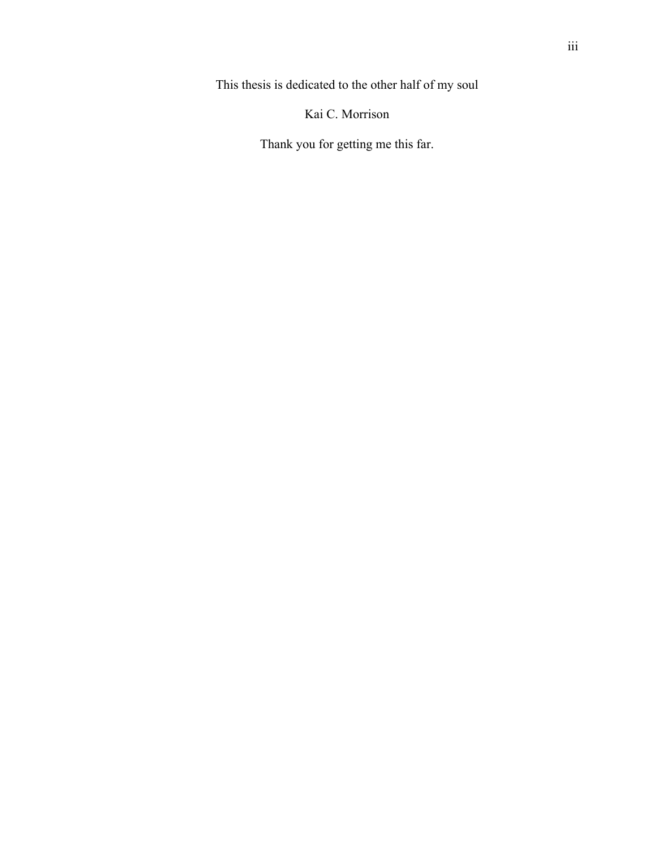This thesis is dedicated to the other half of my soul

Kai C. Morrison

Thank you for getting me this far.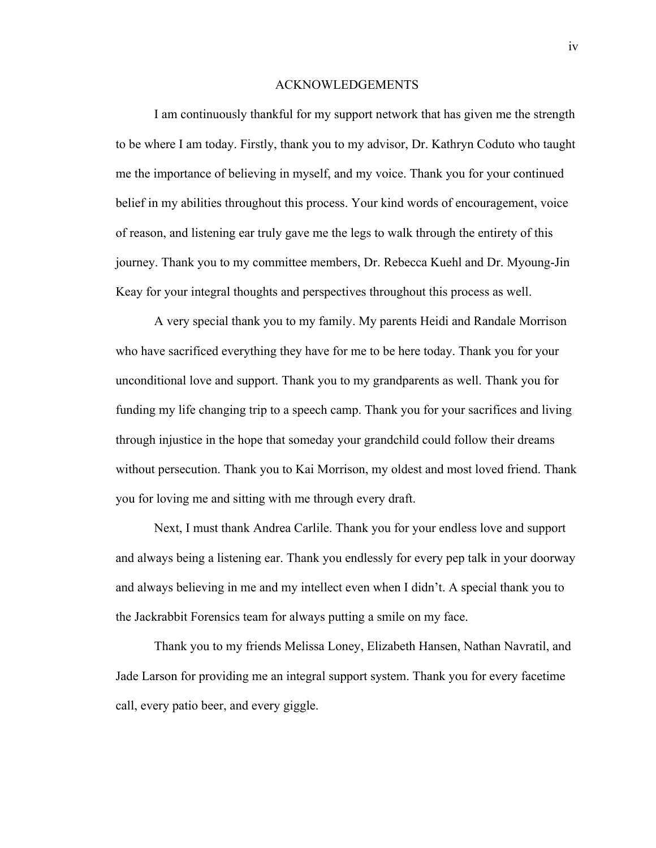#### ACKNOWLEDGEMENTS

I am continuously thankful for my support network that has given me the strength to be where I am today. Firstly, thank you to my advisor, Dr. Kathryn Coduto who taught me the importance of believing in myself, and my voice. Thank you for your continued belief in my abilities throughout this process. Your kind words of encouragement, voice of reason, and listening ear truly gave me the legs to walk through the entirety of this journey. Thank you to my committee members, Dr. Rebecca Kuehl and Dr. Myoung-Jin Keay for your integral thoughts and perspectives throughout this process as well.

A very special thank you to my family. My parents Heidi and Randale Morrison who have sacrificed everything they have for me to be here today. Thank you for your unconditional love and support. Thank you to my grandparents as well. Thank you for funding my life changing trip to a speech camp. Thank you for your sacrifices and living through injustice in the hope that someday your grandchild could follow their dreams without persecution. Thank you to Kai Morrison, my oldest and most loved friend. Thank you for loving me and sitting with me through every draft.

Next, I must thank Andrea Carlile. Thank you for your endless love and support and always being a listening ear. Thank you endlessly for every pep talk in your doorway and always believing in me and my intellect even when I didn't. A special thank you to the Jackrabbit Forensics team for always putting a smile on my face.

Thank you to my friends Melissa Loney, Elizabeth Hansen, Nathan Navratil, and Jade Larson for providing me an integral support system. Thank you for every facetime call, every patio beer, and every giggle.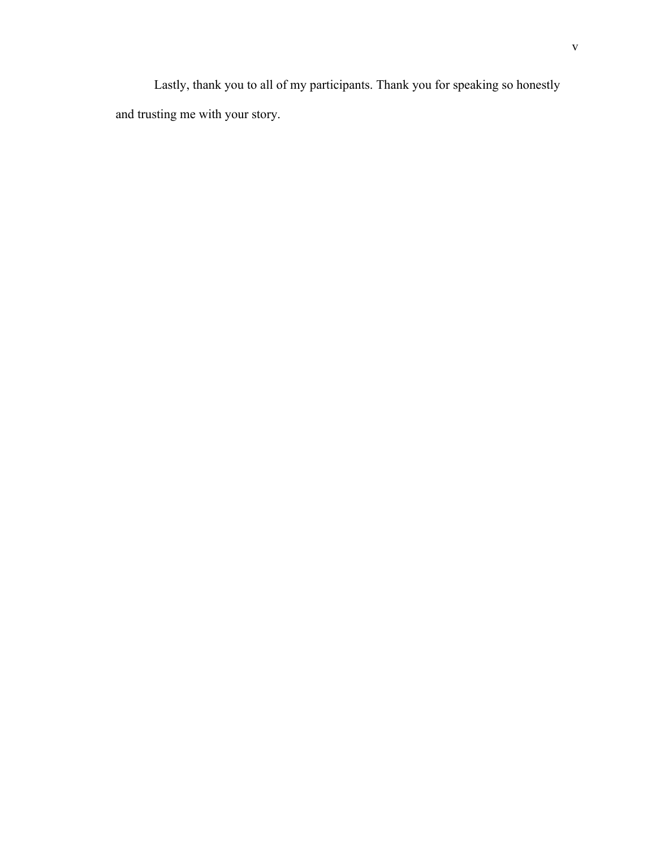Lastly, thank you to all of my participants. Thank you for speaking so honestly and trusting me with your story.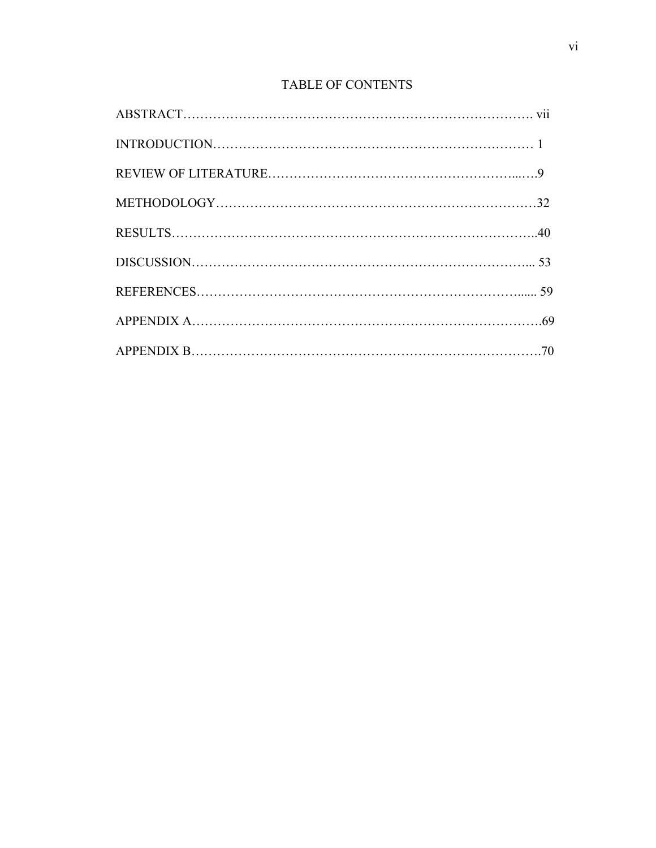## TABLE OF CONTENTS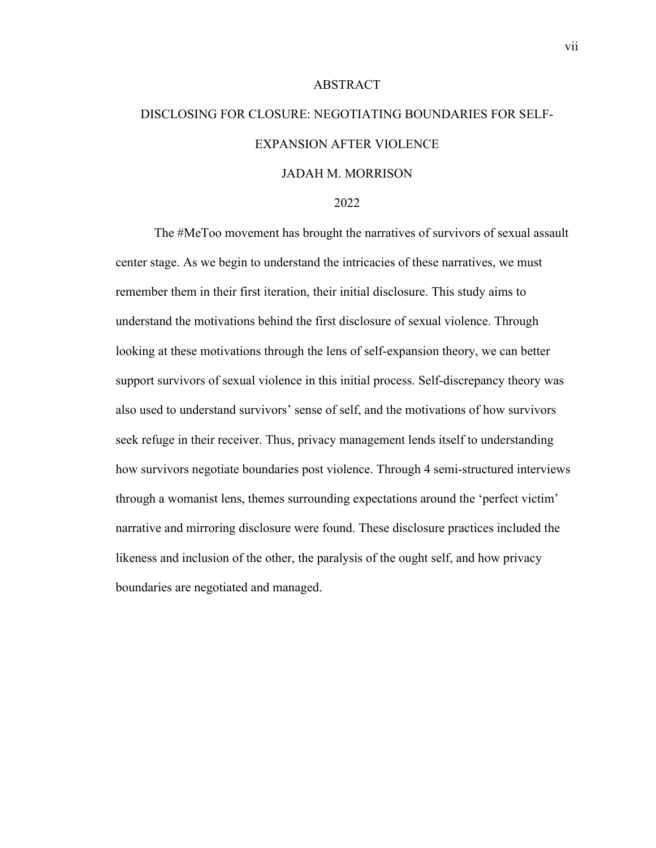# DISCLOSING FOR CLOSURE: NEGOTIATING BOUNDARIES FOR SELF-EXPANSION AFTER VIOLENCE JADAH M. MORRISON

ABSTRACT

#### 2022

The #MeToo movement has brought the narratives of survivors of sexual assault center stage. As we begin to understand the intricacies of these narratives, we must remember them in their first iteration, their initial disclosure. This study aims to understand the motivations behind the first disclosure of sexual violence. Through looking at these motivations through the lens of self-expansion theory, we can better support survivors of sexual violence in this initial process. Self-discrepancy theory was also used to understand survivors' sense of self, and the motivations of how survivors seek refuge in their receiver. Thus, privacy management lends itself to understanding how survivors negotiate boundaries post violence. Through 4 semi-structured interviews through a womanist lens, themes surrounding expectations around the 'perfect victim' narrative and mirroring disclosure were found. These disclosure practices included the likeness and inclusion of the other, the paralysis of the ought self, and how privacy boundaries are negotiated and managed.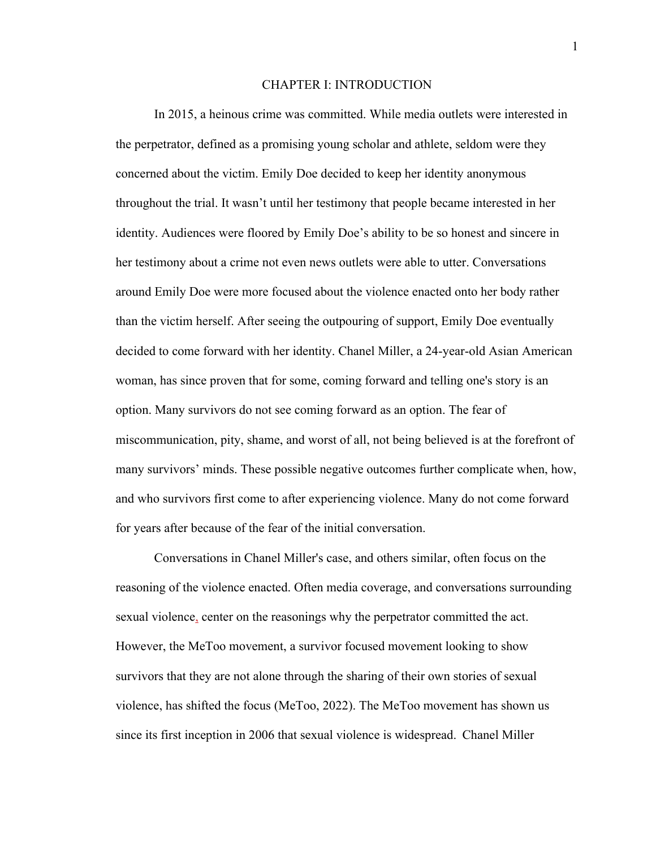#### CHAPTER I: INTRODUCTION

In 2015, a heinous crime was committed. While media outlets were interested in the perpetrator, defined as a promising young scholar and athlete, seldom were they concerned about the victim. Emily Doe decided to keep her identity anonymous throughout the trial. It wasn't until her testimony that people became interested in her identity. Audiences were floored by Emily Doe's ability to be so honest and sincere in her testimony about a crime not even news outlets were able to utter. Conversations around Emily Doe were more focused about the violence enacted onto her body rather than the victim herself. After seeing the outpouring of support, Emily Doe eventually decided to come forward with her identity. Chanel Miller, a 24-year-old Asian American woman, has since proven that for some, coming forward and telling one's story is an option. Many survivors do not see coming forward as an option. The fear of miscommunication, pity, shame, and worst of all, not being believed is at the forefront of many survivors' minds. These possible negative outcomes further complicate when, how, and who survivors first come to after experiencing violence. Many do not come forward for years after because of the fear of the initial conversation. 

Conversations in Chanel Miller's case, and others similar, often focus on the reasoning of the violence enacted. Often media coverage, and conversations surrounding sexual violence, center on the reasonings why the perpetrator committed the act. However, the MeToo movement, a survivor focused movement looking to show survivors that they are not alone through the sharing of their own stories of sexual violence, has shifted the focus (MeToo, 2022). The MeToo movement has shown us since its first inception in 2006 that sexual violence is widespread.  Chanel Miller

1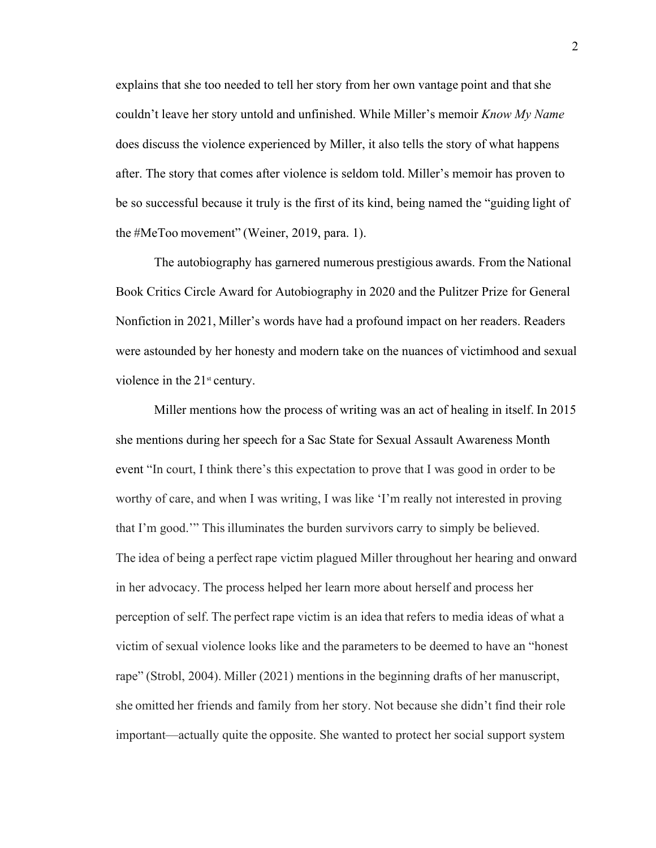explains that she too needed to tell her story from her own vantage point and that she couldn't leave her story untold and unfinished. While Miller's memoir *Know My Name*  does discuss the violence experienced by Miller, it also tells the story of what happens after. The story that comes after violence is seldom told. Miller's memoir has proven to be so successful because it truly is the first of its kind, being named the "guiding light of the #MeToo movement" (Weiner, 2019, para. 1).   

The autobiography has garnered numerous prestigious awards. From the National Book Critics Circle Award for Autobiography in 2020 and the Pulitzer Prize for General Nonfiction in 2021, Miller's words have had a profound impact on her readers. Readers were astounded by her honesty and modern take on the nuances of victimhood and sexual violence in the  $21<sup>st</sup>$  century.

Miller mentions how the process of writing was an act of healing in itself. In 2015 she mentions during her speech for a Sac State for Sexual Assault Awareness Month event "In court, I think there's this expectation to prove that I was good in order to be worthy of care, and when I was writing, I was like 'I'm really not interested in proving that I'm good.'" This illuminates the burden survivors carry to simply be believed. The idea of being a perfect rape victim plagued Miller throughout her hearing and onward in her advocacy. The process helped her learn more about herself and process her perception of self. The perfect rape victim is an idea that refers to media ideas of what a victim of sexual violence looks like and the parameters to be deemed to have an "honest rape" (Strobl, 2004). Miller (2021) mentions in the beginning drafts of her manuscript, she omitted her friends and family from her story. Not because she didn't find their role important—actually quite the opposite. She wanted to protect her social support system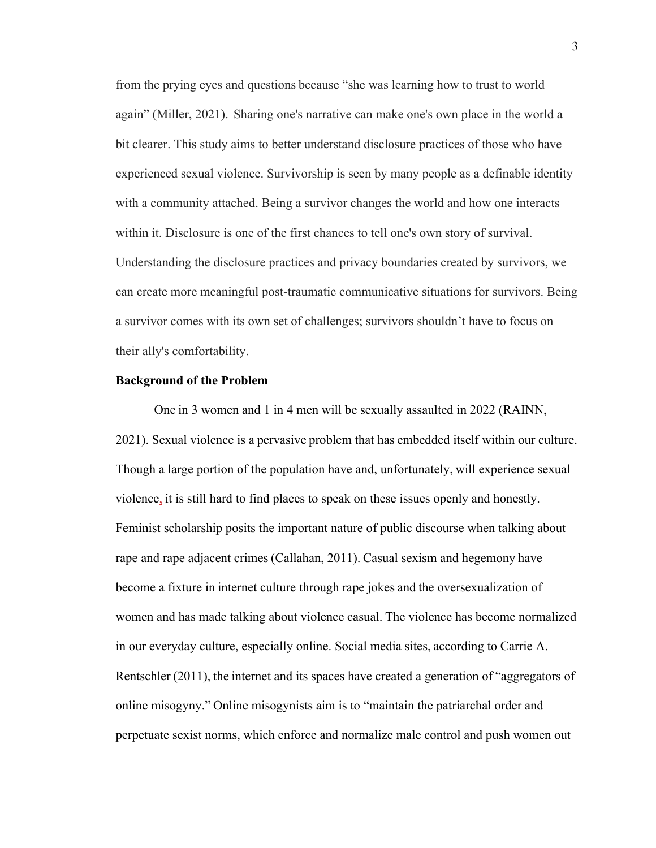from the prying eyes and questions because "she was learning how to trust to world again" (Miller, 2021).  Sharing one's narrative can make one's own place in the world a bit clearer. This study aims to better understand disclosure practices of those who have experienced sexual violence. Survivorship is seen by many people as a definable identity with a community attached. Being a survivor changes the world and how one interacts within it. Disclosure is one of the first chances to tell one's own story of survival. Understanding the disclosure practices and privacy boundaries created by survivors, we can create more meaningful post-traumatic communicative situations for survivors. Being a survivor comes with its own set of challenges; survivors shouldn't have to focus on their ally's comfortability. 

#### **Background of the Problem**

One in 3 women and 1 in 4 men will be sexually assaulted in 2022 (RAINN, 2021). Sexual violence is a pervasive problem that has embedded itself within our culture. Though a large portion of the population have and, unfortunately, will experience sexual violence, it is still hard to find places to speak on these issues openly and honestly. Feminist scholarship posits the important nature of public discourse when talking about rape and rape adjacent crimes (Callahan, 2011). Casual sexism and hegemony have become a fixture in internet culture through rape jokes and the oversexualization of women and has made talking about violence casual. The violence has become normalized in our everyday culture, especially online. Social media sites, according to Carrie A. Rentschler (2011), the internet and its spaces have created a generation of "aggregators of online misogyny." Online misogynists aim is to "maintain the patriarchal order and perpetuate sexist norms, which enforce and normalize male control and push women out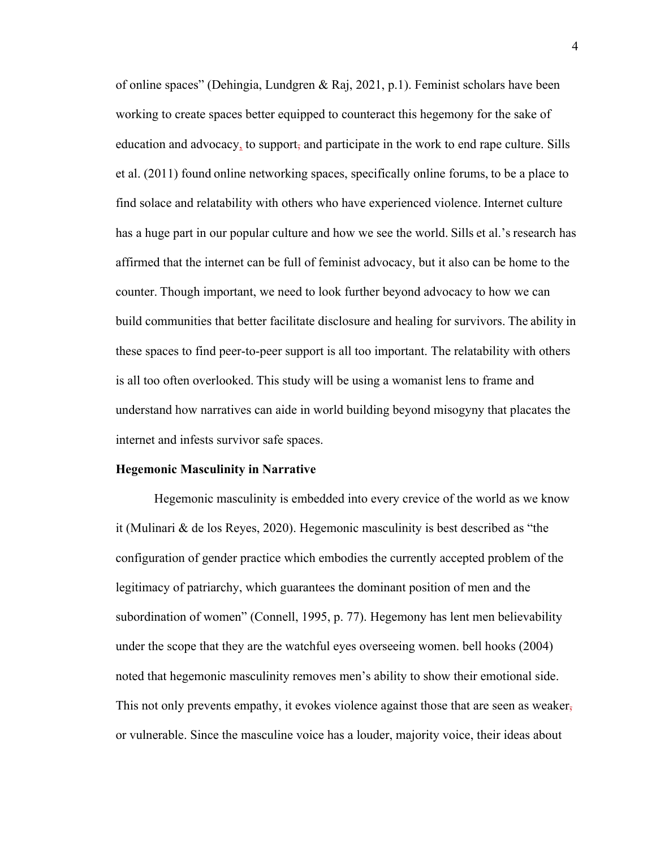of online spaces" (Dehingia, Lundgren & Raj, 2021, p.1). Feminist scholars have been working to create spaces better equipped to counteract this hegemony for the sake of education and advocacy, to support, and participate in the work to end rape culture. Sills et al. (2011) found online networking spaces, specifically online forums, to be a place to find solace and relatability with others who have experienced violence. Internet culture has a huge part in our popular culture and how we see the world. Sills et al.'s research has affirmed that the internet can be full of feminist advocacy, but it also can be home to the counter. Though important, we need to look further beyond advocacy to how we can build communities that better facilitate disclosure and healing for survivors. The ability in these spaces to find peer-to-peer support is all too important. The relatability with others is all too often overlooked. This study will be using a womanist lens to frame and understand how narratives can aide in world building beyond misogyny that placates the internet and infests survivor safe spaces.  

#### **Hegemonic Masculinity in Narrative**

Hegemonic masculinity is embedded into every crevice of the world as we know it (Mulinari & de los Reyes, 2020). Hegemonic masculinity is best described as "the configuration of gender practice which embodies the currently accepted problem of the legitimacy of patriarchy, which guarantees the dominant position of men and the subordination of women" (Connell, 1995, p. 77). Hegemony has lent men believability under the scope that they are the watchful eyes overseeing women. bell hooks (2004) noted that hegemonic masculinity removes men's ability to show their emotional side. This not only prevents empathy, it evokes violence against those that are seen as weaker, or vulnerable. Since the masculine voice has a louder, majority voice, their ideas about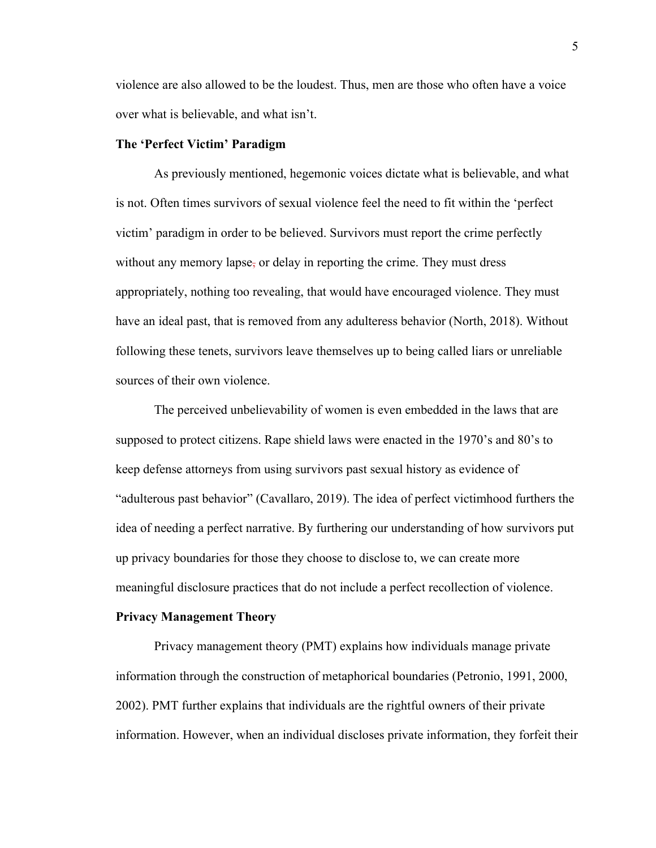violence are also allowed to be the loudest. Thus, men are those who often have a voice over what is believable, and what isn't. 

#### **The 'Perfect Victim' Paradigm**

As previously mentioned, hegemonic voices dictate what is believable, and what is not. Often times survivors of sexual violence feel the need to fit within the 'perfect victim' paradigm in order to be believed. Survivors must report the crime perfectly without any memory lapse, or delay in reporting the crime. They must dress appropriately, nothing too revealing, that would have encouraged violence. They must have an ideal past, that is removed from any adulteress behavior (North, 2018). Without following these tenets, survivors leave themselves up to being called liars or unreliable sources of their own violence.  

The perceived unbelievability of women is even embedded in the laws that are supposed to protect citizens. Rape shield laws were enacted in the 1970's and 80's to keep defense attorneys from using survivors past sexual history as evidence of "adulterous past behavior" (Cavallaro, 2019). The idea of perfect victimhood furthers the idea of needing a perfect narrative. By furthering our understanding of how survivors put up privacy boundaries for those they choose to disclose to, we can create more meaningful disclosure practices that do not include a perfect recollection of violence.  

#### **Privacy Management Theory**

Privacy management theory (PMT) explains how individuals manage private information through the construction of metaphorical boundaries (Petronio, 1991, 2000, 2002). PMT further explains that individuals are the rightful owners of their private information. However, when an individual discloses private information, they forfeit their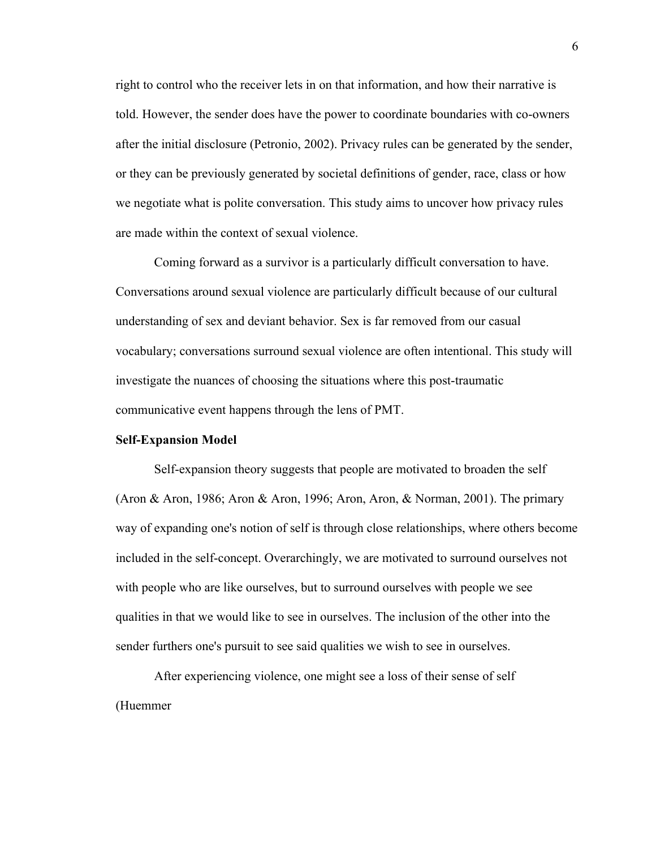right to control who the receiver lets in on that information, and how their narrative is told. However, the sender does have the power to coordinate boundaries with co-owners after the initial disclosure (Petronio, 2002). Privacy rules can be generated by the sender, or they can be previously generated by societal definitions of gender, race, class or how we negotiate what is polite conversation. This study aims to uncover how privacy rules are made within the context of sexual violence.  

Coming forward as a survivor is a particularly difficult conversation to have. Conversations around sexual violence are particularly difficult because of our cultural understanding of sex and deviant behavior. Sex is far removed from our casual vocabulary; conversations surround sexual violence are often intentional. This study will investigate the nuances of choosing the situations where this post-traumatic communicative event happens through the lens of PMT. 

#### **Self-Expansion Model**

Self-expansion theory suggests that people are motivated to broaden the self (Aron & Aron, 1986; Aron & Aron, 1996; Aron, Aron, & Norman, 2001). The primary way of expanding one's notion of self is through close relationships, where others become included in the self-concept. Overarchingly, we are motivated to surround ourselves not with people who are like ourselves, but to surround ourselves with people we see qualities in that we would like to see in ourselves. The inclusion of the other into the sender furthers one's pursuit to see said qualities we wish to see in ourselves. 

After experiencing violence, one might see a loss of their sense of self (Huemmer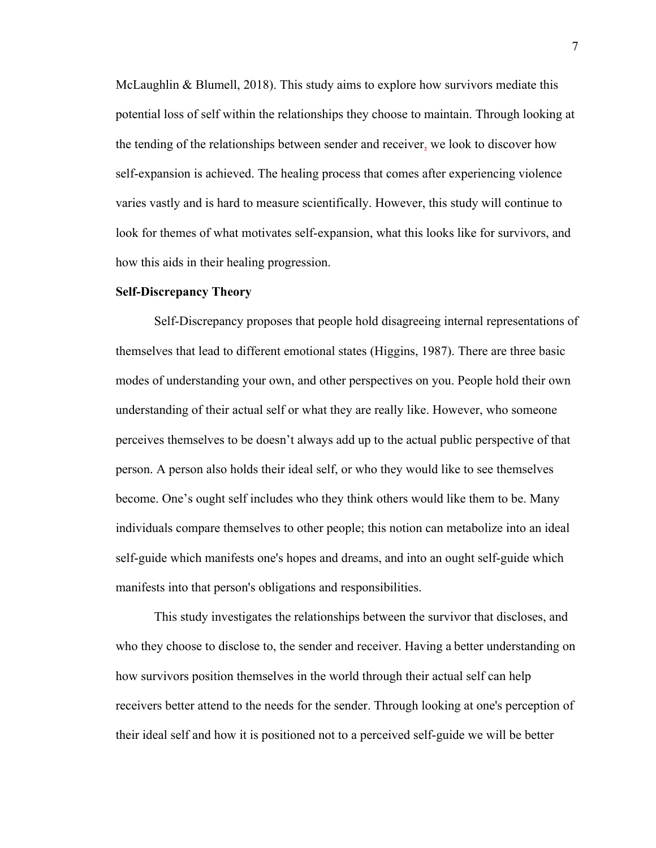McLaughlin & Blumell, 2018). This study aims to explore how survivors mediate this potential loss of self within the relationships they choose to maintain. Through looking at the tending of the relationships between sender and receiver, we look to discover how self-expansion is achieved. The healing process that comes after experiencing violence varies vastly and is hard to measure scientifically. However, this study will continue to look for themes of what motivates self-expansion, what this looks like for survivors, and how this aids in their healing progression. 

#### **Self-Discrepancy Theory**

Self-Discrepancy proposes that people hold disagreeing internal representations of themselves that lead to different emotional states (Higgins, 1987). There are three basic modes of understanding your own, and other perspectives on you. People hold their own understanding of their actual self or what they are really like. However, who someone perceives themselves to be doesn't always add up to the actual public perspective of that person. A person also holds their ideal self, or who they would like to see themselves become. One's ought self includes who they think others would like them to be. Many individuals compare themselves to other people; this notion can metabolize into an ideal self-guide which manifests one's hopes and dreams, and into an ought self-guide which manifests into that person's obligations and responsibilities. 

This study investigates the relationships between the survivor that discloses, and who they choose to disclose to, the sender and receiver. Having a better understanding on how survivors position themselves in the world through their actual self can help receivers better attend to the needs for the sender. Through looking at one's perception of their ideal self and how it is positioned not to a perceived self-guide we will be better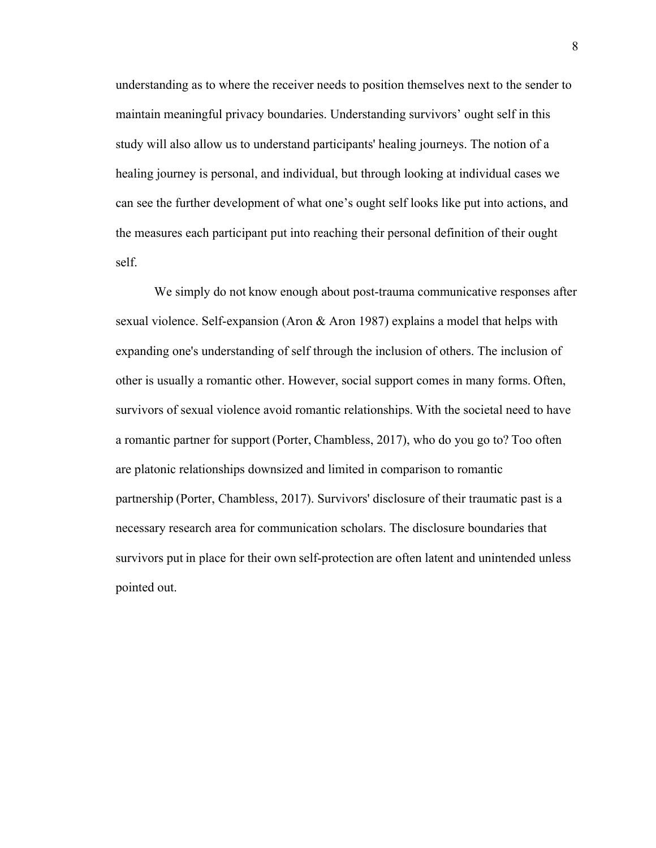understanding as to where the receiver needs to position themselves next to the sender to maintain meaningful privacy boundaries. Understanding survivors' ought self in this study will also allow us to understand participants' healing journeys. The notion of a healing journey is personal, and individual, but through looking at individual cases we can see the further development of what one's ought self looks like put into actions, and the measures each participant put into reaching their personal definition of their ought self.  

We simply do not know enough about post-trauma communicative responses after sexual violence. Self-expansion (Aron & Aron 1987) explains a model that helps with expanding one's understanding of self through the inclusion of others. The inclusion of other is usually a romantic other. However, social support comes in many forms. Often, survivors of sexual violence avoid romantic relationships. With the societal need to have a romantic partner for support (Porter, Chambless, 2017), who do you go to? Too often are platonic relationships downsized and limited in comparison to romantic partnership (Porter, Chambless, 2017). Survivors' disclosure of their traumatic past is a necessary research area for communication scholars. The disclosure boundaries that survivors put in place for their own self-protection are often latent and unintended unless pointed out.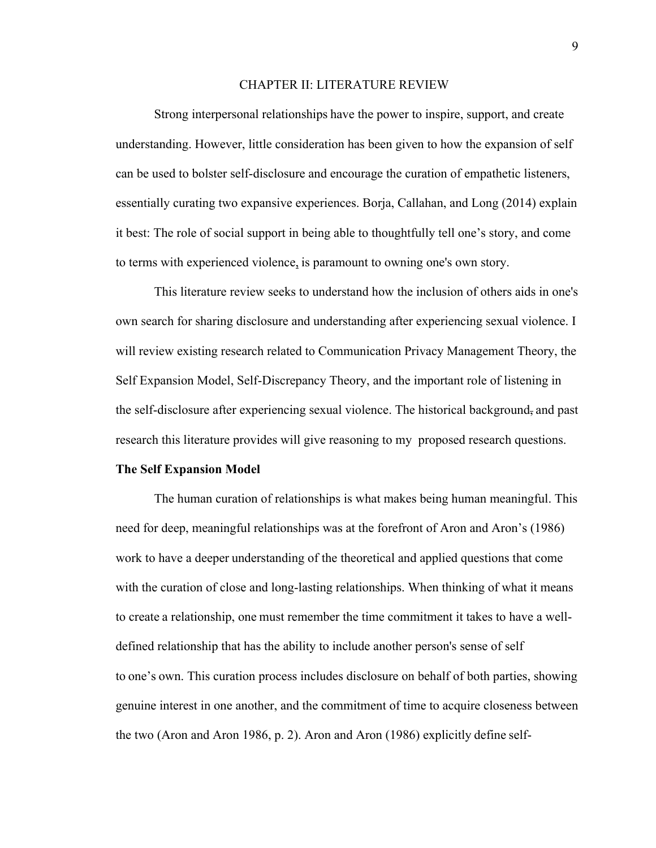#### CHAPTER II: LITERATURE REVIEW

Strong interpersonal relationships have the power to inspire, support, and create understanding. However, little consideration has been given to how the expansion of self can be used to bolster self-disclosure and encourage the curation of empathetic listeners, essentially curating two expansive experiences. Borja, Callahan, and Long (2014) explain it best: The role of social support in being able to thoughtfully tell one's story, and come to terms with experienced violence, is paramount to owning one's own story.   

This literature review seeks to understand how the inclusion of others aids in one's own search for sharing disclosure and understanding after experiencing sexual violence. I will review existing research related to Communication Privacy Management Theory, the Self Expansion Model, Self-Discrepancy Theory, and the important role of listening in the self-disclosure after experiencing sexual violence. The historical background, and past research this literature provides will give reasoning to my proposed research questions.

#### **The Self Expansion Model**

The human curation of relationships is what makes being human meaningful. This need for deep, meaningful relationships was at the forefront of Aron and Aron's (1986) work to have a deeper understanding of the theoretical and applied questions that come with the curation of close and long-lasting relationships. When thinking of what it means to create a relationship, one must remember the time commitment it takes to have a welldefined relationship that has the ability to include another person's sense of self to one's own. This curation process includes disclosure on behalf of both parties, showing genuine interest in one another, and the commitment of time to acquire closeness between the two (Aron and Aron 1986, p. 2). Aron and Aron (1986) explicitly define self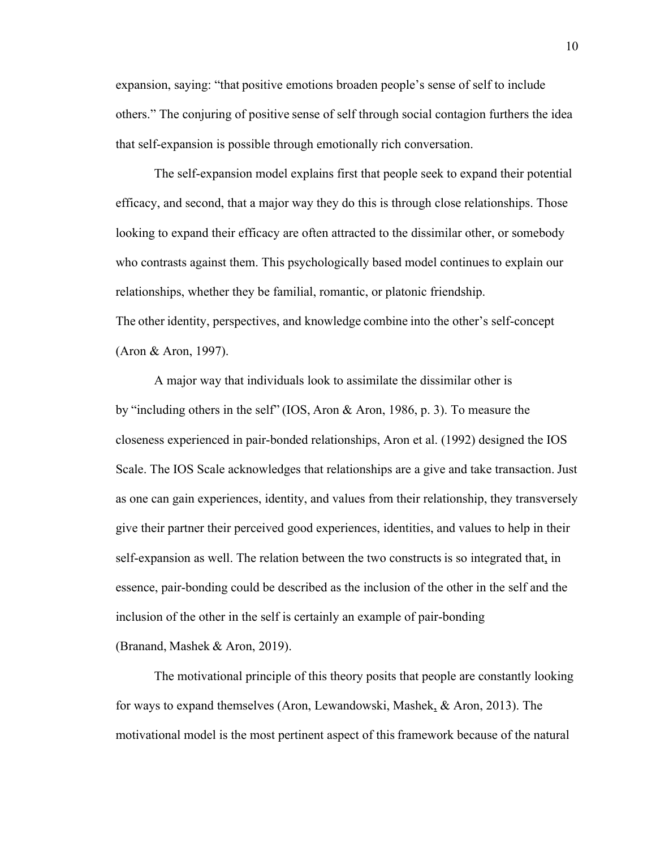expansion, saying: "that positive emotions broaden people's sense of self to include others." The conjuring of positive sense of self through social contagion furthers the idea that self-expansion is possible through emotionally rich conversation.   

The self-expansion model explains first that people seek to expand their potential efficacy, and second, that a major way they do this is through close relationships. Those looking to expand their efficacy are often attracted to the dissimilar other, or somebody who contrasts against them. This psychologically based model continues to explain our relationships, whether they be familial, romantic, or platonic friendship. The other identity, perspectives, and knowledge combine into the other's self-concept (Aron & Aron, 1997).     

A major way that individuals look to assimilate the dissimilar other is by "including others in the self" (IOS, Aron & Aron, 1986, p. 3). To measure the closeness experienced in pair-bonded relationships, Aron et al. (1992) designed the IOS Scale. The IOS Scale acknowledges that relationships are a give and take transaction. Just as one can gain experiences, identity, and values from their relationship, they transversely give their partner their perceived good experiences, identities, and values to help in their self-expansion as well. The relation between the two constructs is so integrated that, in essence, pair-bonding could be described as the inclusion of the other in the self and the inclusion of the other in the self is certainly an example of pair-bonding (Branand, Mashek & Aron, 2019).    

The motivational principle of this theory posits that people are constantly looking for ways to expand themselves (Aron, Lewandowski, Mashek, & Aron, 2013). The motivational model is the most pertinent aspect of this framework because of the natural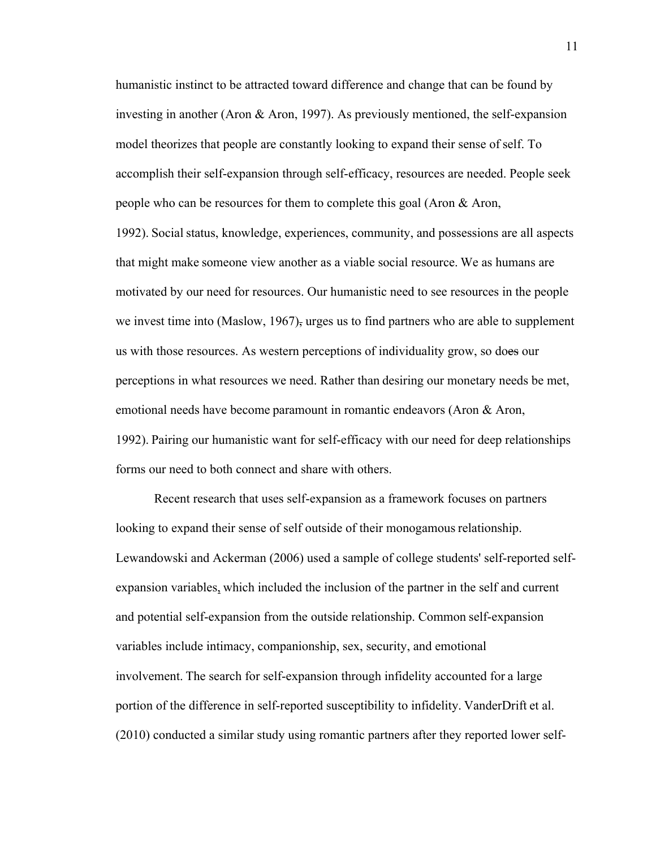humanistic instinct to be attracted toward difference and change that can be found by investing in another (Aron & Aron, 1997). As previously mentioned, the self-expansion model theorizes that people are constantly looking to expand their sense of self. To accomplish their self-expansion through self-efficacy, resources are needed. People seek people who can be resources for them to complete this goal (Aron & Aron, 1992). Social status, knowledge, experiences, community, and possessions are all aspects that might make someone view another as a viable social resource. We as humans are motivated by our need for resources. Our humanistic need to see resources in the people we invest time into (Maslow, 1967), urges us to find partners who are able to supplement us with those resources. As western perceptions of individuality grow, so does our perceptions in what resources we need. Rather than desiring our monetary needs be met, emotional needs have become paramount in romantic endeavors (Aron & Aron, 1992). Pairing our humanistic want for self-efficacy with our need for deep relationships forms our need to both connect and share with others. 

Recent research that uses self-expansion as a framework focuses on partners looking to expand their sense of self outside of their monogamous relationship. Lewandowski and Ackerman (2006) used a sample of college students' self-reported selfexpansion variables, which included the inclusion of the partner in the self and current and potential self-expansion from the outside relationship. Common self-expansion variables include intimacy, companionship, sex, security, and emotional involvement. The search for self-expansion through infidelity accounted for a large portion of the difference in self-reported susceptibility to infidelity. VanderDrift et al. (2010) conducted a similar study using romantic partners after they reported lower self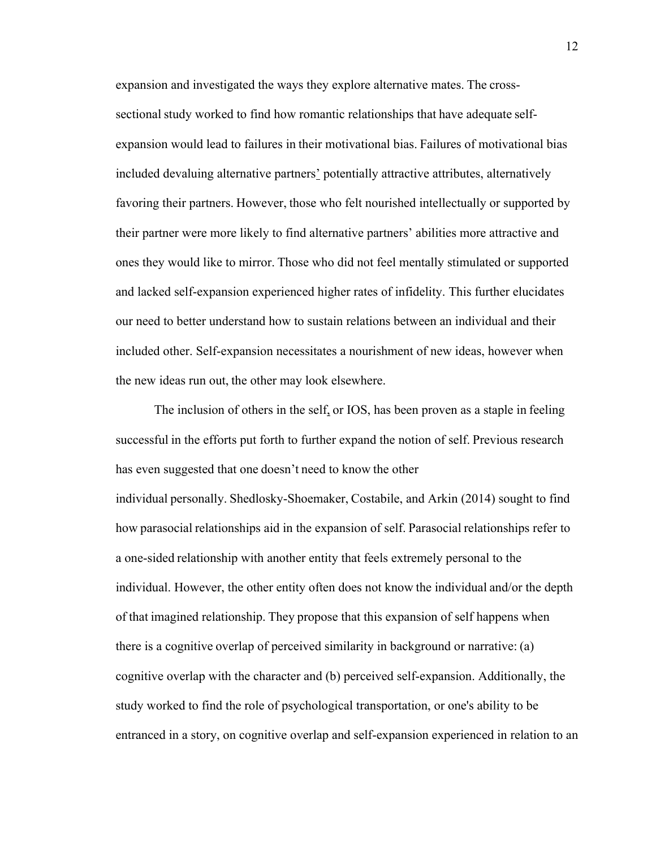expansion and investigated the ways they explore alternative mates. The crosssectional study worked to find how romantic relationships that have adequate selfexpansion would lead to failures in their motivational bias. Failures of motivational bias included devaluing alternative partners' potentially attractive attributes, alternatively favoring their partners. However, those who felt nourished intellectually or supported by their partner were more likely to find alternative partners' abilities more attractive and ones they would like to mirror. Those who did not feel mentally stimulated or supported and lacked self-expansion experienced higher rates of infidelity. This further elucidates our need to better understand how to sustain relations between an individual and their included other. Self-expansion necessitates a nourishment of new ideas, however when the new ideas run out, the other may look elsewhere. 

The inclusion of others in the self, or IOS, has been proven as a staple in feeling successful in the efforts put forth to further expand the notion of self. Previous research has even suggested that one doesn't need to know the other individual personally. Shedlosky-Shoemaker, Costabile, and Arkin (2014) sought to find how parasocial relationships aid in the expansion of self. Parasocial relationships refer to a one-sided relationship with another entity that feels extremely personal to the individual. However, the other entity often does not know the individual and/or the depth of that imagined relationship. They propose that this expansion of self happens when there is a cognitive overlap of perceived similarity in background or narrative: (a) cognitive overlap with the character and (b) perceived self-expansion. Additionally, the study worked to find the role of psychological transportation, or one's ability to be entranced in a story, on cognitive overlap and self-expansion experienced in relation to an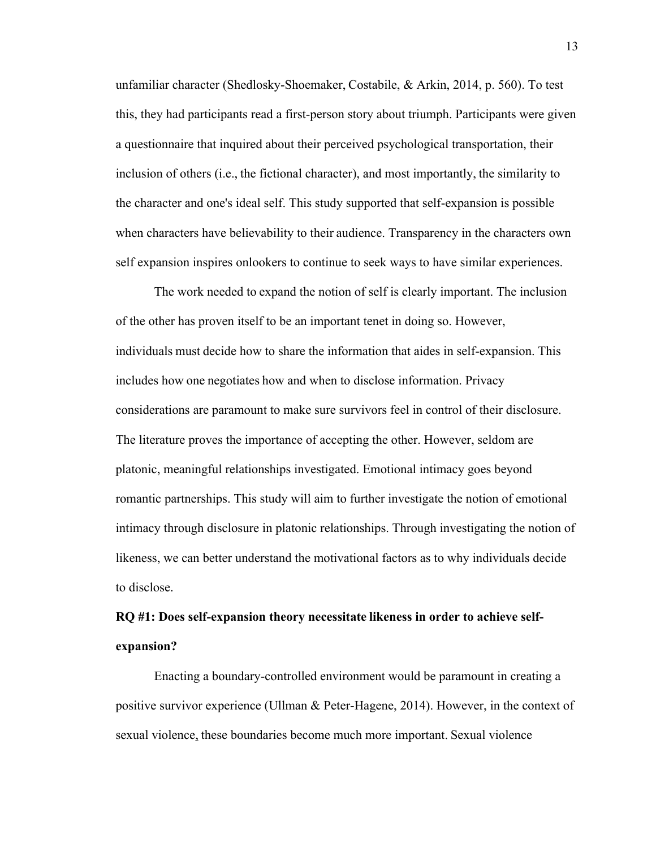unfamiliar character (Shedlosky-Shoemaker, Costabile, & Arkin, 2014, p. 560). To test this, they had participants read a first-person story about triumph. Participants were given a questionnaire that inquired about their perceived psychological transportation, their inclusion of others (i.e., the fictional character), and most importantly, the similarity to the character and one's ideal self. This study supported that self-expansion is possible when characters have believability to their audience. Transparency in the characters own self expansion inspires onlookers to continue to seek ways to have similar experiences.  

The work needed to expand the notion of self is clearly important. The inclusion of the other has proven itself to be an important tenet in doing so. However, individuals must decide how to share the information that aides in self-expansion. This includes how one negotiates how and when to disclose information. Privacy considerations are paramount to make sure survivors feel in control of their disclosure. The literature proves the importance of accepting the other. However, seldom are platonic, meaningful relationships investigated. Emotional intimacy goes beyond romantic partnerships. This study will aim to further investigate the notion of emotional intimacy through disclosure in platonic relationships. Through investigating the notion of likeness, we can better understand the motivational factors as to why individuals decide to disclose.  

## **RQ #1: Does self-expansion theory necessitate likeness in order to achieve selfexpansion?**

Enacting a boundary-controlled environment would be paramount in creating a positive survivor experience (Ullman & Peter-Hagene, 2014). However, in the context of sexual violence, these boundaries become much more important. Sexual violence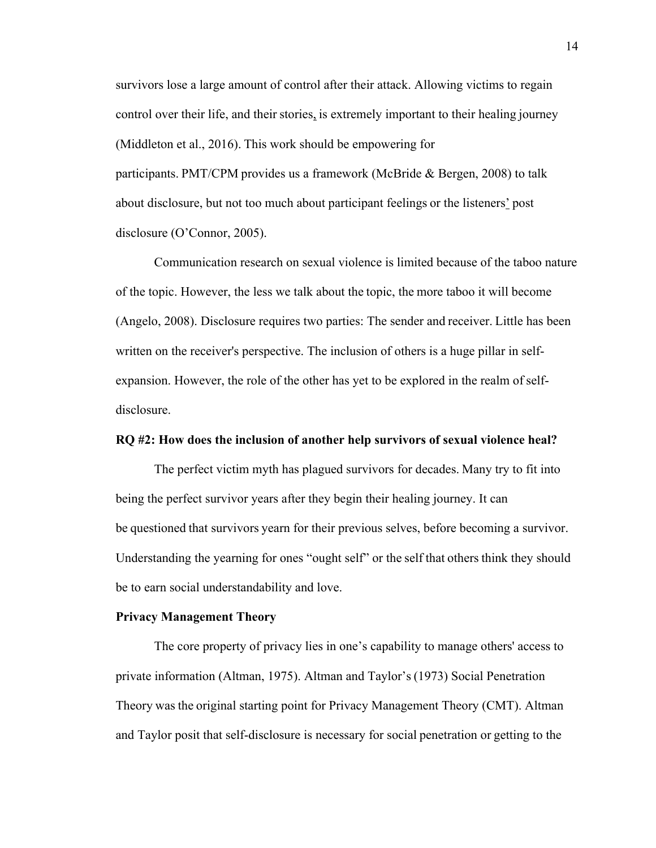survivors lose a large amount of control after their attack. Allowing victims to regain control over their life, and their stories, is extremely important to their healing journey (Middleton et al., 2016). This work should be empowering for participants. PMT/CPM provides us a framework (McBride & Bergen, 2008) to talk about disclosure, but not too much about participant feelings or the listeners' post disclosure (O'Connor, 2005).     

Communication research on sexual violence is limited because of the taboo nature of the topic. However, the less we talk about the topic, the more taboo it will become (Angelo, 2008). Disclosure requires two parties: The sender and receiver. Little has been written on the receiver's perspective. The inclusion of others is a huge pillar in selfexpansion. However, the role of the other has yet to be explored in the realm of selfdisclosure.   

#### **RQ #2: How does the inclusion of another help survivors of sexual violence heal?**

The perfect victim myth has plagued survivors for decades. Many try to fit into being the perfect survivor years after they begin their healing journey. It can be questioned that survivors yearn for their previous selves, before becoming a survivor. Understanding the yearning for ones "ought self" or the self that others think they should be to earn social understandability and love.    

#### **Privacy Management Theory**

The core property of privacy lies in one's capability to manage others' access to private information (Altman, 1975). Altman and Taylor's (1973) Social Penetration Theory was the original starting point for Privacy Management Theory (CMT). Altman and Taylor posit that self-disclosure is necessary for social penetration or getting to the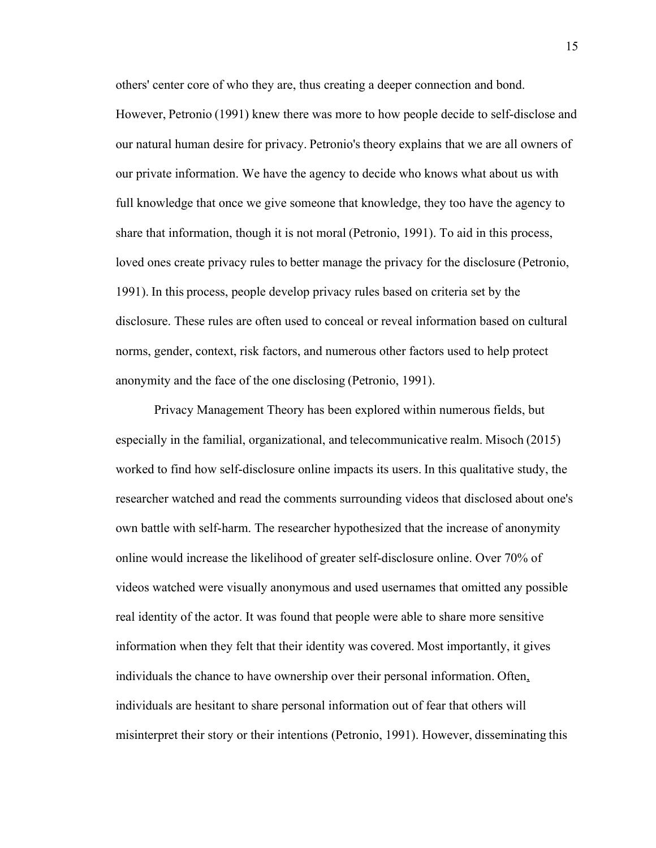others' center core of who they are, thus creating a deeper connection and bond.

However, Petronio (1991) knew there was more to how people decide to self-disclose and our natural human desire for privacy. Petronio's theory explains that we are all owners of our private information. We have the agency to decide who knows what about us with full knowledge that once we give someone that knowledge, they too have the agency to share that information, though it is not moral (Petronio, 1991). To aid in this process, loved ones create privacy rules to better manage the privacy for the disclosure (Petronio, 1991). In this process, people develop privacy rules based on criteria set by the disclosure. These rules are often used to conceal or reveal information based on cultural norms, gender, context, risk factors, and numerous other factors used to help protect anonymity and the face of the one disclosing (Petronio, 1991).    

Privacy Management Theory has been explored within numerous fields, but especially in the familial, organizational, and telecommunicative realm. Misoch (2015) worked to find how self-disclosure online impacts its users. In this qualitative study, the researcher watched and read the comments surrounding videos that disclosed about one's own battle with self-harm. The researcher hypothesized that the increase of anonymity online would increase the likelihood of greater self-disclosure online. Over 70% of videos watched were visually anonymous and used usernames that omitted any possible real identity of the actor. It was found that people were able to share more sensitive information when they felt that their identity was covered. Most importantly, it gives individuals the chance to have ownership over their personal information. Often, individuals are hesitant to share personal information out of fear that others will misinterpret their story or their intentions (Petronio, 1991). However, disseminating this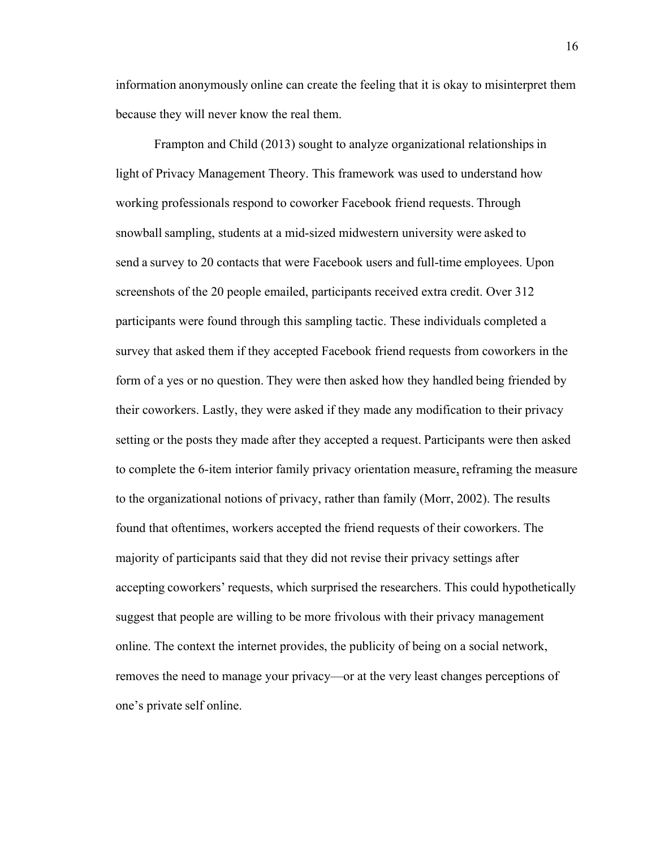information anonymously online can create the feeling that it is okay to misinterpret them because they will never know the real them.    

Frampton and Child (2013) sought to analyze organizational relationships in light of Privacy Management Theory. This framework was used to understand how working professionals respond to coworker Facebook friend requests. Through snowball sampling, students at a mid-sized midwestern university were asked to send a survey to 20 contacts that were Facebook users and full-time employees. Upon screenshots of the 20 people emailed, participants received extra credit. Over 312 participants were found through this sampling tactic. These individuals completed a survey that asked them if they accepted Facebook friend requests from coworkers in the form of a yes or no question. They were then asked how they handled being friended by their coworkers. Lastly, they were asked if they made any modification to their privacy setting or the posts they made after they accepted a request. Participants were then asked to complete the 6-item interior family privacy orientation measure, reframing the measure to the organizational notions of privacy, rather than family (Morr, 2002). The results found that oftentimes, workers accepted the friend requests of their coworkers. The majority of participants said that they did not revise their privacy settings after accepting coworkers' requests, which surprised the researchers. This could hypothetically suggest that people are willing to be more frivolous with their privacy management online. The context the internet provides, the publicity of being on a social network, removes the need to manage your privacy—or at the very least changes perceptions of one's private self online.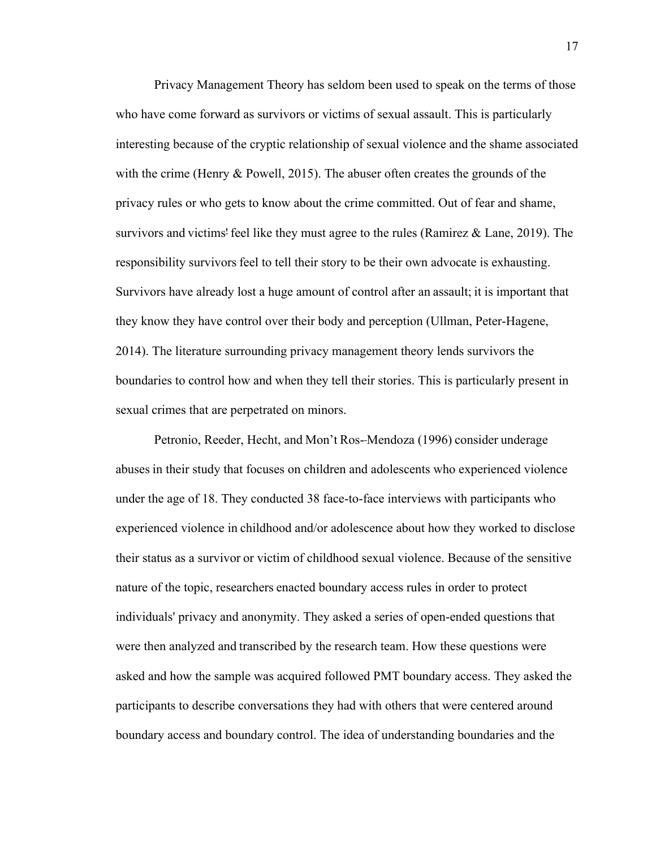Privacy Management Theory has seldom been used to speak on the terms of those who have come forward as survivors or victims of sexual assault. This is particularly interesting because of the cryptic relationship of sexual violence and the shame associated with the crime (Henry & Powell, 2015). The abuser often creates the grounds of the privacy rules or who gets to know about the crime committed. Out of fear and shame, survivors and victims' feel like they must agree to the rules (Ramirez & Lane, 2019). The responsibility survivors feel to tell their story to be their own advocate is exhausting. Survivors have already lost a huge amount of control after an assault; it is important that they know they have control over their body and perception (Ullman, Peter-Hagene, 2014). The literature surrounding privacy management theory lends survivors the boundaries to control how and when they tell their stories. This is particularly present in sexual crimes that are perpetrated on minors.    

Petronio, Reeder, Hecht, and Mon't Ros- Mendoza (1996) consider underage abuses in their study that focuses on children and adolescents who experienced violence under the age of 18. They conducted 38 face-to-face interviews with participants who experienced violence in childhood and/or adolescence about how they worked to disclose their status as a survivor or victim of childhood sexual violence. Because of the sensitive nature of the topic, researchers enacted boundary access rules in order to protect individuals' privacy and anonymity. They asked a series of open-ended questions that were then analyzed and transcribed by the research team. How these questions were asked and how the sample was acquired followed PMT boundary access. They asked the participants to describe conversations they had with others that were centered around boundary access and boundary control. The idea of understanding boundaries and the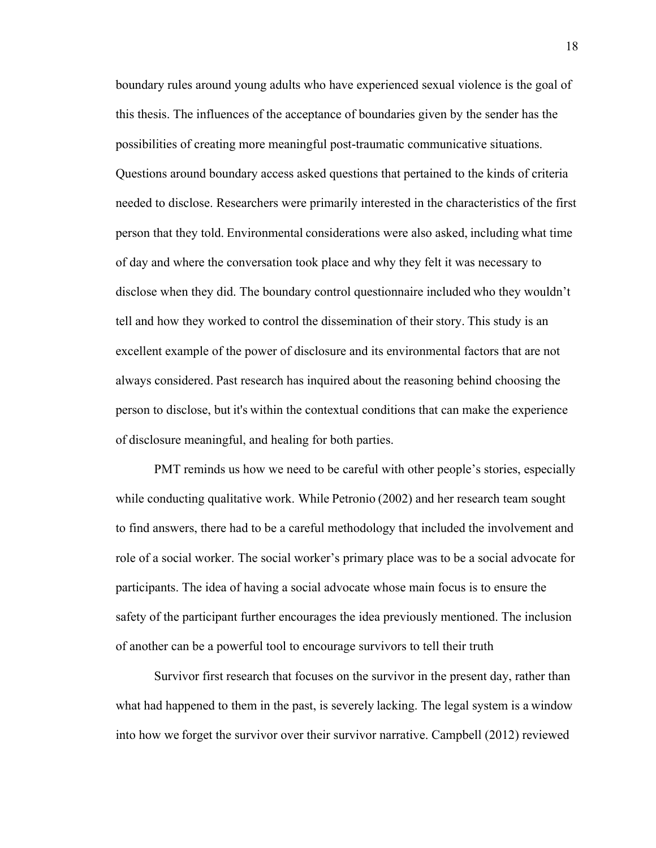boundary rules around young adults who have experienced sexual violence is the goal of this thesis. The influences of the acceptance of boundaries given by the sender has the possibilities of creating more meaningful post-traumatic communicative situations. Questions around boundary access asked questions that pertained to the kinds of criteria needed to disclose. Researchers were primarily interested in the characteristics of the first person that they told. Environmental considerations were also asked, including what time of day and where the conversation took place and why they felt it was necessary to disclose when they did. The boundary control questionnaire included who they wouldn't tell and how they worked to control the dissemination of their story. This study is an excellent example of the power of disclosure and its environmental factors that are not always considered. Past research has inquired about the reasoning behind choosing the person to disclose, but it's within the contextual conditions that can make the experience of disclosure meaningful, and healing for both parties.   

PMT reminds us how we need to be careful with other people's stories, especially while conducting qualitative work. While Petronio (2002) and her research team sought to find answers, there had to be a careful methodology that included the involvement and role of a social worker. The social worker's primary place was to be a social advocate for participants. The idea of having a social advocate whose main focus is to ensure the safety of the participant further encourages the idea previously mentioned. The inclusion of another can be a powerful tool to encourage survivors to tell their truth 

Survivor first research that focuses on the survivor in the present day, rather than what had happened to them in the past, is severely lacking. The legal system is a window into how we forget the survivor over their survivor narrative. Campbell (2012) reviewed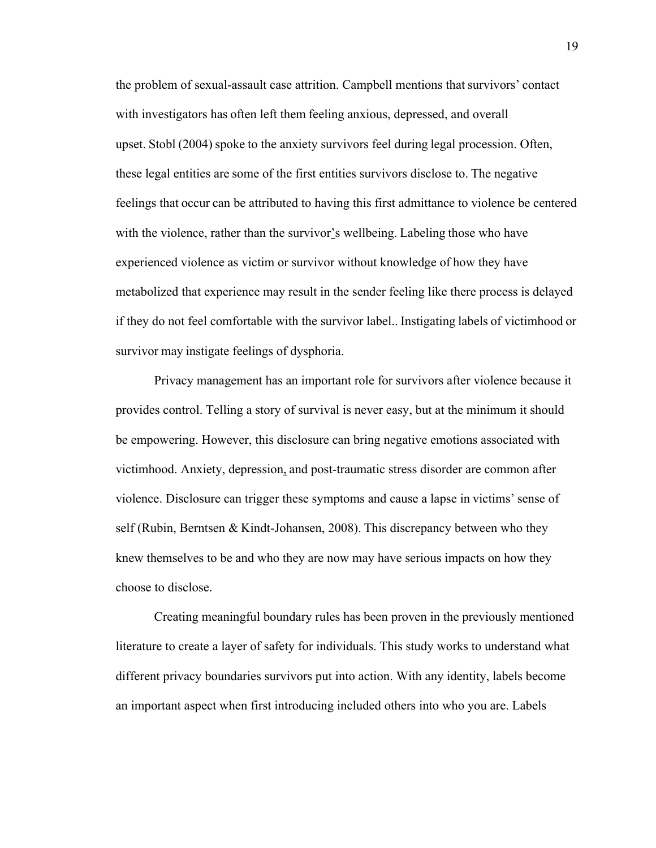the problem of sexual-assault case attrition. Campbell mentions that survivors' contact with investigators has often left them feeling anxious, depressed, and overall upset. Stobl (2004) spoke to the anxiety survivors feel during legal procession. Often, these legal entities are some of the first entities survivors disclose to. The negative feelings that occur can be attributed to having this first admittance to violence be centered with the violence, rather than the survivor's wellbeing. Labeling those who have experienced violence as victim or survivor without knowledge of how they have metabolized that experience may result in the sender feeling like there process is delayed if they do not feel comfortable with the survivor label.. Instigating labels of victimhood or survivor may instigate feelings of dysphoria.   

Privacy management has an important role for survivors after violence because it provides control. Telling a story of survival is never easy, but at the minimum it should be empowering. However, this disclosure can bring negative emotions associated with victimhood. Anxiety, depression, and post-traumatic stress disorder are common after violence. Disclosure can trigger these symptoms and cause a lapse in victims' sense of self (Rubin, Berntsen & Kindt-Johansen, 2008). This discrepancy between who they knew themselves to be and who they are now may have serious impacts on how they choose to disclose.    

Creating meaningful boundary rules has been proven in the previously mentioned literature to create a layer of safety for individuals. This study works to understand what different privacy boundaries survivors put into action. With any identity, labels become an important aspect when first introducing included others into who you are. Labels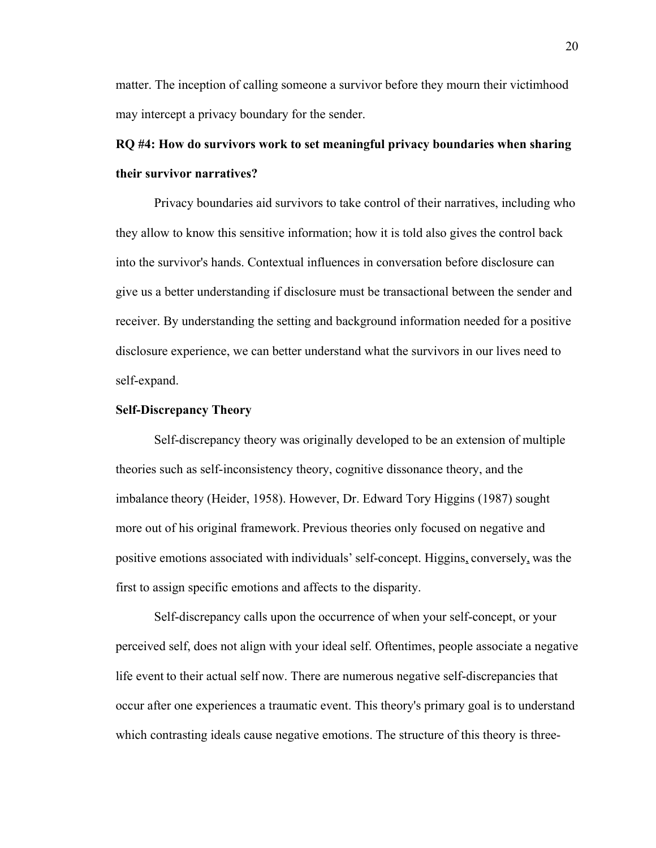matter. The inception of calling someone a survivor before they mourn their victimhood may intercept a privacy boundary for the sender.  

## **RQ #4: How do survivors work to set meaningful privacy boundaries when sharing their survivor narratives?**

Privacy boundaries aid survivors to take control of their narratives, including who they allow to know this sensitive information; how it is told also gives the control back into the survivor's hands. Contextual influences in conversation before disclosure can give us a better understanding if disclosure must be transactional between the sender and receiver. By understanding the setting and background information needed for a positive disclosure experience, we can better understand what the survivors in our lives need to self-expand.  

#### **Self-Discrepancy Theory**

Self-discrepancy theory was originally developed to be an extension of multiple theories such as self-inconsistency theory, cognitive dissonance theory, and the imbalance theory (Heider, 1958). However, Dr. Edward Tory Higgins (1987) sought more out of his original framework. Previous theories only focused on negative and positive emotions associated with individuals' self-concept. Higgins, conversely, was the first to assign specific emotions and affects to the disparity.    

Self-discrepancy calls upon the occurrence of when your self-concept, or your perceived self, does not align with your ideal self. Oftentimes, people associate a negative life event to their actual self now. There are numerous negative self-discrepancies that occur after one experiences a traumatic event. This theory's primary goal is to understand which contrasting ideals cause negative emotions. The structure of this theory is three-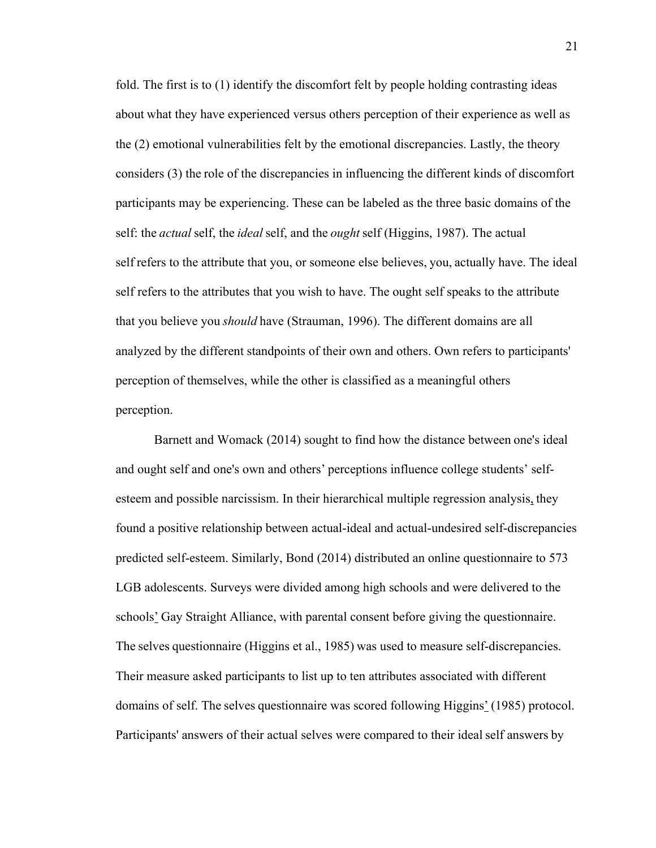fold. The first is to (1) identify the discomfort felt by people holding contrasting ideas about what they have experienced versus others perception of their experience as well as the (2) emotional vulnerabilities felt by the emotional discrepancies. Lastly, the theory considers (3) the role of the discrepancies in influencing the different kinds of discomfort participants may be experiencing. These can be labeled as the three basic domains of the self: the *actual* self, the *ideal* self, and the *ought* self (Higgins, 1987). The actual self refers to the attribute that you, or someone else believes, you, actually have. The ideal self refers to the attributes that you wish to have. The ought self speaks to the attribute that you believe you *should* have (Strauman, 1996). The different domains are all analyzed by the different standpoints of their own and others. Own refers to participants' perception of themselves, while the other is classified as a meaningful others perception.  

Barnett and Womack (2014) sought to find how the distance between one's ideal and ought self and one's own and others' perceptions influence college students' selfesteem and possible narcissism. In their hierarchical multiple regression analysis, they found a positive relationship between actual-ideal and actual-undesired self-discrepancies predicted self-esteem. Similarly, Bond (2014) distributed an online questionnaire to 573 LGB adolescents. Surveys were divided among high schools and were delivered to the schools' Gay Straight Alliance, with parental consent before giving the questionnaire. The selves questionnaire (Higgins et al., 1985) was used to measure self-discrepancies. Their measure asked participants to list up to ten attributes associated with different domains of self. The selves questionnaire was scored following Higgins' (1985) protocol. Participants' answers of their actual selves were compared to their ideal self answers by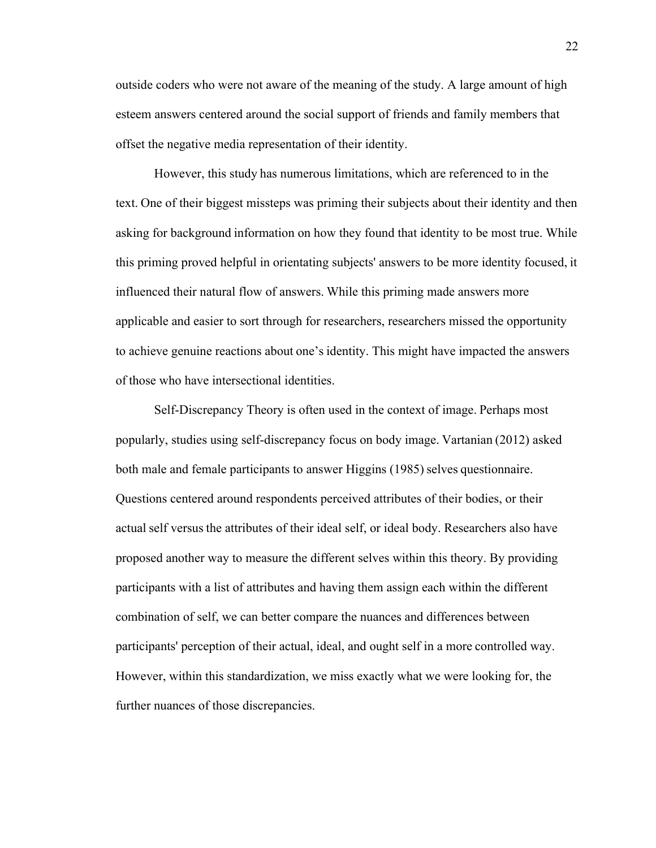outside coders who were not aware of the meaning of the study. A large amount of high esteem answers centered around the social support of friends and family members that offset the negative media representation of their identity.    

However, this study has numerous limitations, which are referenced to in the text. One of their biggest missteps was priming their subjects about their identity and then asking for background information on how they found that identity to be most true. While this priming proved helpful in orientating subjects' answers to be more identity focused, it influenced their natural flow of answers. While this priming made answers more applicable and easier to sort through for researchers, researchers missed the opportunity to achieve genuine reactions about one's identity. This might have impacted the answers of those who have intersectional identities.  

Self-Discrepancy Theory is often used in the context of image. Perhaps most popularly, studies using self-discrepancy focus on body image. Vartanian (2012) asked both male and female participants to answer Higgins (1985) selves questionnaire. Questions centered around respondents perceived attributes of their bodies, or their actual self versus the attributes of their ideal self, or ideal body. Researchers also have proposed another way to measure the different selves within this theory. By providing participants with a list of attributes and having them assign each within the different combination of self, we can better compare the nuances and differences between participants' perception of their actual, ideal, and ought self in a more controlled way. However, within this standardization, we miss exactly what we were looking for, the further nuances of those discrepancies.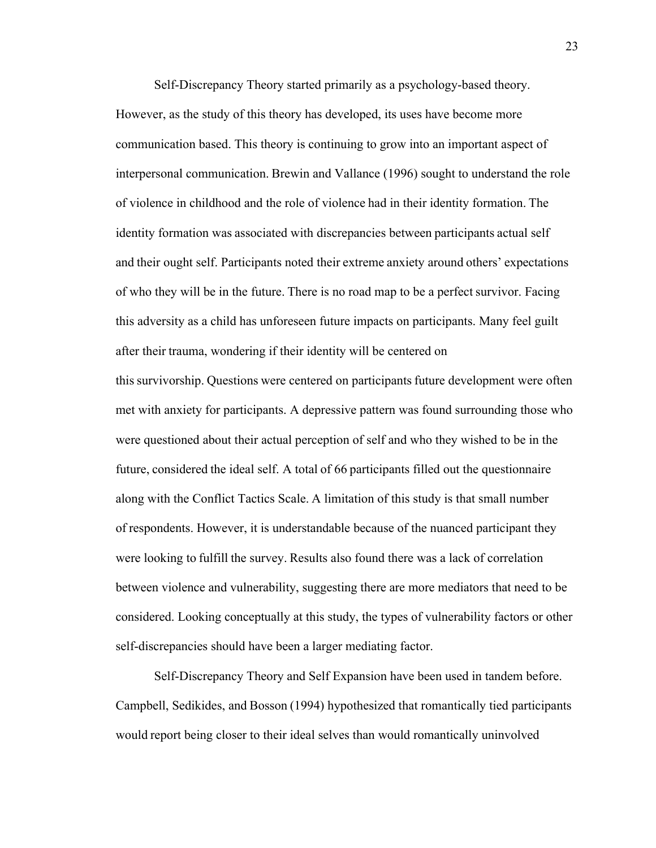Self-Discrepancy Theory started primarily as a psychology-based theory. However, as the study of this theory has developed, its uses have become more communication based. This theory is continuing to grow into an important aspect of interpersonal communication. Brewin and Vallance (1996) sought to understand the role of violence in childhood and the role of violence had in their identity formation. The identity formation was associated with discrepancies between participants actual self and their ought self. Participants noted their extreme anxiety around others' expectations of who they will be in the future. There is no road map to be a perfect survivor. Facing this adversity as a child has unforeseen future impacts on participants. Many feel guilt after their trauma, wondering if their identity will be centered on

this survivorship. Questions were centered on participants future development were often met with anxiety for participants. A depressive pattern was found surrounding those who were questioned about their actual perception of self and who they wished to be in the future, considered the ideal self. A total of 66 participants filled out the questionnaire along with the Conflict Tactics Scale. A limitation of this study is that small number of respondents. However, it is understandable because of the nuanced participant they were looking to fulfill the survey. Results also found there was a lack of correlation between violence and vulnerability, suggesting there are more mediators that need to be considered. Looking conceptually at this study, the types of vulnerability factors or other self-discrepancies should have been a larger mediating factor.    

Self-Discrepancy Theory and Self Expansion have been used in tandem before. Campbell, Sedikides, and Bosson (1994) hypothesized that romantically tied participants would report being closer to their ideal selves than would romantically uninvolved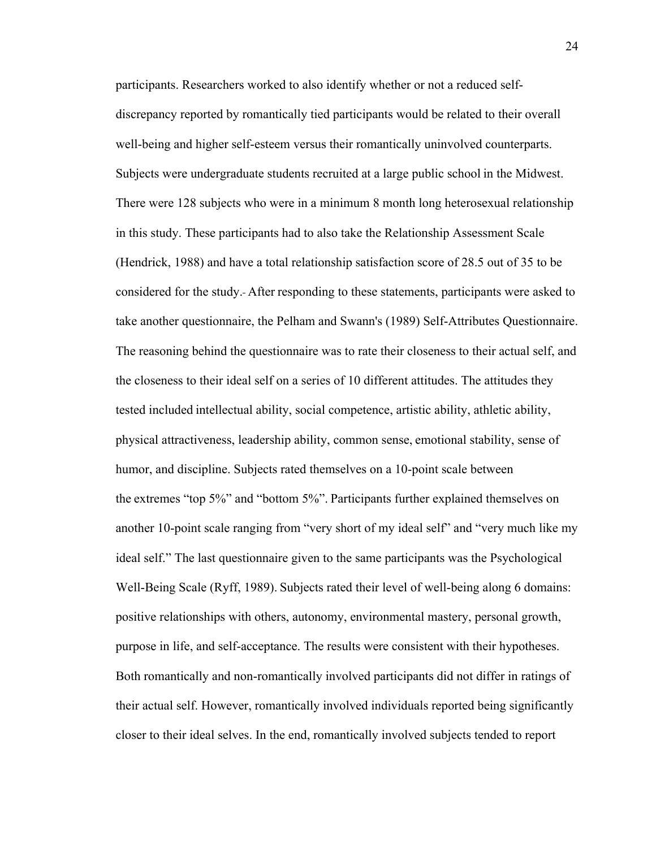participants. Researchers worked to also identify whether or not a reduced selfdiscrepancy reported by romantically tied participants would be related to their overall well-being and higher self-esteem versus their romantically uninvolved counterparts. Subjects were undergraduate students recruited at a large public school in the Midwest. There were 128 subjects who were in a minimum 8 month long heterosexual relationship in this study. These participants had to also take the Relationship Assessment Scale (Hendrick, 1988) and have a total relationship satisfaction score of 28.5 out of 35 to be considered for the study.  After responding to these statements, participants were asked to take another questionnaire, the Pelham and Swann's (1989) Self-Attributes Questionnaire. The reasoning behind the questionnaire was to rate their closeness to their actual self, and the closeness to their ideal self on a series of 10 different attitudes. The attitudes they tested included intellectual ability, social competence, artistic ability, athletic ability, physical attractiveness, leadership ability, common sense, emotional stability, sense of humor, and discipline. Subjects rated themselves on a 10-point scale between the extremes "top 5%" and "bottom 5%". Participants further explained themselves on another 10-point scale ranging from "very short of my ideal self" and "very much like my ideal self." The last questionnaire given to the same participants was the Psychological Well-Being Scale (Ryff, 1989). Subjects rated their level of well-being along 6 domains: positive relationships with others, autonomy, environmental mastery, personal growth, purpose in life, and self-acceptance. The results were consistent with their hypotheses. Both romantically and non-romantically involved participants did not differ in ratings of their actual self. However, romantically involved individuals reported being significantly closer to their ideal selves. In the end, romantically involved subjects tended to report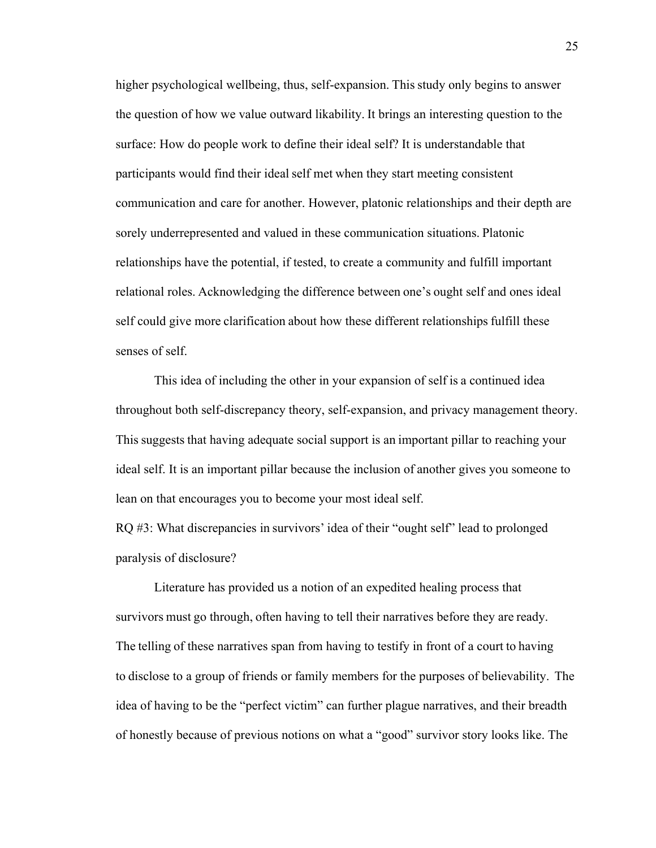higher psychological wellbeing, thus, self-expansion. This study only begins to answer the question of how we value outward likability. It brings an interesting question to the surface: How do people work to define their ideal self? It is understandable that participants would find their ideal self met when they start meeting consistent communication and care for another. However, platonic relationships and their depth are sorely underrepresented and valued in these communication situations. Platonic relationships have the potential, if tested, to create a community and fulfill important relational roles. Acknowledging the difference between one's ought self and ones ideal self could give more clarification about how these different relationships fulfill these senses of self.    

This idea of including the other in your expansion of self is a continued idea throughout both self-discrepancy theory, self-expansion, and privacy management theory. This suggests that having adequate social support is an important pillar to reaching your ideal self. It is an important pillar because the inclusion of another gives you someone to lean on that encourages you to become your most ideal self. 

RQ #3: What discrepancies in survivors' idea of their "ought self" lead to prolonged paralysis of disclosure?     

Literature has provided us a notion of an expedited healing process that survivors must go through, often having to tell their narratives before they are ready. The telling of these narratives span from having to testify in front of a court to having to disclose to a group of friends or family members for the purposes of believability.  The idea of having to be the "perfect victim" can further plague narratives, and their breadth of honestly because of previous notions on what a "good" survivor story looks like. The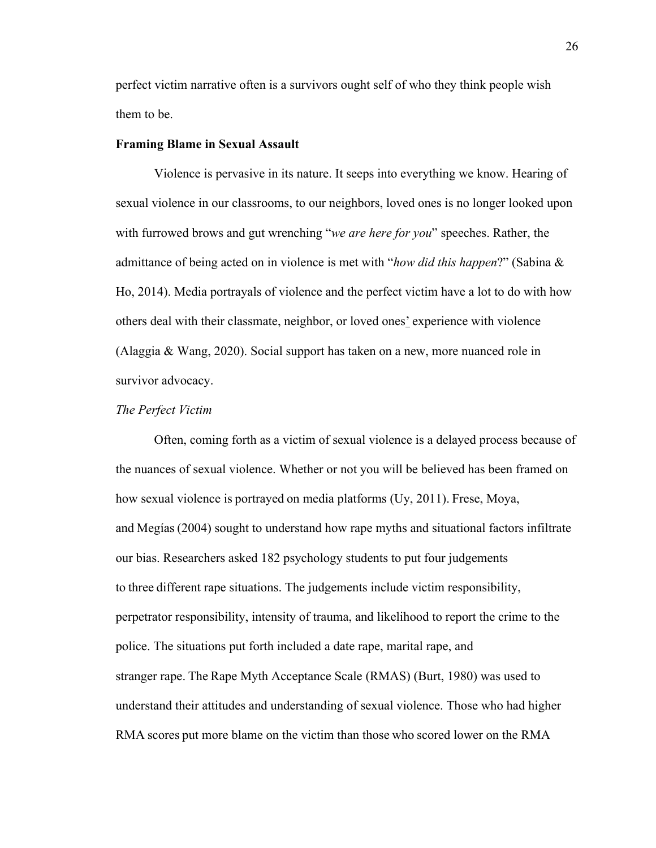perfect victim narrative often is a survivors ought self of who they think people wish them to be. 

#### **Framing Blame in Sexual Assault**

Violence is pervasive in its nature. It seeps into everything we know. Hearing of sexual violence in our classrooms, to our neighbors, loved ones is no longer looked upon with furrowed brows and gut wrenching "*we are here for you*" speeches. Rather, the admittance of being acted on in violence is met with "*how did this happen*?" (Sabina & Ho, 2014). Media portrayals of violence and the perfect victim have a lot to do with how others deal with their classmate, neighbor, or loved ones' experience with violence (Alaggia & Wang, 2020). Social support has taken on a new, more nuanced role in survivor advocacy.    

#### *The Perfect Victim*

Often, coming forth as a victim of sexual violence is a delayed process because of the nuances of sexual violence. Whether or not you will be believed has been framed on how sexual violence is portrayed on media platforms (Uy, 2011). Frese, Moya, and Megías (2004) sought to understand how rape myths and situational factors infiltrate our bias. Researchers asked 182 psychology students to put four judgements to three different rape situations. The judgements include victim responsibility, perpetrator responsibility, intensity of trauma, and likelihood to report the crime to the police. The situations put forth included a date rape, marital rape, and     stranger rape. The Rape Myth Acceptance Scale (RMAS) (Burt, 1980) was used to understand their attitudes and understanding of sexual violence. Those who had higher RMA scores put more blame on the victim than those who scored lower on the RMA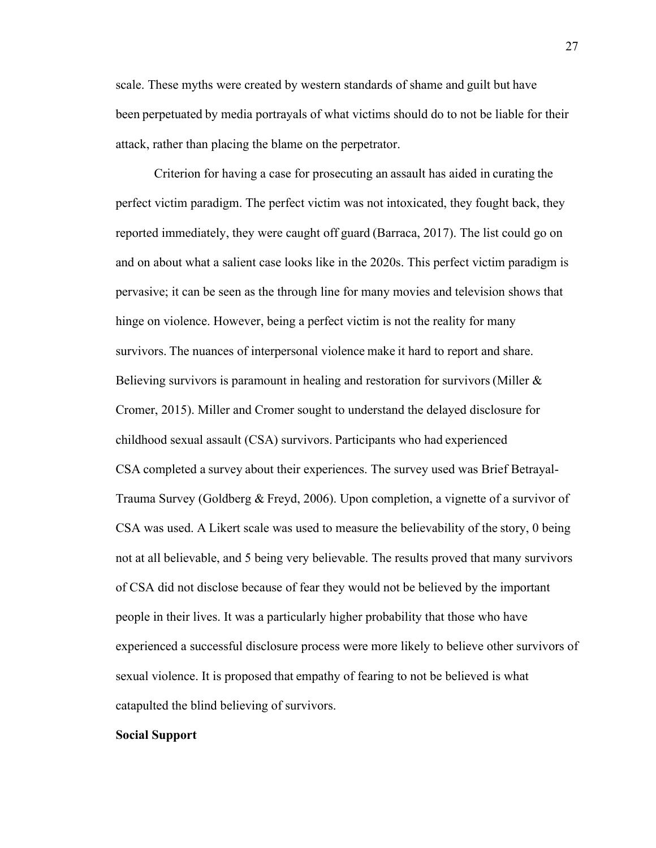scale. These myths were created by western standards of shame and guilt but have been perpetuated by media portrayals of what victims should do to not be liable for their attack, rather than placing the blame on the perpetrator.    

Criterion for having a case for prosecuting an assault has aided in curating the perfect victim paradigm. The perfect victim was not intoxicated, they fought back, they reported immediately, they were caught off guard (Barraca, 2017). The list could go on and on about what a salient case looks like in the 2020s. This perfect victim paradigm is pervasive; it can be seen as the through line for many movies and television shows that hinge on violence. However, being a perfect victim is not the reality for many survivors. The nuances of interpersonal violence make it hard to report and share. Believing survivors is paramount in healing and restoration for survivors (Miller & Cromer, 2015). Miller and Cromer sought to understand the delayed disclosure for childhood sexual assault (CSA) survivors. Participants who had experienced CSA completed a survey about their experiences. The survey used was Brief Betrayal-Trauma Survey (Goldberg & Freyd, 2006). Upon completion, a vignette of a survivor of CSA was used. A Likert scale was used to measure the believability of the story, 0 being not at all believable, and 5 being very believable. The results proved that many survivors of CSA did not disclose because of fear they would not be believed by the important people in their lives. It was a particularly higher probability that those who have experienced a successful disclosure process were more likely to believe other survivors of sexual violence. It is proposed that empathy of fearing to not be believed is what catapulted the blind believing of survivors.     

#### **Social Support**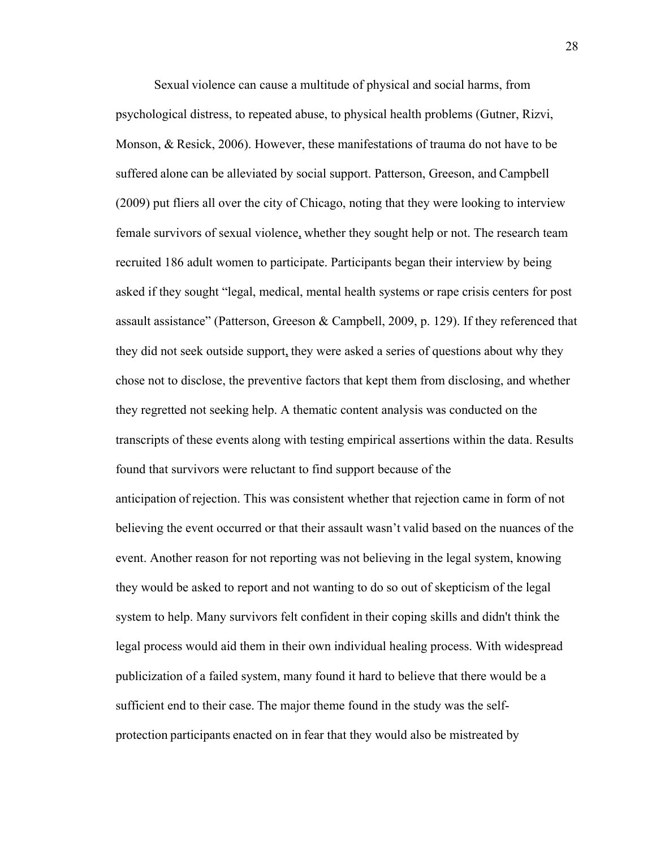Sexual violence can cause a multitude of physical and social harms, from psychological distress, to repeated abuse, to physical health problems (Gutner, Rizvi, Monson, & Resick, 2006). However, these manifestations of trauma do not have to be suffered alone can be alleviated by social support. Patterson, Greeson, and Campbell (2009) put fliers all over the city of Chicago, noting that they were looking to interview female survivors of sexual violence, whether they sought help or not. The research team recruited 186 adult women to participate. Participants began their interview by being asked if they sought "legal, medical, mental health systems or rape crisis centers for post assault assistance" (Patterson, Greeson & Campbell, 2009, p. 129). If they referenced that they did not seek outside support, they were asked a series of questions about why they chose not to disclose, the preventive factors that kept them from disclosing, and whether they regretted not seeking help. A thematic content analysis was conducted on the transcripts of these events along with testing empirical assertions within the data. Results found that survivors were reluctant to find support because of the anticipation of rejection. This was consistent whether that rejection came in form of not believing the event occurred or that their assault wasn't valid based on the nuances of the event. Another reason for not reporting was not believing in the legal system, knowing they would be asked to report and not wanting to do so out of skepticism of the legal system to help. Many survivors felt confident in their coping skills and didn't think the legal process would aid them in their own individual healing process. With widespread

publicization of a failed system, many found it hard to believe that there would be a sufficient end to their case. The major theme found in the study was the selfprotection participants enacted on in fear that they would also be mistreated by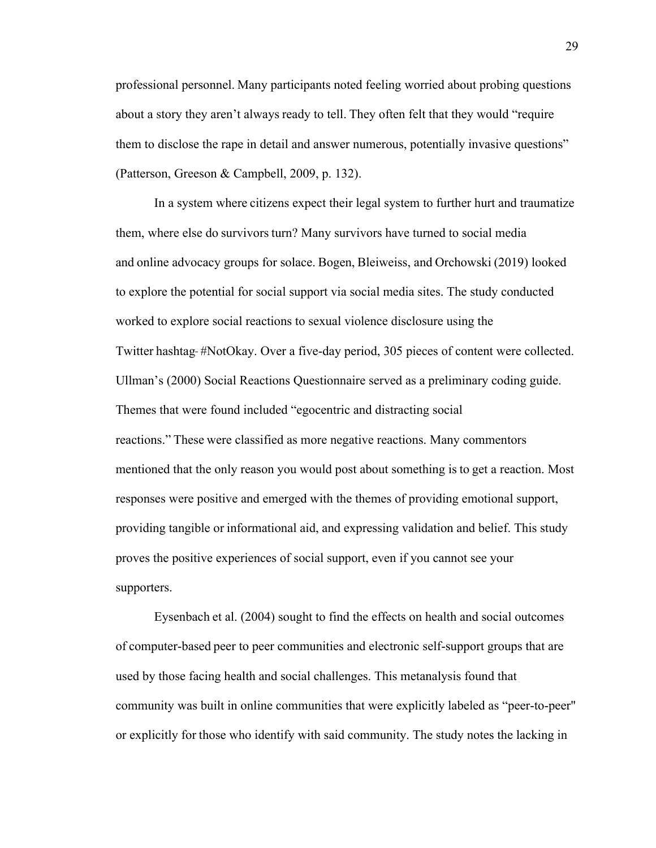professional personnel. Many participants noted feeling worried about probing questions about a story they aren't always ready to tell. They often felt that they would "require them to disclose the rape in detail and answer numerous, potentially invasive questions" (Patterson, Greeson & Campbell, 2009, p. 132). 

In a system where citizens expect their legal system to further hurt and traumatize them, where else do survivors turn? Many survivors have turned to social media and online advocacy groups for solace. Bogen, Bleiweiss, and Orchowski (2019) looked to explore the potential for social support via social media sites. The study conducted worked to explore social reactions to sexual violence disclosure using the Twitter hashtag-#NotOkay. Over a five-day period, 305 pieces of content were collected. Ullman's (2000) Social Reactions Questionnaire served as a preliminary coding guide. Themes that were found included "egocentric and distracting social reactions." These were classified as more negative reactions. Many commentors mentioned that the only reason you would post about something is to get a reaction. Most responses were positive and emerged with the themes of providing emotional support, providing tangible or informational aid, and expressing validation and belief. This study proves the positive experiences of social support, even if you cannot see your supporters.   

Eysenbach et al. (2004) sought to find the effects on health and social outcomes of computer-based peer to peer communities and electronic self-support groups that are used by those facing health and social challenges. This metanalysis found that community was built in online communities that were explicitly labeled as "peer-to-peer" or explicitly for those who identify with said community. The study notes the lacking in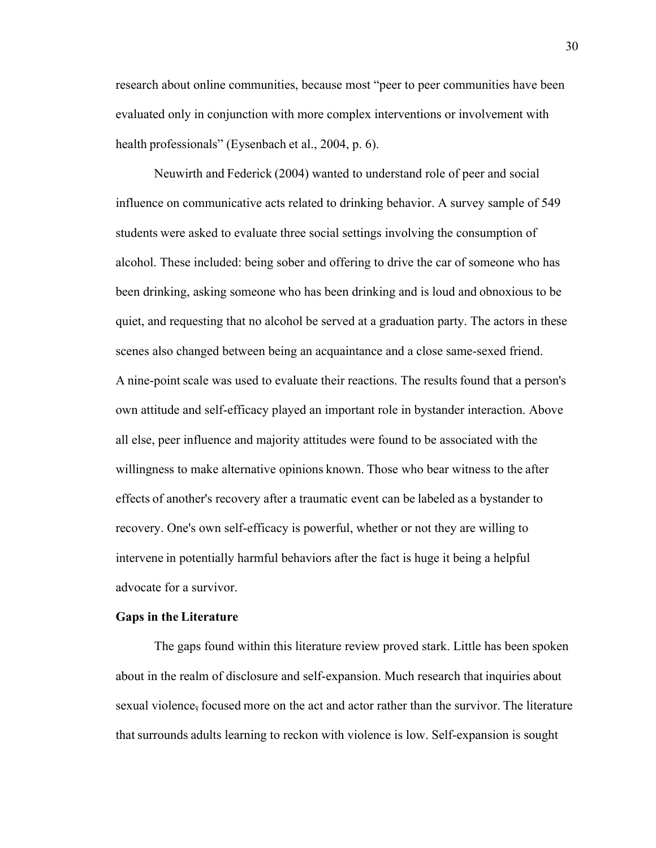research about online communities, because most "peer to peer communities have been evaluated only in conjunction with more complex interventions or involvement with health professionals" (Eysenbach et al., 2004, p. 6).     

Neuwirth and Federick (2004) wanted to understand role of peer and social influence on communicative acts related to drinking behavior. A survey sample of 549 students were asked to evaluate three social settings involving the consumption of alcohol. These included: being sober and offering to drive the car of someone who has been drinking, asking someone who has been drinking and is loud and obnoxious to be quiet, and requesting that no alcohol be served at a graduation party. The actors in these scenes also changed between being an acquaintance and a close same-sexed friend. A nine-point scale was used to evaluate their reactions. The results found that a person's own attitude and self-efficacy played an important role in bystander interaction. Above all else, peer influence and majority attitudes were found to be associated with the willingness to make alternative opinions known. Those who bear witness to the after effects of another's recovery after a traumatic event can be labeled as a bystander to recovery. One's own self-efficacy is powerful, whether or not they are willing to intervene in potentially harmful behaviors after the fact is huge it being a helpful advocate for a survivor.    

#### **Gaps in the Literature**

The gaps found within this literature review proved stark. Little has been spoken about in the realm of disclosure and self-expansion. Much research that inquiries about sexual violence, focused more on the act and actor rather than the survivor. The literature that surrounds adults learning to reckon with violence is low. Self-expansion is sought

30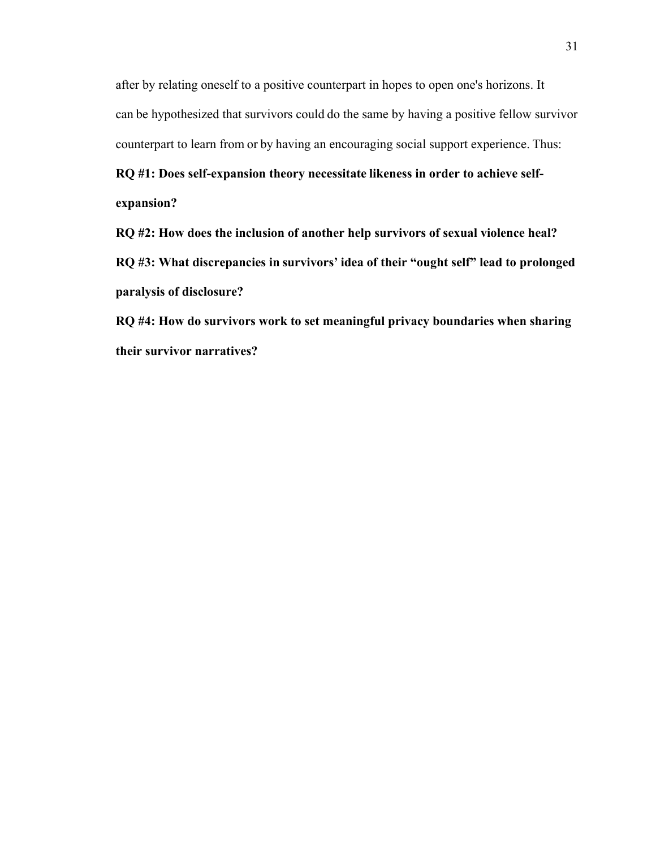after by relating oneself to a positive counterpart in hopes to open one's horizons. It can be hypothesized that survivors could do the same by having a positive fellow survivor counterpart to learn from or by having an encouraging social support experience. Thus:   

**RQ #1: Does self-expansion theory necessitate likeness in order to achieve selfexpansion?**    

**RQ #2: How does the inclusion of another help survivors of sexual violence heal? RQ #3: What discrepancies in survivors' idea of their "ought self" lead to prolonged paralysis of disclosure?**     

**RQ #4: How do survivors work to set meaningful privacy boundaries when sharing their survivor narratives?**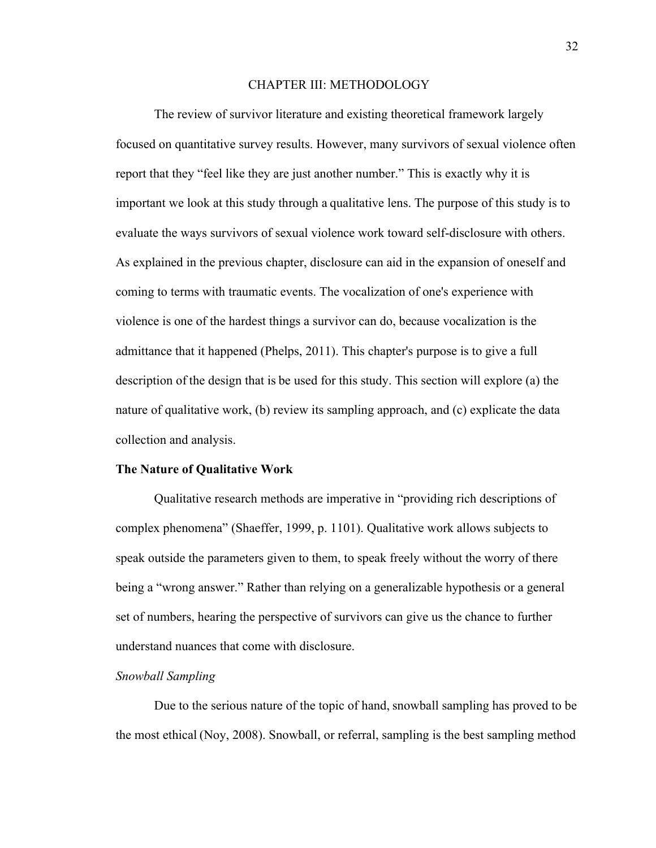## CHAPTER III: METHODOLOGY

The review of survivor literature and existing theoretical framework largely focused on quantitative survey results. However, many survivors of sexual violence often report that they "feel like they are just another number." This is exactly why it is important we look at this study through a qualitative lens. The purpose of this study is to evaluate the ways survivors of sexual violence work toward self-disclosure with others. As explained in the previous chapter, disclosure can aid in the expansion of oneself and coming to terms with traumatic events. The vocalization of one's experience with violence is one of the hardest things a survivor can do, because vocalization is the admittance that it happened (Phelps, 2011). This chapter's purpose is to give a full description of the design that is be used for this study. This section will explore (a) the nature of qualitative work, (b) review its sampling approach, and (c) explicate the data collection and analysis.    

#### **The Nature of Qualitative Work**

Qualitative research methods are imperative in "providing rich descriptions of complex phenomena" (Shaeffer, 1999, p. 1101). Qualitative work allows subjects to speak outside the parameters given to them, to speak freely without the worry of there being a "wrong answer." Rather than relying on a generalizable hypothesis or a general set of numbers, hearing the perspective of survivors can give us the chance to further understand nuances that come with disclosure.   

### *Snowball Sampling*

Due to the serious nature of the topic of hand, snowball sampling has proved to be the most ethical (Noy, 2008). Snowball, or referral, sampling is the best sampling method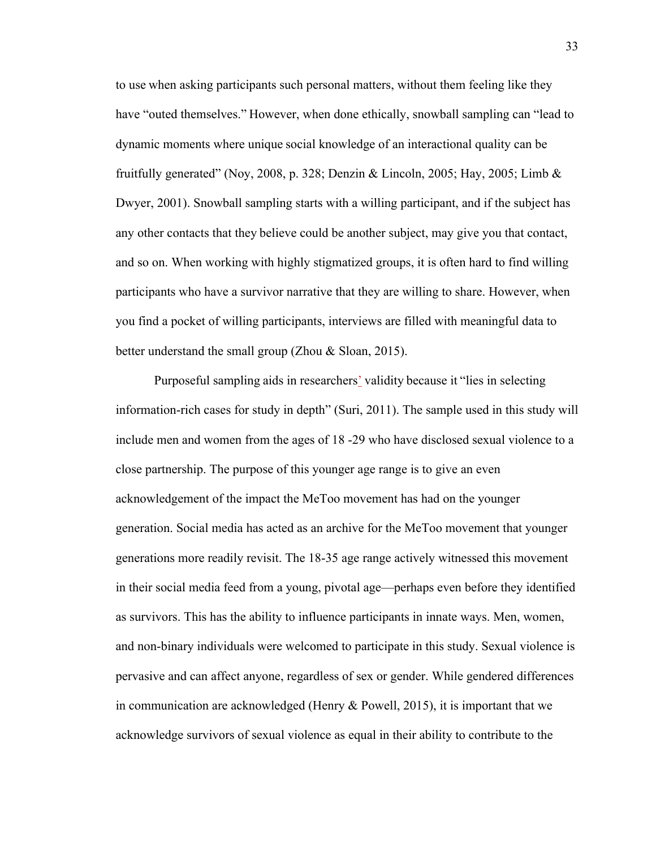to use when asking participants such personal matters, without them feeling like they have "outed themselves." However, when done ethically, snowball sampling can "lead to dynamic moments where unique social knowledge of an interactional quality can be fruitfully generated" (Noy, 2008, p. 328; Denzin & Lincoln, 2005; Hay, 2005; Limb & Dwyer, 2001). Snowball sampling starts with a willing participant, and if the subject has any other contacts that they believe could be another subject, may give you that contact, and so on. When working with highly stigmatized groups, it is often hard to find willing participants who have a survivor narrative that they are willing to share. However, when you find a pocket of willing participants, interviews are filled with meaningful data to better understand the small group (Zhou & Sloan, 2015).    

Purposeful sampling aids in researchers' validity because it "lies in selecting information-rich cases for study in depth" (Suri, 2011). The sample used in this study will include men and women from the ages of 18 -29 who have disclosed sexual violence to a close partnership. The purpose of this younger age range is to give an even acknowledgement of the impact the MeToo movement has had on the younger generation. Social media has acted as an archive for the MeToo movement that younger generations more readily revisit. The 18-35 age range actively witnessed this movement in their social media feed from a young, pivotal age—perhaps even before they identified as survivors. This has the ability to influence participants in innate ways. Men, women, and non-binary individuals were welcomed to participate in this study. Sexual violence is pervasive and can affect anyone, regardless of sex or gender. While gendered differences in communication are acknowledged (Henry & Powell, 2015), it is important that we acknowledge survivors of sexual violence as equal in their ability to contribute to the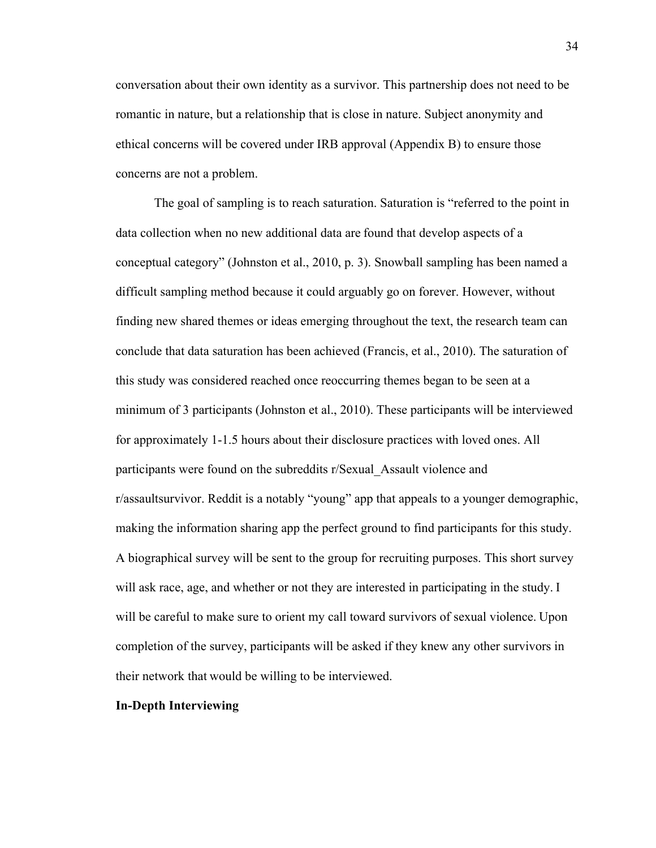conversation about their own identity as a survivor. This partnership does not need to be romantic in nature, but a relationship that is close in nature. Subject anonymity and ethical concerns will be covered under IRB approval (Appendix B) to ensure those concerns are not a problem.    

The goal of sampling is to reach saturation. Saturation is "referred to the point in data collection when no new additional data are found that develop aspects of a conceptual category" (Johnston et al., 2010, p. 3). Snowball sampling has been named a difficult sampling method because it could arguably go on forever. However, without finding new shared themes or ideas emerging throughout the text, the research team can conclude that data saturation has been achieved (Francis, et al., 2010). The saturation of this study was considered reached once reoccurring themes began to be seen at a minimum of 3 participants (Johnston et al., 2010). These participants will be interviewed for approximately 1-1.5 hours about their disclosure practices with loved ones. All participants were found on the subreddits r/Sexual\_Assault violence and r/assaultsurvivor. Reddit is a notably "young" app that appeals to a younger demographic, making the information sharing app the perfect ground to find participants for this study. A biographical survey will be sent to the group for recruiting purposes. This short survey will ask race, age, and whether or not they are interested in participating in the study. I will be careful to make sure to orient my call toward survivors of sexual violence. Upon completion of the survey, participants will be asked if they knew any other survivors in their network that would be willing to be interviewed.    

# **In-Depth Interviewing**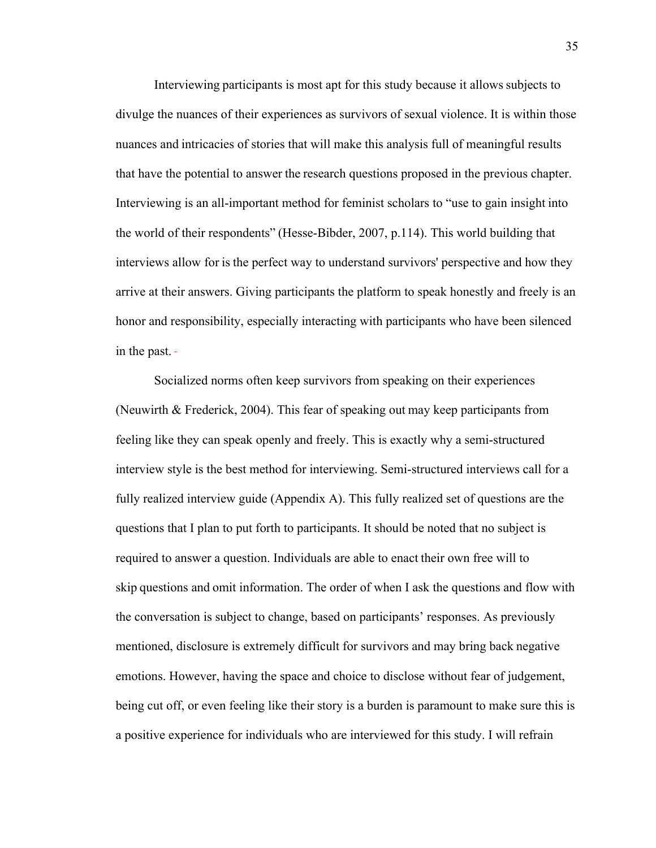Interviewing participants is most apt for this study because it allows subjects to divulge the nuances of their experiences as survivors of sexual violence. It is within those nuances and intricacies of stories that will make this analysis full of meaningful results that have the potential to answer the research questions proposed in the previous chapter. Interviewing is an all-important method for feminist scholars to "use to gain insight into the world of their respondents" (Hesse-Bibder, 2007, p.114). This world building that interviews allow for is the perfect way to understand survivors' perspective and how they arrive at their answers. Giving participants the platform to speak honestly and freely is an honor and responsibility, especially interacting with participants who have been silenced in the past.     

Socialized norms often keep survivors from speaking on their experiences (Neuwirth & Frederick, 2004). This fear of speaking out may keep participants from feeling like they can speak openly and freely. This is exactly why a semi-structured interview style is the best method for interviewing. Semi-structured interviews call for a fully realized interview guide (Appendix A). This fully realized set of questions are the questions that I plan to put forth to participants. It should be noted that no subject is required to answer a question. Individuals are able to enact their own free will to skip questions and omit information. The order of when I ask the questions and flow with the conversation is subject to change, based on participants' responses. As previously mentioned, disclosure is extremely difficult for survivors and may bring back negative emotions. However, having the space and choice to disclose without fear of judgement, being cut off, or even feeling like their story is a burden is paramount to make sure this is a positive experience for individuals who are interviewed for this study. I will refrain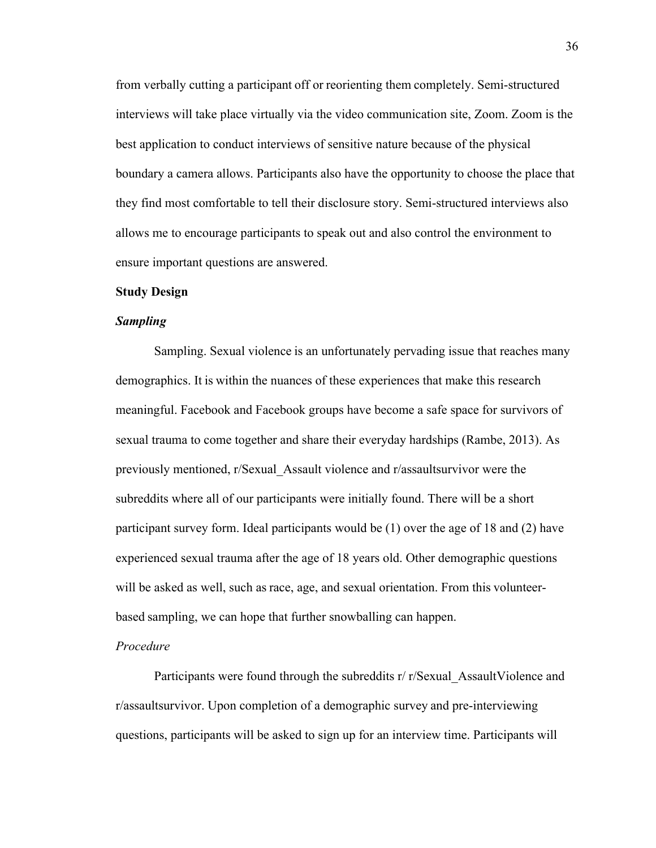from verbally cutting a participant off or reorienting them completely. Semi-structured interviews will take place virtually via the video communication site, Zoom. Zoom is the best application to conduct interviews of sensitive nature because of the physical boundary a camera allows. Participants also have the opportunity to choose the place that they find most comfortable to tell their disclosure story. Semi-structured interviews also allows me to encourage participants to speak out and also control the environment to ensure important questions are answered.     

# **Study Design**

#### *Sampling*

Sampling. Sexual violence is an unfortunately pervading issue that reaches many demographics. It is within the nuances of these experiences that make this research meaningful. Facebook and Facebook groups have become a safe space for survivors of sexual trauma to come together and share their everyday hardships (Rambe, 2013). As previously mentioned, r/Sexual\_Assault violence and r/assaultsurvivor were the subreddits where all of our participants were initially found. There will be a short participant survey form. Ideal participants would be (1) over the age of 18 and (2) have experienced sexual trauma after the age of 18 years old. Other demographic questions will be asked as well, such as race, age, and sexual orientation. From this volunteerbased sampling, we can hope that further snowballing can happen.    

#### *Procedure*

Participants were found through the subreddits r/ r/Sexual AssaultViolence and r/assaultsurvivor. Upon completion of a demographic survey and pre-interviewing questions, participants will be asked to sign up for an interview time. Participants will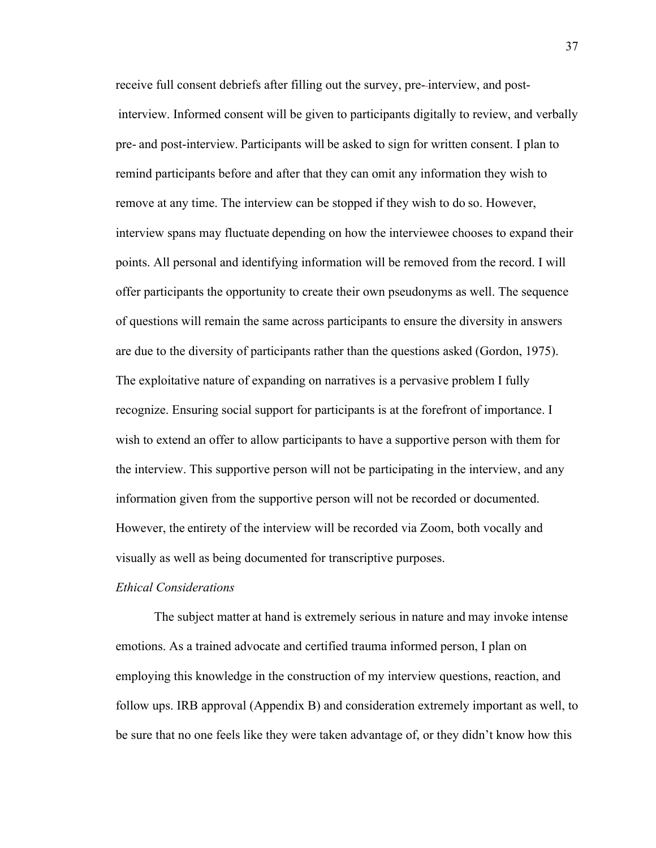receive full consent debriefs after filling out the survey, pre- interview, and post  interview. Informed consent will be given to participants digitally to review, and verbally pre- and post-interview. Participants will be asked to sign for written consent. I plan to remind participants before and after that they can omit any information they wish to remove at any time. The interview can be stopped if they wish to do so. However, interview spans may fluctuate depending on how the interviewee chooses to expand their points. All personal and identifying information will be removed from the record. I will offer participants the opportunity to create their own pseudonyms as well. The sequence of questions will remain the same across participants to ensure the diversity in answers are due to the diversity of participants rather than the questions asked (Gordon, 1975). The exploitative nature of expanding on narratives is a pervasive problem I fully recognize. Ensuring social support for participants is at the forefront of importance. I wish to extend an offer to allow participants to have a supportive person with them for the interview. This supportive person will not be participating in the interview, and any information given from the supportive person will not be recorded or documented. However, the entirety of the interview will be recorded via Zoom, both vocally and visually as well as being documented for transcriptive purposes.    

### *Ethical Considerations*

The subject matter at hand is extremely serious in nature and may invoke intense emotions. As a trained advocate and certified trauma informed person, I plan on employing this knowledge in the construction of my interview questions, reaction, and follow ups. IRB approval (Appendix B) and consideration extremely important as well, to be sure that no one feels like they were taken advantage of, or they didn't know how this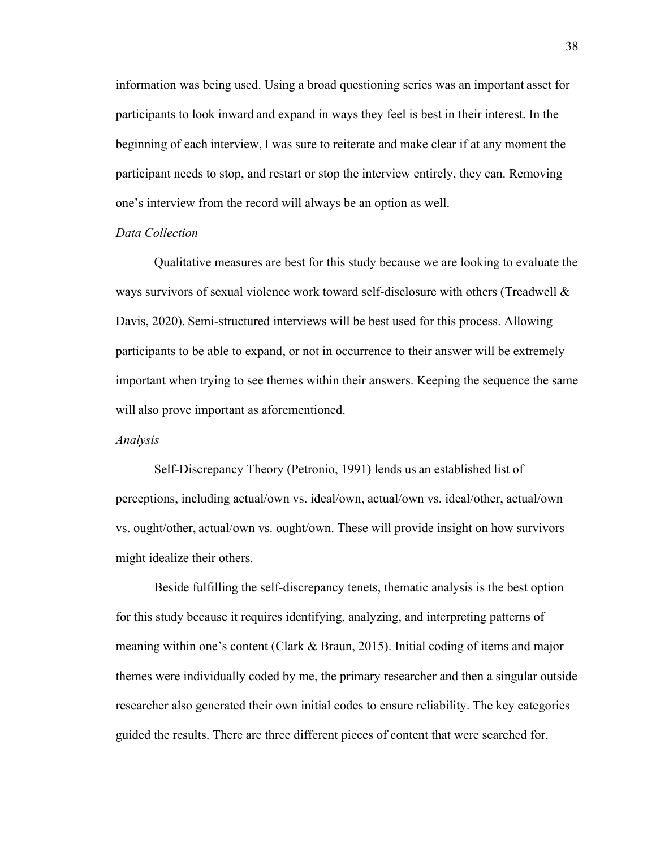information was being used. Using a broad questioning series was an important asset for participants to look inward and expand in ways they feel is best in their interest. In the beginning of each interview, I was sure to reiterate and make clear if at any moment the participant needs to stop, and restart or stop the interview entirely, they can. Removing one's interview from the record will always be an option as well. 

# *Data Collection*

Qualitative measures are best for this study because we are looking to evaluate the ways survivors of sexual violence work toward self-disclosure with others (Treadwell & Davis, 2020). Semi-structured interviews will be best used for this process. Allowing participants to be able to expand, or not in occurrence to their answer will be extremely important when trying to see themes within their answers. Keeping the sequence the same will also prove important as aforementioned.     

#### *Analysis*

Self-Discrepancy Theory (Petronio, 1991) lends us an established list of perceptions, including actual/own vs. ideal/own, actual/own vs. ideal/other, actual/own vs. ought/other, actual/own vs. ought/own. These will provide insight on how survivors might idealize their others.     

Beside fulfilling the self-discrepancy tenets, thematic analysis is the best option for this study because it requires identifying, analyzing, and interpreting patterns of meaning within one's content (Clark & Braun, 2015). Initial coding of items and major themes were individually coded by me, the primary researcher and then a singular outside researcher also generated their own initial codes to ensure reliability. The key categories guided the results. There are three different pieces of content that were searched for.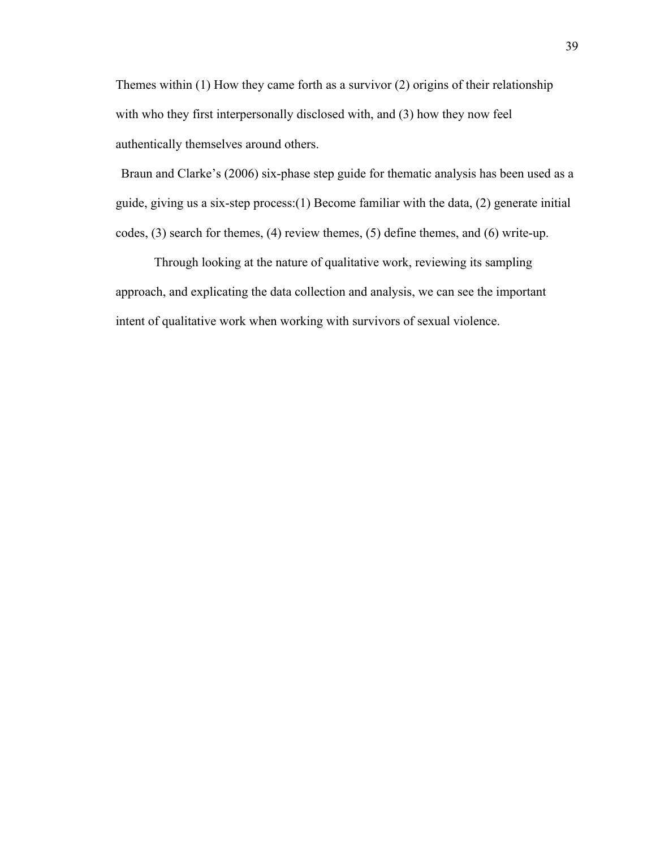Themes within (1) How they came forth as a survivor (2) origins of their relationship with who they first interpersonally disclosed with, and (3) how they now feel authentically themselves around others.     

Braun and Clarke's (2006) six-phase step guide for thematic analysis has been used as a guide, giving us a six-step process:(1) Become familiar with the data, (2) generate initial codes, (3) search for themes, (4) review themes, (5) define themes, and (6) write-up. 

Through looking at the nature of qualitative work, reviewing its sampling approach, and explicating the data collection and analysis, we can see the important intent of qualitative work when working with survivors of sexual violence.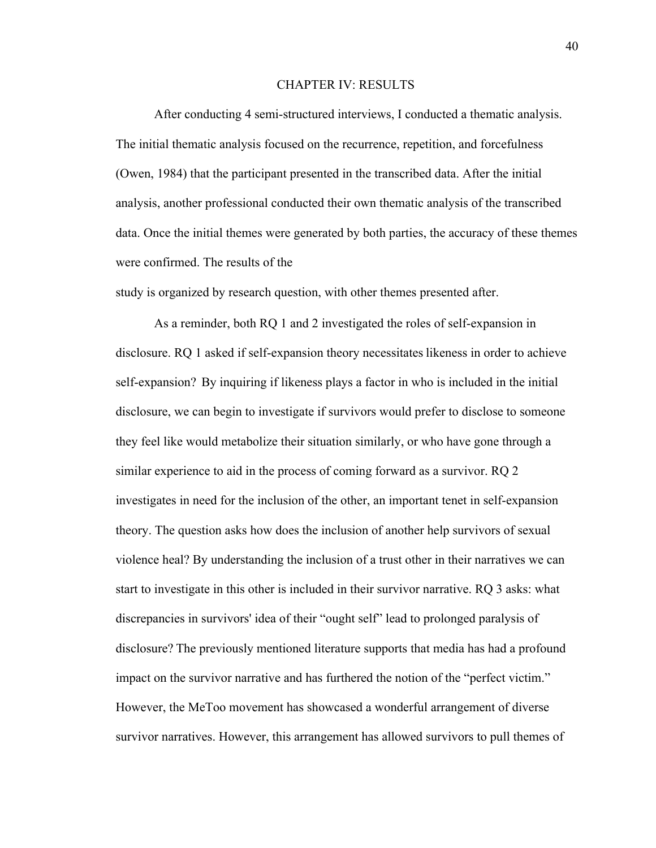### CHAPTER IV: RESULTS

After conducting 4 semi-structured interviews, I conducted a thematic analysis. The initial thematic analysis focused on the recurrence, repetition, and forcefulness (Owen, 1984) that the participant presented in the transcribed data. After the initial analysis, another professional conducted their own thematic analysis of the transcribed data. Once the initial themes were generated by both parties, the accuracy of these themes were confirmed. The results of the 

study is organized by research question, with other themes presented after. 

As a reminder, both RQ 1 and 2 investigated the roles of self-expansion in disclosure. RQ 1 asked if self-expansion theory necessitates likeness in order to achieve self-expansion?  By inquiring if likeness plays a factor in who is included in the initial disclosure, we can begin to investigate if survivors would prefer to disclose to someone they feel like would metabolize their situation similarly, or who have gone through a similar experience to aid in the process of coming forward as a survivor. RQ 2 investigates in need for the inclusion of the other, an important tenet in self-expansion theory. The question asks how does the inclusion of another help survivors of sexual violence heal? By understanding the inclusion of a trust other in their narratives we can start to investigate in this other is included in their survivor narrative. RQ 3 asks: what discrepancies in survivors' idea of their "ought self" lead to prolonged paralysis of disclosure? The previously mentioned literature supports that media has had a profound impact on the survivor narrative and has furthered the notion of the "perfect victim." However, the MeToo movement has showcased a wonderful arrangement of diverse survivor narratives. However, this arrangement has allowed survivors to pull themes of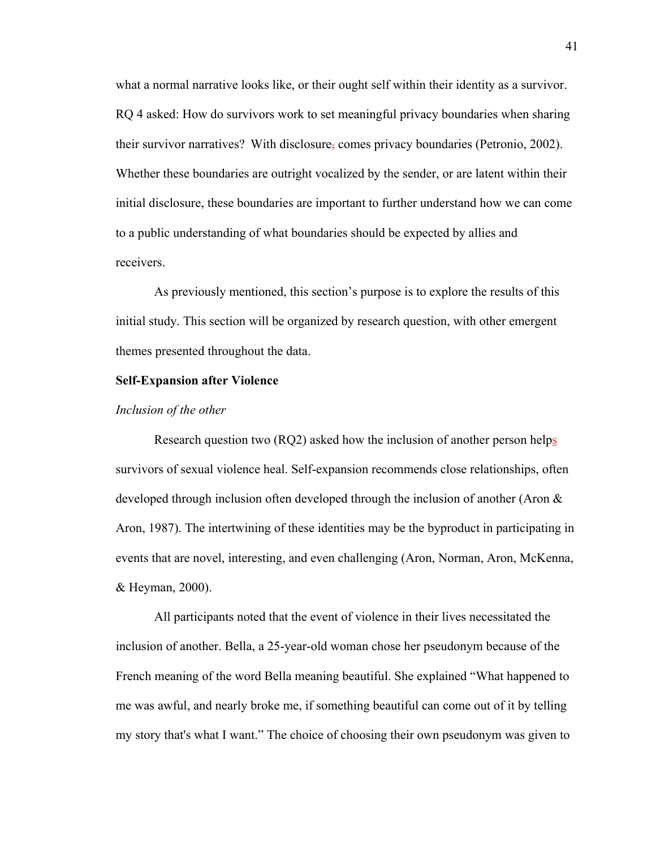what a normal narrative looks like, or their ought self within their identity as a survivor. RQ 4 asked: How do survivors work to set meaningful privacy boundaries when sharing their survivor narratives? With disclosure, comes privacy boundaries (Petronio, 2002). Whether these boundaries are outright vocalized by the sender, or are latent within their initial disclosure, these boundaries are important to further understand how we can come to a public understanding of what boundaries should be expected by allies and receivers. 

As previously mentioned, this section's purpose is to explore the results of this initial study. This section will be organized by research question, with other emergent themes presented throughout the data.  

#### **Self-Expansion after Violence**

#### *Inclusion of the other*

Research question two (RQ2) asked how the inclusion of another person helps survivors of sexual violence heal. Self-expansion recommends close relationships, often developed through inclusion often developed through the inclusion of another (Aron & Aron, 1987). The intertwining of these identities may be the byproduct in participating in events that are novel, interesting, and even challenging (Aron, Norman, Aron, McKenna, & Heyman, 2000). 

All participants noted that the event of violence in their lives necessitated the inclusion of another. Bella, a 25-year-old woman chose her pseudonym because of the French meaning of the word Bella meaning beautiful. She explained "What happened to me was awful, and nearly broke me, if something beautiful can come out of it by telling my story that's what I want." The choice of choosing their own pseudonym was given to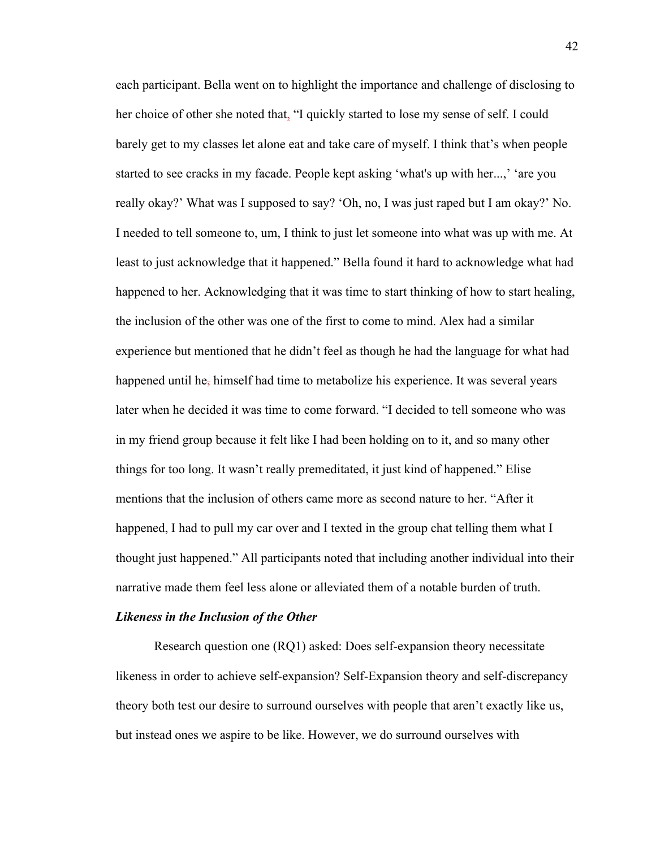each participant. Bella went on to highlight the importance and challenge of disclosing to her choice of other she noted that, "I quickly started to lose my sense of self. I could barely get to my classes let alone eat and take care of myself. I think that's when people started to see cracks in my facade. People kept asking 'what's up with her...,' 'are you really okay?' What was I supposed to say? 'Oh, no, I was just raped but I am okay?' No. I needed to tell someone to, um, I think to just let someone into what was up with me. At least to just acknowledge that it happened." Bella found it hard to acknowledge what had happened to her. Acknowledging that it was time to start thinking of how to start healing, the inclusion of the other was one of the first to come to mind. Alex had a similar experience but mentioned that he didn't feel as though he had the language for what had happened until he, himself had time to metabolize his experience. It was several years later when he decided it was time to come forward. "I decided to tell someone who was in my friend group because it felt like I had been holding on to it, and so many other things for too long. It wasn't really premeditated, it just kind of happened." Elise mentions that the inclusion of others came more as second nature to her. "After it happened, I had to pull my car over and I texted in the group chat telling them what I thought just happened." All participants noted that including another individual into their narrative made them feel less alone or alleviated them of a notable burden of truth.  

#### *Likeness in the Inclusion of the Other*

Research question one (RQ1) asked: Does self-expansion theory necessitate likeness in order to achieve self-expansion? Self-Expansion theory and self-discrepancy theory both test our desire to surround ourselves with people that aren't exactly like us, but instead ones we aspire to be like. However, we do surround ourselves with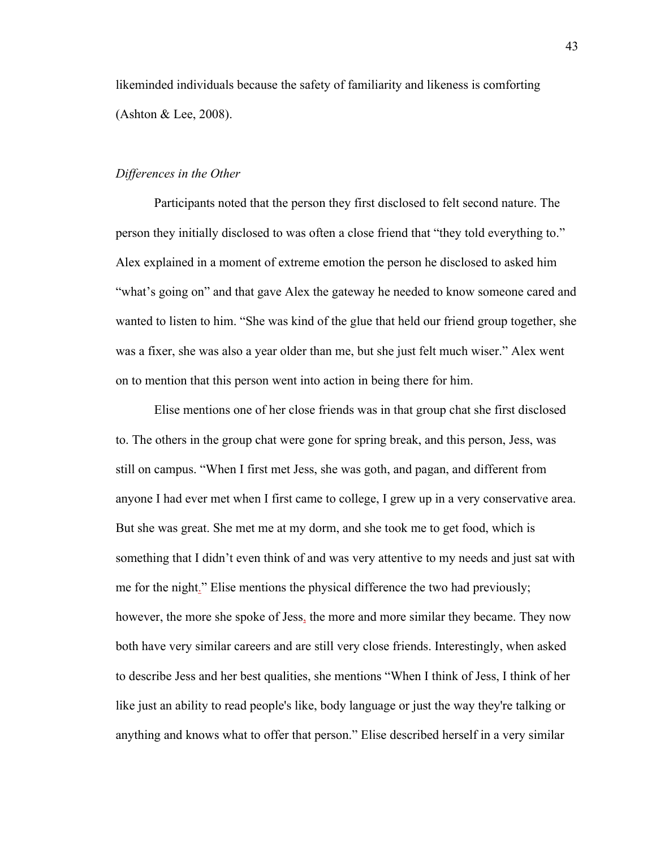likeminded individuals because the safety of familiarity and likeness is comforting (Ashton & Lee, 2008). 

## *Differences in the Other*

Participants noted that the person they first disclosed to felt second nature. The person they initially disclosed to was often a close friend that "they told everything to." Alex explained in a moment of extreme emotion the person he disclosed to asked him "what's going on" and that gave Alex the gateway he needed to know someone cared and wanted to listen to him. "She was kind of the glue that held our friend group together, she was a fixer, she was also a year older than me, but she just felt much wiser." Alex went on to mention that this person went into action in being there for him.  

Elise mentions one of her close friends was in that group chat she first disclosed to. The others in the group chat were gone for spring break, and this person, Jess, was still on campus. "When I first met Jess, she was goth, and pagan, and different from anyone I had ever met when I first came to college, I grew up in a very conservative area. But she was great. She met me at my dorm, and she took me to get food, which is something that I didn't even think of and was very attentive to my needs and just sat with me for the night." Elise mentions the physical difference the two had previously; however, the more she spoke of Jess, the more and more similar they became. They now both have very similar careers and are still very close friends. Interestingly, when asked to describe Jess and her best qualities, she mentions "When I think of Jess, I think of her like just an ability to read people's like, body language or just the way they're talking or anything and knows what to offer that person." Elise described herself in a very similar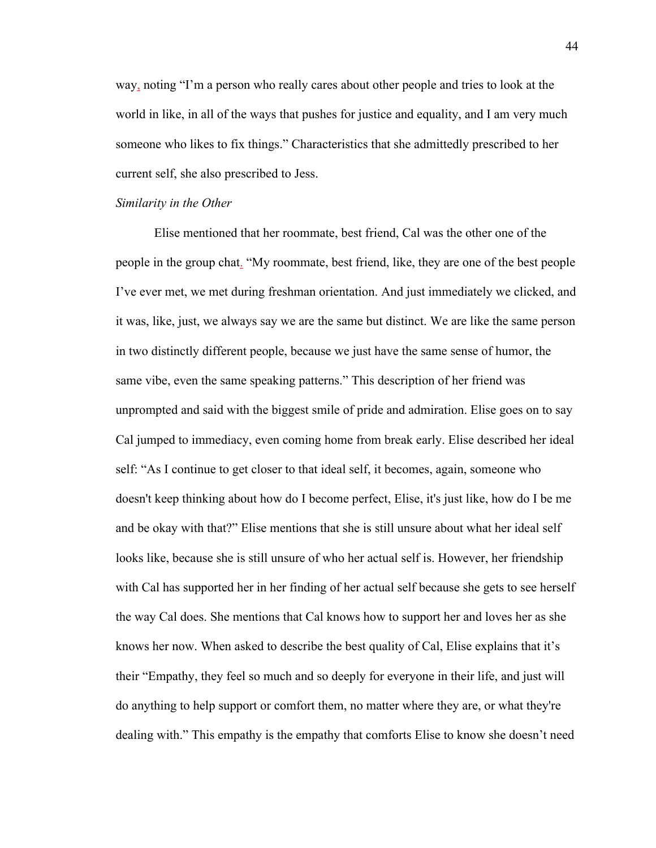way, noting "I'm a person who really cares about other people and tries to look at the world in like, in all of the ways that pushes for justice and equality, and I am very much someone who likes to fix things." Characteristics that she admittedly prescribed to her current self, she also prescribed to Jess.  

#### *Similarity in the Other*

Elise mentioned that her roommate, best friend, Cal was the other one of the people in the group chat. "My roommate, best friend, like, they are one of the best people I've ever met, we met during freshman orientation. And just immediately we clicked, and it was, like, just, we always say we are the same but distinct. We are like the same person in two distinctly different people, because we just have the same sense of humor, the same vibe, even the same speaking patterns." This description of her friend was unprompted and said with the biggest smile of pride and admiration. Elise goes on to say Cal jumped to immediacy, even coming home from break early. Elise described her ideal self: "As I continue to get closer to that ideal self, it becomes, again, someone who doesn't keep thinking about how do I become perfect, Elise, it's just like, how do I be me and be okay with that?" Elise mentions that she is still unsure about what her ideal self looks like, because she is still unsure of who her actual self is. However, her friendship with Cal has supported her in her finding of her actual self because she gets to see herself the way Cal does. She mentions that Cal knows how to support her and loves her as she knows her now. When asked to describe the best quality of Cal, Elise explains that it's their "Empathy, they feel so much and so deeply for everyone in their life, and just will do anything to help support or comfort them, no matter where they are, or what they're dealing with." This empathy is the empathy that comforts Elise to know she doesn't need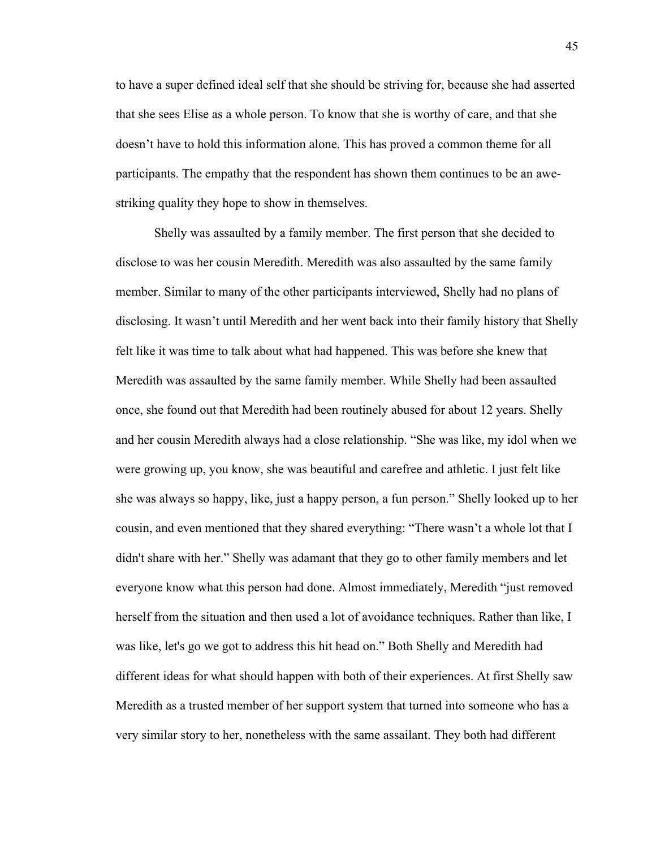to have a super defined ideal self that she should be striving for, because she had asserted that she sees Elise as a whole person. To know that she is worthy of care, and that she doesn't have to hold this information alone. This has proved a common theme for all participants. The empathy that the respondent has shown them continues to be an awestriking quality they hope to show in themselves. 

Shelly was assaulted by a family member. The first person that she decided to disclose to was her cousin Meredith. Meredith was also assaulted by the same family member. Similar to many of the other participants interviewed, Shelly had no plans of disclosing. It wasn't until Meredith and her went back into their family history that Shelly felt like it was time to talk about what had happened. This was before she knew that Meredith was assaulted by the same family member. While Shelly had been assaulted once, she found out that Meredith had been routinely abused for about 12 years. Shelly and her cousin Meredith always had a close relationship. "She was like, my idol when we were growing up, you know, she was beautiful and carefree and athletic. I just felt like she was always so happy, like, just a happy person, a fun person." Shelly looked up to her cousin, and even mentioned that they shared everything: "There wasn't a whole lot that I didn't share with her." Shelly was adamant that they go to other family members and let everyone know what this person had done. Almost immediately, Meredith "just removed herself from the situation and then used a lot of avoidance techniques. Rather than like, I was like, let's go we got to address this hit head on." Both Shelly and Meredith had different ideas for what should happen with both of their experiences. At first Shelly saw Meredith as a trusted member of her support system that turned into someone who has a very similar story to her, nonetheless with the same assailant. They both had different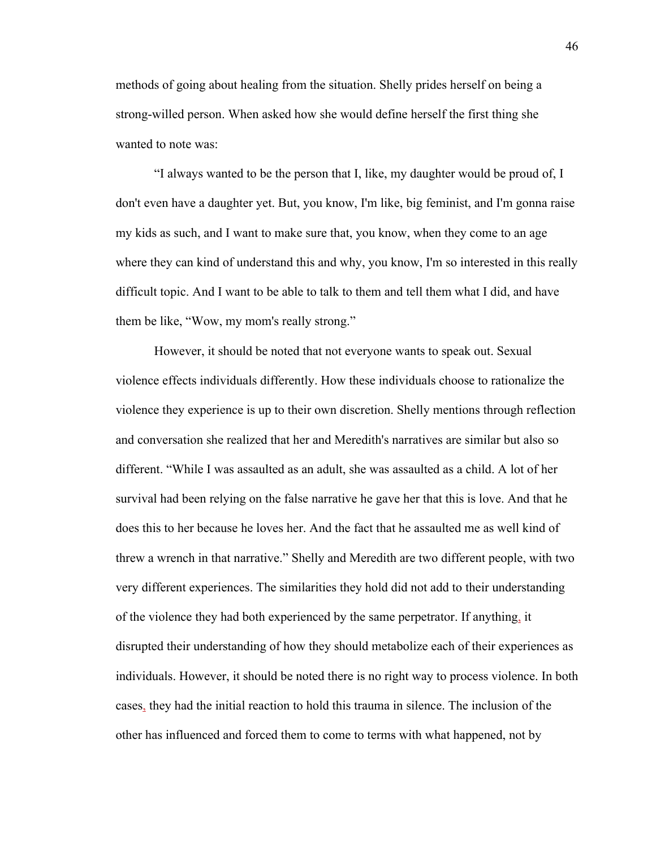methods of going about healing from the situation. Shelly prides herself on being a strong-willed person. When asked how she would define herself the first thing she wanted to note was: 

"I always wanted to be the person that I, like, my daughter would be proud of, I don't even have a daughter yet. But, you know, I'm like, big feminist, and I'm gonna raise my kids as such, and I want to make sure that, you know, when they come to an age where they can kind of understand this and why, you know, I'm so interested in this really difficult topic. And I want to be able to talk to them and tell them what I did, and have them be like, "Wow, my mom's really strong." 

However, it should be noted that not everyone wants to speak out. Sexual violence effects individuals differently. How these individuals choose to rationalize the violence they experience is up to their own discretion. Shelly mentions through reflection and conversation she realized that her and Meredith's narratives are similar but also so different. "While I was assaulted as an adult, she was assaulted as a child. A lot of her survival had been relying on the false narrative he gave her that this is love. And that he does this to her because he loves her. And the fact that he assaulted me as well kind of threw a wrench in that narrative." Shelly and Meredith are two different people, with two very different experiences. The similarities they hold did not add to their understanding of the violence they had both experienced by the same perpetrator. If anything, it disrupted their understanding of how they should metabolize each of their experiences as individuals. However, it should be noted there is no right way to process violence. In both cases, they had the initial reaction to hold this trauma in silence. The inclusion of the other has influenced and forced them to come to terms with what happened, not by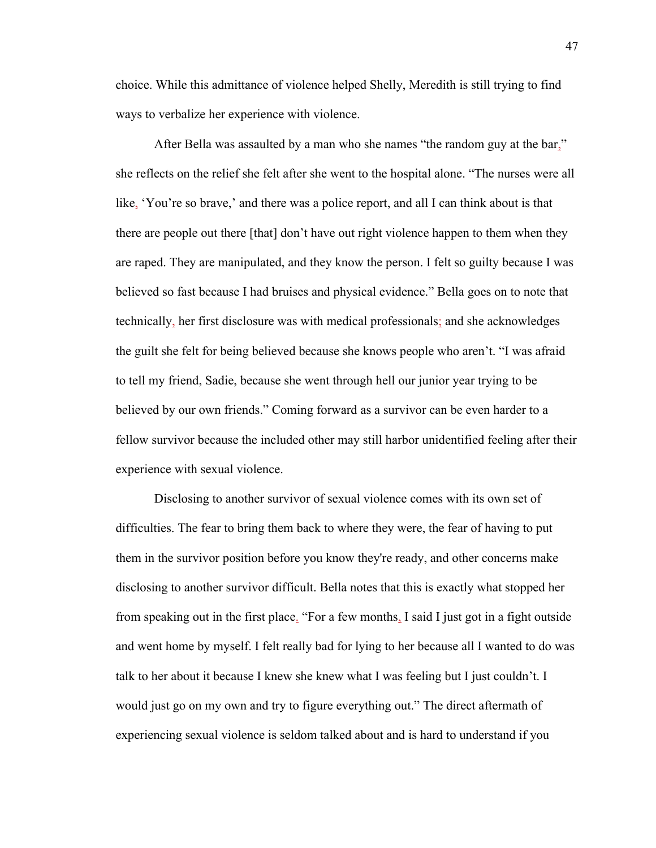choice. While this admittance of violence helped Shelly, Meredith is still trying to find ways to verbalize her experience with violence.  

After Bella was assaulted by a man who she names "the random guy at the bar," she reflects on the relief she felt after she went to the hospital alone. "The nurses were all like, 'You're so brave,' and there was a police report, and all I can think about is that there are people out there [that] don't have out right violence happen to them when they are raped. They are manipulated, and they know the person. I felt so guilty because I was believed so fast because I had bruises and physical evidence." Bella goes on to note that technically, her first disclosure was with medical professionals; and she acknowledges the guilt she felt for being believed because she knows people who aren't. "I was afraid to tell my friend, Sadie, because she went through hell our junior year trying to be believed by our own friends." Coming forward as a survivor can be even harder to a fellow survivor because the included other may still harbor unidentified feeling after their experience with sexual violence.  

Disclosing to another survivor of sexual violence comes with its own set of difficulties. The fear to bring them back to where they were, the fear of having to put them in the survivor position before you know they're ready, and other concerns make disclosing to another survivor difficult. Bella notes that this is exactly what stopped her from speaking out in the first place. "For a few months, I said I just got in a fight outside and went home by myself. I felt really bad for lying to her because all I wanted to do was talk to her about it because I knew she knew what I was feeling but I just couldn't. I would just go on my own and try to figure everything out." The direct aftermath of experiencing sexual violence is seldom talked about and is hard to understand if you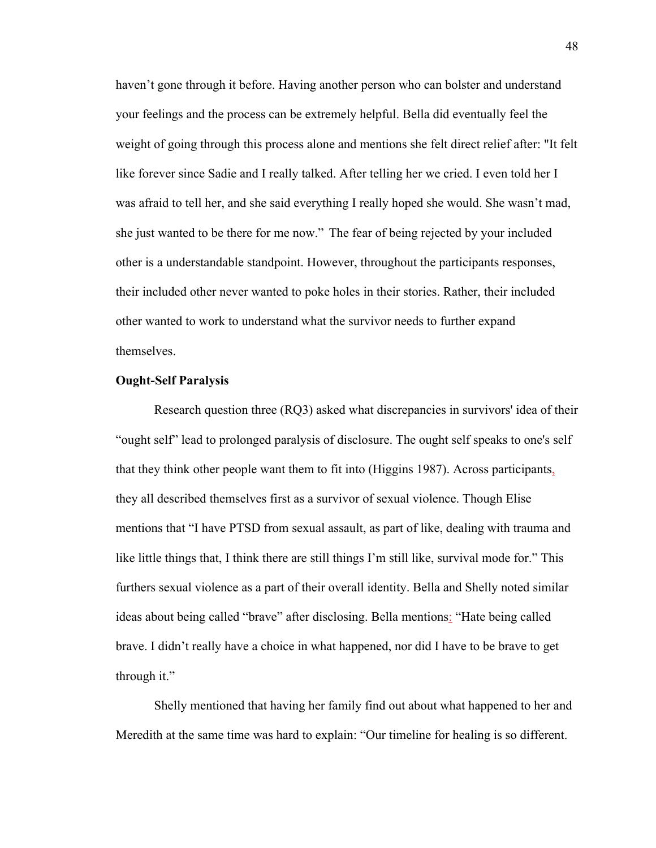haven't gone through it before. Having another person who can bolster and understand your feelings and the process can be extremely helpful. Bella did eventually feel the weight of going through this process alone and mentions she felt direct relief after: "It felt like forever since Sadie and I really talked. After telling her we cried. I even told her I was afraid to tell her, and she said everything I really hoped she would. She wasn't mad, she just wanted to be there for me now."  The fear of being rejected by your included other is a understandable standpoint. However, throughout the participants responses, their included other never wanted to poke holes in their stories. Rather, their included other wanted to work to understand what the survivor needs to further expand themselves.

#### **Ought-Self Paralysis**

Research question three (RQ3) asked what discrepancies in survivors' idea of their "ought self" lead to prolonged paralysis of disclosure. The ought self speaks to one's self that they think other people want them to fit into (Higgins 1987). Across participants, they all described themselves first as a survivor of sexual violence. Though Elise mentions that "I have PTSD from sexual assault, as part of like, dealing with trauma and like little things that, I think there are still things I'm still like, survival mode for." This furthers sexual violence as a part of their overall identity. Bella and Shelly noted similar ideas about being called "brave" after disclosing. Bella mentions: "Hate being called brave. I didn't really have a choice in what happened, nor did I have to be brave to get through it."   

Shelly mentioned that having her family find out about what happened to her and Meredith at the same time was hard to explain: "Our timeline for healing is so different.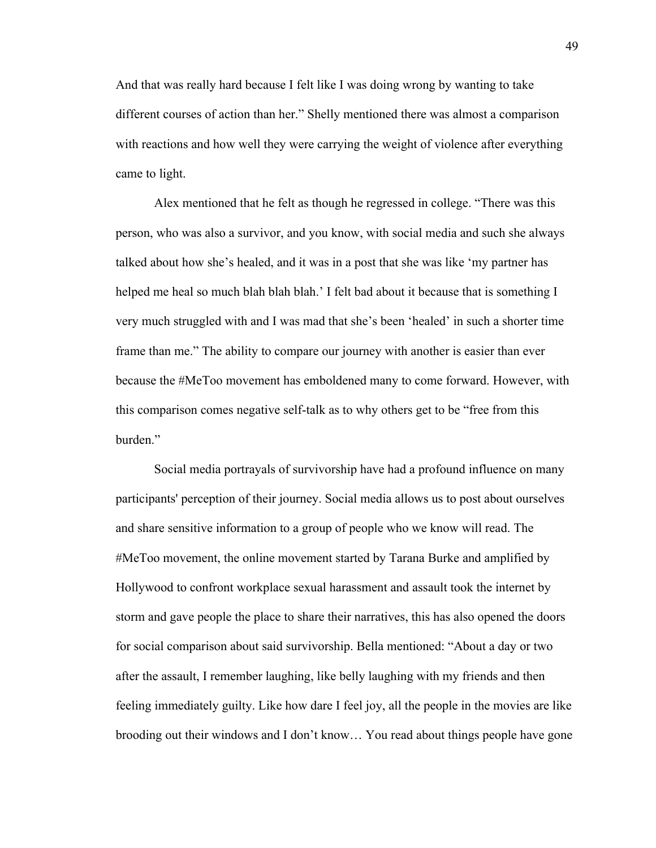And that was really hard because I felt like I was doing wrong by wanting to take different courses of action than her." Shelly mentioned there was almost a comparison with reactions and how well they were carrying the weight of violence after everything came to light.  

Alex mentioned that he felt as though he regressed in college. "There was this person, who was also a survivor, and you know, with social media and such she always talked about how she's healed, and it was in a post that she was like 'my partner has helped me heal so much blah blah blah.' I felt bad about it because that is something I very much struggled with and I was mad that she's been 'healed' in such a shorter time frame than me." The ability to compare our journey with another is easier than ever because the #MeToo movement has emboldened many to come forward. However, with this comparison comes negative self-talk as to why others get to be "free from this burden." 

Social media portrayals of survivorship have had a profound influence on many participants' perception of their journey. Social media allows us to post about ourselves and share sensitive information to a group of people who we know will read. The #MeToo movement, the online movement started by Tarana Burke and amplified by Hollywood to confront workplace sexual harassment and assault took the internet by storm and gave people the place to share their narratives, this has also opened the doors for social comparison about said survivorship. Bella mentioned: "About a day or two after the assault, I remember laughing, like belly laughing with my friends and then feeling immediately guilty. Like how dare I feel joy, all the people in the movies are like brooding out their windows and I don't know… You read about things people have gone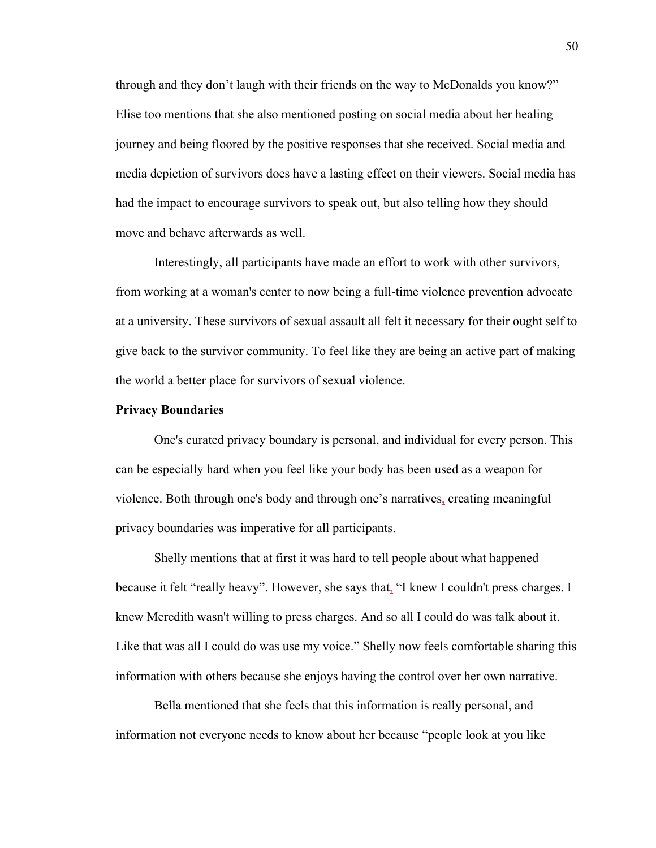through and they don't laugh with their friends on the way to McDonalds you know?" Elise too mentions that she also mentioned posting on social media about her healing journey and being floored by the positive responses that she received. Social media and media depiction of survivors does have a lasting effect on their viewers. Social media has had the impact to encourage survivors to speak out, but also telling how they should move and behave afterwards as well.  

Interestingly, all participants have made an effort to work with other survivors, from working at a woman's center to now being a full-time violence prevention advocate at a university. These survivors of sexual assault all felt it necessary for their ought self to give back to the survivor community. To feel like they are being an active part of making the world a better place for survivors of sexual violence.  

#### **Privacy Boundaries**

One's curated privacy boundary is personal, and individual for every person. This can be especially hard when you feel like your body has been used as a weapon for violence. Both through one's body and through one's narratives, creating meaningful privacy boundaries was imperative for all participants.  

Shelly mentions that at first it was hard to tell people about what happened because it felt "really heavy". However, she says that, "I knew I couldn't press charges. I knew Meredith wasn't willing to press charges. And so all I could do was talk about it. Like that was all I could do was use my voice." Shelly now feels comfortable sharing this information with others because she enjoys having the control over her own narrative.  

Bella mentioned that she feels that this information is really personal, and information not everyone needs to know about her because "people look at you like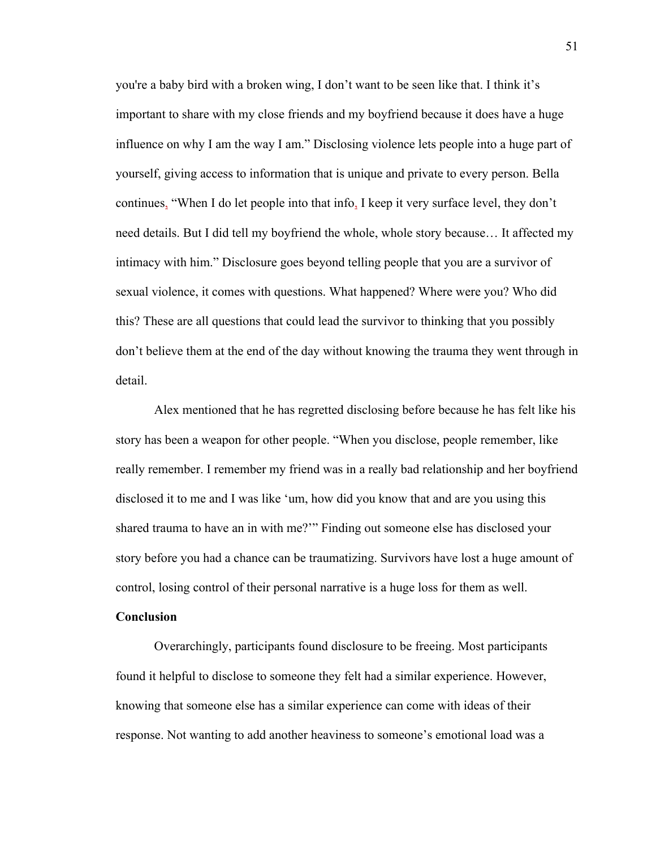you're a baby bird with a broken wing, I don't want to be seen like that. I think it's important to share with my close friends and my boyfriend because it does have a huge influence on why I am the way I am." Disclosing violence lets people into a huge part of yourself, giving access to information that is unique and private to every person. Bella continues, "When I do let people into that info, I keep it very surface level, they don't need details. But I did tell my boyfriend the whole, whole story because… It affected my intimacy with him." Disclosure goes beyond telling people that you are a survivor of sexual violence, it comes with questions. What happened? Where were you? Who did this? These are all questions that could lead the survivor to thinking that you possibly don't believe them at the end of the day without knowing the trauma they went through in detail.  

Alex mentioned that he has regretted disclosing before because he has felt like his story has been a weapon for other people. "When you disclose, people remember, like really remember. I remember my friend was in a really bad relationship and her boyfriend disclosed it to me and I was like 'um, how did you know that and are you using this shared trauma to have an in with me?'" Finding out someone else has disclosed your story before you had a chance can be traumatizing. Survivors have lost a huge amount of control, losing control of their personal narrative is a huge loss for them as well. 

## **Conclusion**

Overarchingly, participants found disclosure to be freeing. Most participants found it helpful to disclose to someone they felt had a similar experience. However, knowing that someone else has a similar experience can come with ideas of their response. Not wanting to add another heaviness to someone's emotional load was a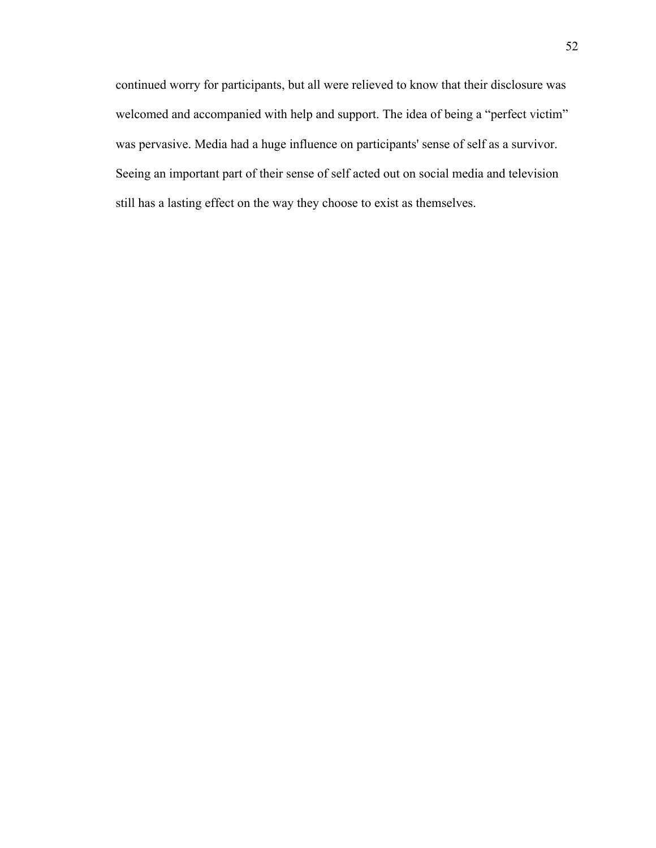continued worry for participants, but all were relieved to know that their disclosure was welcomed and accompanied with help and support. The idea of being a "perfect victim" was pervasive. Media had a huge influence on participants' sense of self as a survivor. Seeing an important part of their sense of self acted out on social media and television still has a lasting effect on the way they choose to exist as themselves.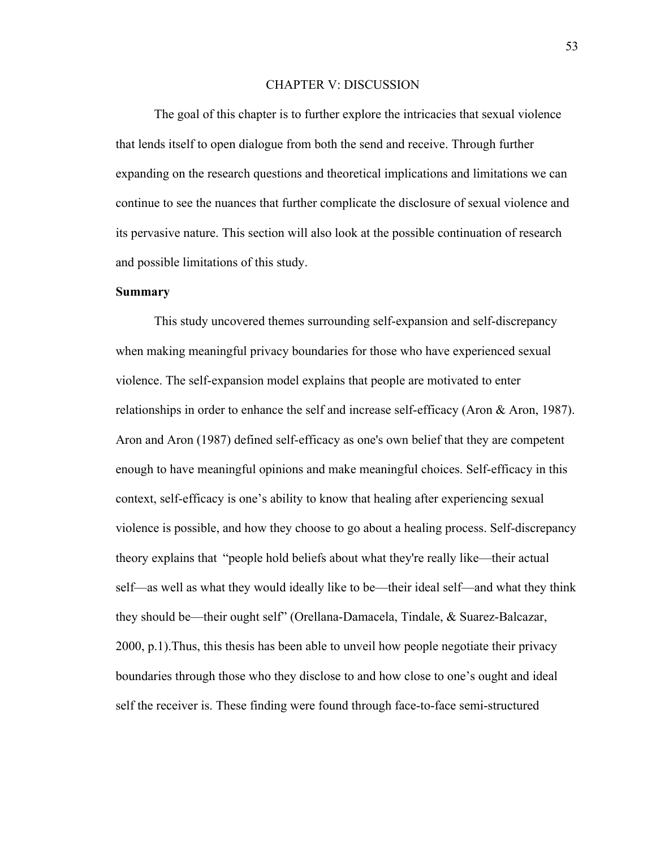### CHAPTER V: DISCUSSION

The goal of this chapter is to further explore the intricacies that sexual violence that lends itself to open dialogue from both the send and receive. Through further expanding on the research questions and theoretical implications and limitations we can continue to see the nuances that further complicate the disclosure of sexual violence and its pervasive nature. This section will also look at the possible continuation of research and possible limitations of this study.  

# **Summary**

This study uncovered themes surrounding self-expansion and self-discrepancy when making meaningful privacy boundaries for those who have experienced sexual violence. The self-expansion model explains that people are motivated to enter relationships in order to enhance the self and increase self-efficacy (Aron & Aron, 1987). Aron and Aron (1987) defined self-efficacy as one's own belief that they are competent enough to have meaningful opinions and make meaningful choices. Self-efficacy in this context, self-efficacy is one's ability to know that healing after experiencing sexual violence is possible, and how they choose to go about a healing process. Self-discrepancy theory explains that  "people hold beliefs about what they're really like—their actual self—as well as what they would ideally like to be—their ideal self—and what they think they should be—their ought self" (Orellana-Damacela, Tindale, & Suarez-Balcazar, 2000, p.1).Thus, this thesis has been able to unveil how people negotiate their privacy boundaries through those who they disclose to and how close to one's ought and ideal self the receiver is. These finding were found through face-to-face semi-structured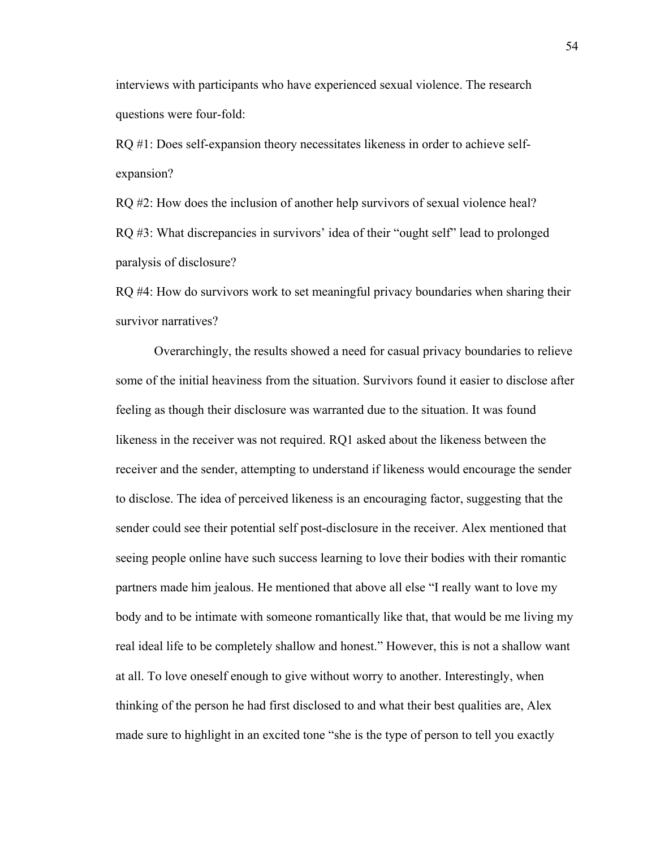interviews with participants who have experienced sexual violence. The research questions were four-fold: 

RQ #1: Does self-expansion theory necessitates likeness in order to achieve selfexpansion?  

RQ #2: How does the inclusion of another help survivors of sexual violence heal? RQ #3: What discrepancies in survivors' idea of their "ought self" lead to prolonged paralysis of disclosure?  

RQ #4: How do survivors work to set meaningful privacy boundaries when sharing their survivor narratives?  

Overarchingly, the results showed a need for casual privacy boundaries to relieve some of the initial heaviness from the situation. Survivors found it easier to disclose after feeling as though their disclosure was warranted due to the situation. It was found likeness in the receiver was not required. RQ1 asked about the likeness between the receiver and the sender, attempting to understand if likeness would encourage the sender to disclose. The idea of perceived likeness is an encouraging factor, suggesting that the sender could see their potential self post-disclosure in the receiver. Alex mentioned that seeing people online have such success learning to love their bodies with their romantic partners made him jealous. He mentioned that above all else "I really want to love my body and to be intimate with someone romantically like that, that would be me living my real ideal life to be completely shallow and honest." However, this is not a shallow want at all. To love oneself enough to give without worry to another. Interestingly, when thinking of the person he had first disclosed to and what their best qualities are, Alex made sure to highlight in an excited tone "she is the type of person to tell you exactly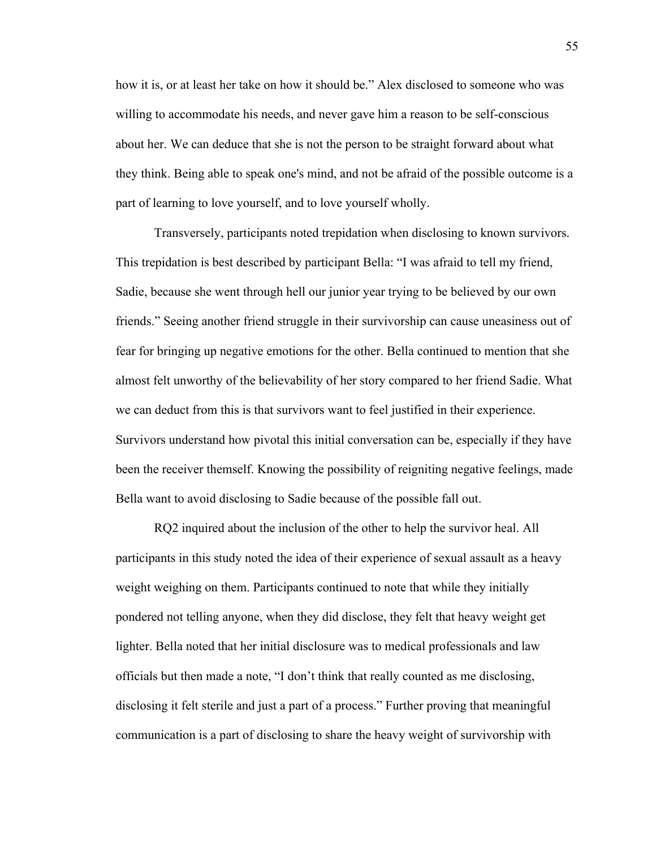how it is, or at least her take on how it should be." Alex disclosed to someone who was willing to accommodate his needs, and never gave him a reason to be self-conscious about her. We can deduce that she is not the person to be straight forward about what they think. Being able to speak one's mind, and not be afraid of the possible outcome is a part of learning to love yourself, and to love yourself wholly.  

Transversely, participants noted trepidation when disclosing to known survivors. This trepidation is best described by participant Bella: "I was afraid to tell my friend, Sadie, because she went through hell our junior year trying to be believed by our own friends." Seeing another friend struggle in their survivorship can cause uneasiness out of fear for bringing up negative emotions for the other. Bella continued to mention that she almost felt unworthy of the believability of her story compared to her friend Sadie. What we can deduct from this is that survivors want to feel justified in their experience. Survivors understand how pivotal this initial conversation can be, especially if they have been the receiver themself. Knowing the possibility of reigniting negative feelings, made Bella want to avoid disclosing to Sadie because of the possible fall out.  

RQ2 inquired about the inclusion of the other to help the survivor heal. All participants in this study noted the idea of their experience of sexual assault as a heavy weight weighing on them. Participants continued to note that while they initially pondered not telling anyone, when they did disclose, they felt that heavy weight get lighter. Bella noted that her initial disclosure was to medical professionals and law officials but then made a note, "I don't think that really counted as me disclosing, disclosing it felt sterile and just a part of a process." Further proving that meaningful communication is a part of disclosing to share the heavy weight of survivorship with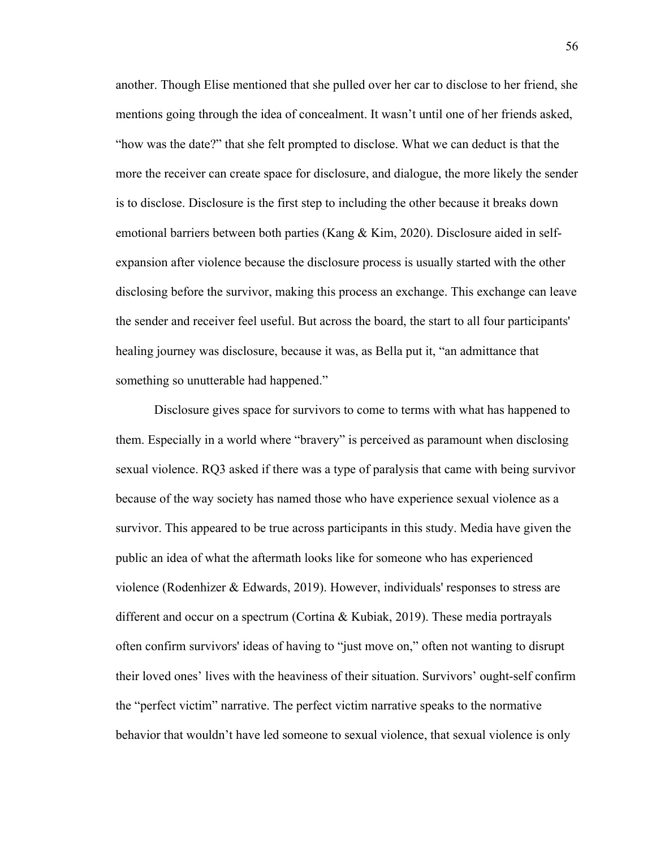another. Though Elise mentioned that she pulled over her car to disclose to her friend, she mentions going through the idea of concealment. It wasn't until one of her friends asked, "how was the date?" that she felt prompted to disclose. What we can deduct is that the more the receiver can create space for disclosure, and dialogue, the more likely the sender is to disclose. Disclosure is the first step to including the other because it breaks down emotional barriers between both parties (Kang & Kim, 2020). Disclosure aided in selfexpansion after violence because the disclosure process is usually started with the other disclosing before the survivor, making this process an exchange. This exchange can leave the sender and receiver feel useful. But across the board, the start to all four participants' healing journey was disclosure, because it was, as Bella put it, "an admittance that something so unutterable had happened." 

Disclosure gives space for survivors to come to terms with what has happened to them. Especially in a world where "bravery" is perceived as paramount when disclosing sexual violence. RQ3 asked if there was a type of paralysis that came with being survivor because of the way society has named those who have experience sexual violence as a survivor. This appeared to be true across participants in this study. Media have given the public an idea of what the aftermath looks like for someone who has experienced violence (Rodenhizer & Edwards, 2019). However, individuals' responses to stress are different and occur on a spectrum (Cortina & Kubiak, 2019). These media portrayals often confirm survivors' ideas of having to "just move on," often not wanting to disrupt their loved ones' lives with the heaviness of their situation. Survivors' ought-self confirm the "perfect victim" narrative. The perfect victim narrative speaks to the normative behavior that wouldn't have led someone to sexual violence, that sexual violence is only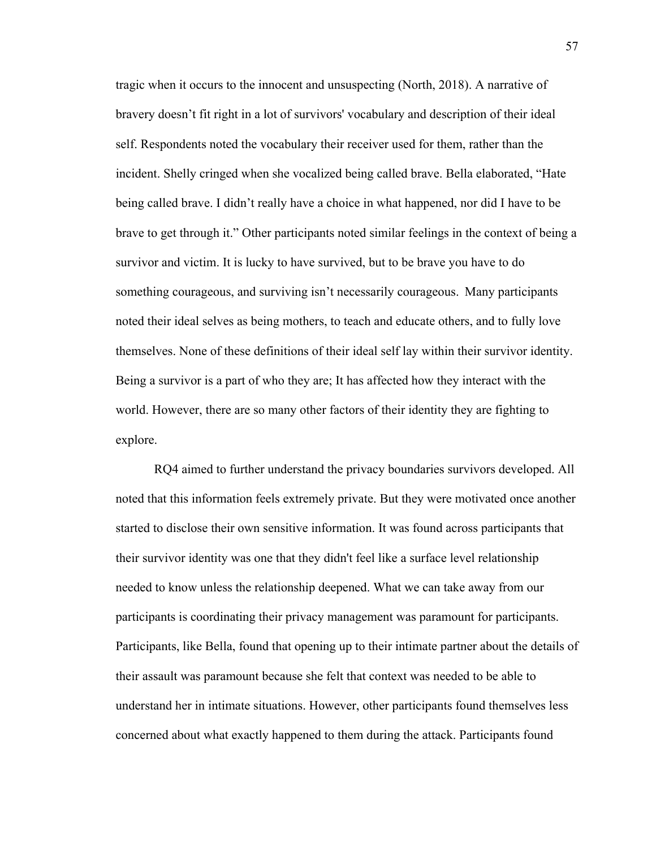tragic when it occurs to the innocent and unsuspecting (North, 2018). A narrative of bravery doesn't fit right in a lot of survivors' vocabulary and description of their ideal self. Respondents noted the vocabulary their receiver used for them, rather than the incident. Shelly cringed when she vocalized being called brave. Bella elaborated, "Hate being called brave. I didn't really have a choice in what happened, nor did I have to be brave to get through it." Other participants noted similar feelings in the context of being a survivor and victim. It is lucky to have survived, but to be brave you have to do something courageous, and surviving isn't necessarily courageous.  Many participants noted their ideal selves as being mothers, to teach and educate others, and to fully love themselves. None of these definitions of their ideal self lay within their survivor identity. Being a survivor is a part of who they are; It has affected how they interact with the world. However, there are so many other factors of their identity they are fighting to explore. 

RQ4 aimed to further understand the privacy boundaries survivors developed. All noted that this information feels extremely private. But they were motivated once another started to disclose their own sensitive information. It was found across participants that their survivor identity was one that they didn't feel like a surface level relationship needed to know unless the relationship deepened. What we can take away from our participants is coordinating their privacy management was paramount for participants. Participants, like Bella, found that opening up to their intimate partner about the details of their assault was paramount because she felt that context was needed to be able to understand her in intimate situations. However, other participants found themselves less concerned about what exactly happened to them during the attack. Participants found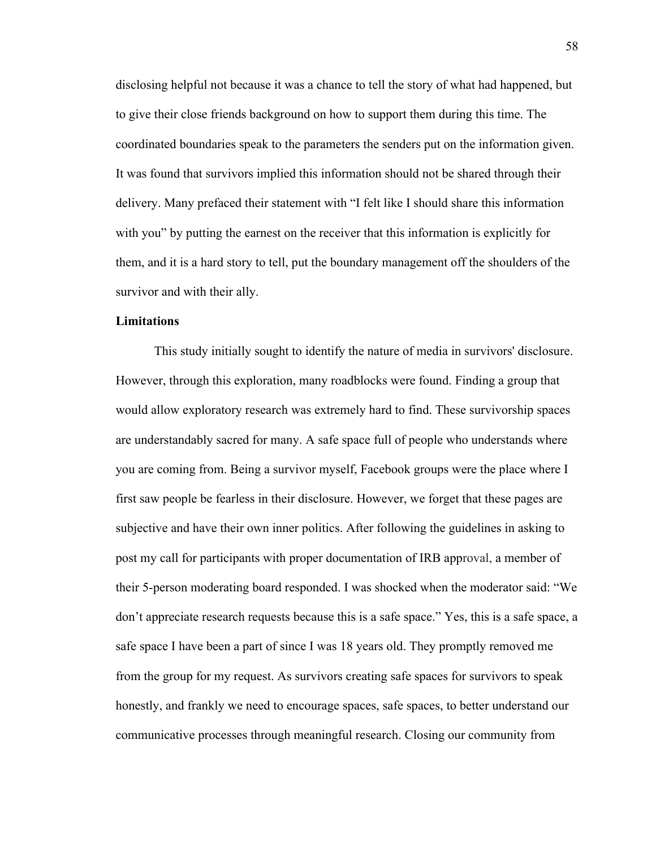disclosing helpful not because it was a chance to tell the story of what had happened, but to give their close friends background on how to support them during this time. The coordinated boundaries speak to the parameters the senders put on the information given. It was found that survivors implied this information should not be shared through their delivery. Many prefaced their statement with "I felt like I should share this information with you" by putting the earnest on the receiver that this information is explicitly for them, and it is a hard story to tell, put the boundary management off the shoulders of the survivor and with their ally.    

# **Limitations**

This study initially sought to identify the nature of media in survivors' disclosure. However, through this exploration, many roadblocks were found. Finding a group that would allow exploratory research was extremely hard to find. These survivorship spaces are understandably sacred for many. A safe space full of people who understands where you are coming from. Being a survivor myself, Facebook groups were the place where I first saw people be fearless in their disclosure. However, we forget that these pages are subjective and have their own inner politics. After following the guidelines in asking to post my call for participants with proper documentation of IRB approval, a member of their 5-person moderating board responded. I was shocked when the moderator said: "We don't appreciate research requests because this is a safe space." Yes, this is a safe space, a safe space I have been a part of since I was 18 years old. They promptly removed me from the group for my request. As survivors creating safe spaces for survivors to speak honestly, and frankly we need to encourage spaces, safe spaces, to better understand our communicative processes through meaningful research. Closing our community from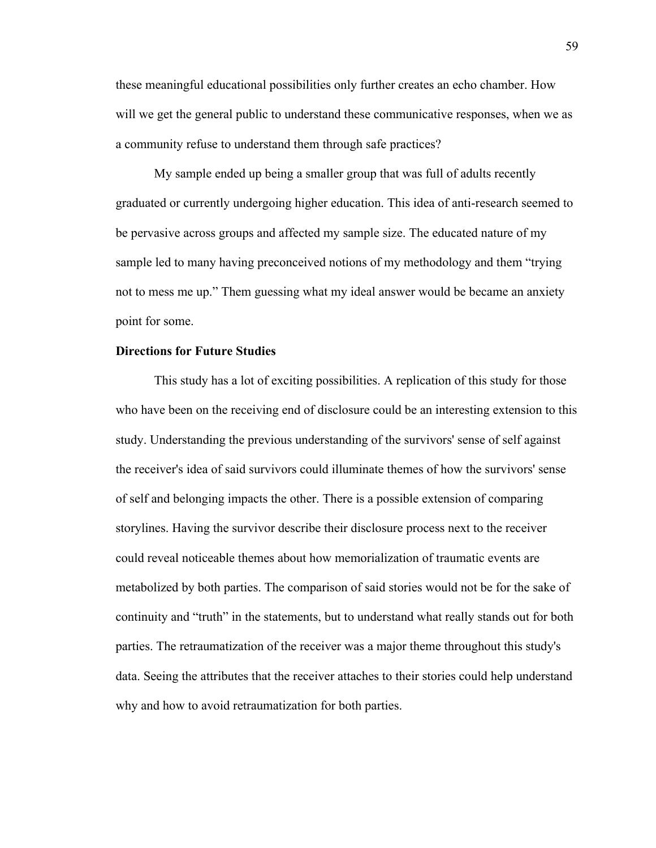these meaningful educational possibilities only further creates an echo chamber. How will we get the general public to understand these communicative responses, when we as a community refuse to understand them through safe practices?  

My sample ended up being a smaller group that was full of adults recently graduated or currently undergoing higher education. This idea of anti-research seemed to be pervasive across groups and affected my sample size. The educated nature of my sample led to many having preconceived notions of my methodology and them "trying not to mess me up." Them guessing what my ideal answer would be became an anxiety point for some.  

# **Directions for Future Studies**

This study has a lot of exciting possibilities. A replication of this study for those who have been on the receiving end of disclosure could be an interesting extension to this study. Understanding the previous understanding of the survivors' sense of self against the receiver's idea of said survivors could illuminate themes of how the survivors' sense of self and belonging impacts the other. There is a possible extension of comparing storylines. Having the survivor describe their disclosure process next to the receiver could reveal noticeable themes about how memorialization of traumatic events are metabolized by both parties. The comparison of said stories would not be for the sake of continuity and "truth" in the statements, but to understand what really stands out for both parties. The retraumatization of the receiver was a major theme throughout this study's data. Seeing the attributes that the receiver attaches to their stories could help understand why and how to avoid retraumatization for both parties.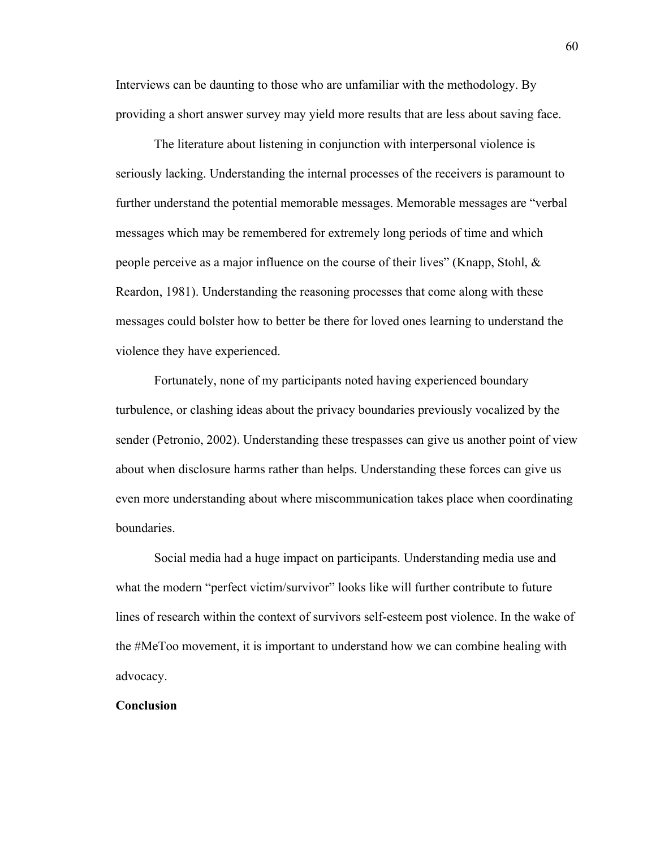Interviews can be daunting to those who are unfamiliar with the methodology. By providing a short answer survey may yield more results that are less about saving face.  

The literature about listening in conjunction with interpersonal violence is seriously lacking. Understanding the internal processes of the receivers is paramount to further understand the potential memorable messages. Memorable messages are "verbal messages which may be remembered for extremely long periods of time and which people perceive as a major influence on the course of their lives" (Knapp, Stohl, & Reardon, 1981). Understanding the reasoning processes that come along with these messages could bolster how to better be there for loved ones learning to understand the violence they have experienced.  

Fortunately, none of my participants noted having experienced boundary turbulence, or clashing ideas about the privacy boundaries previously vocalized by the sender (Petronio, 2002). Understanding these trespasses can give us another point of view about when disclosure harms rather than helps. Understanding these forces can give us even more understanding about where miscommunication takes place when coordinating boundaries.  

Social media had a huge impact on participants. Understanding media use and what the modern "perfect victim/survivor" looks like will further contribute to future lines of research within the context of survivors self-esteem post violence. In the wake of the #MeToo movement, it is important to understand how we can combine healing with advocacy.  

## **Conclusion**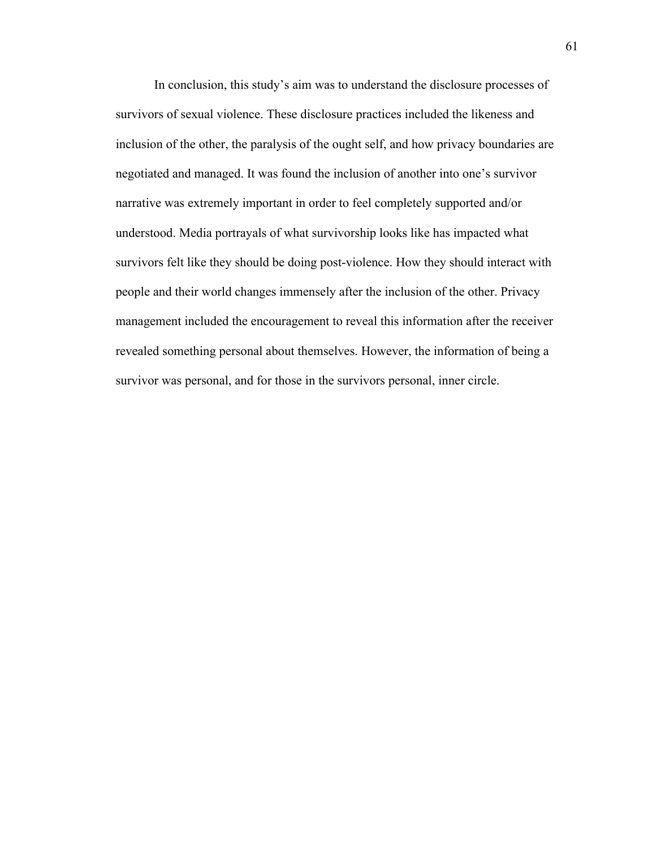In conclusion, this study's aim was to understand the disclosure processes of survivors of sexual violence. These disclosure practices included the likeness and inclusion of the other, the paralysis of the ought self, and how privacy boundaries are negotiated and managed. It was found the inclusion of another into one's survivor narrative was extremely important in order to feel completely supported and/or understood. Media portrayals of what survivorship looks like has impacted what survivors felt like they should be doing post-violence. How they should interact with people and their world changes immensely after the inclusion of the other. Privacy management included the encouragement to reveal this information after the receiver revealed something personal about themselves. However, the information of being a survivor was personal, and for those in the survivors personal, inner circle.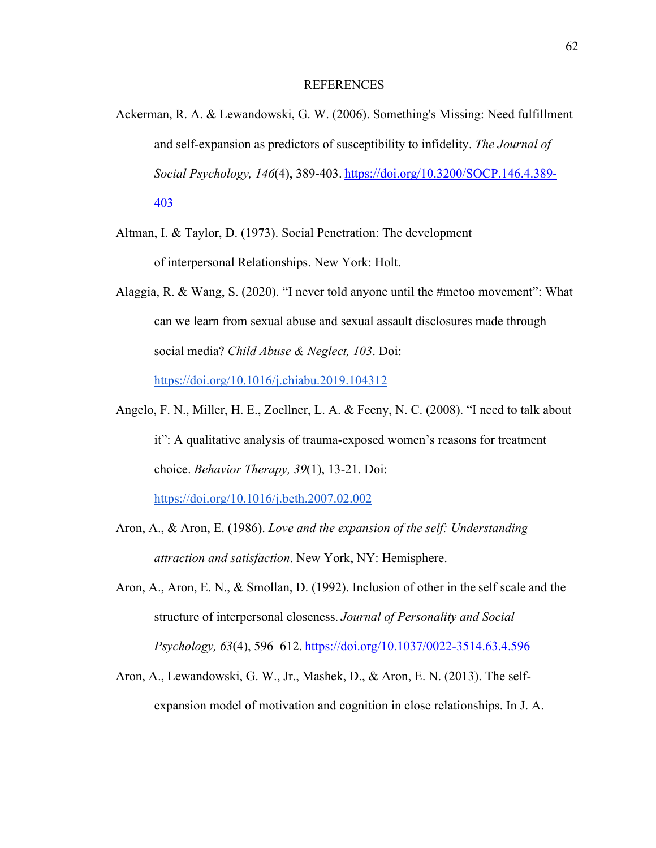### REFERENCES

- Ackerman, R. A. & Lewandowski, G. W. (2006). Something's Missing: Need fulfillment and self-expansion as predictors of susceptibility to infidelity. *The Journal of Social Psychology, 146*(4), 389-403. https://doi.org/10.3200/SOCP.146.4.389- 403
- Altman, I. & Taylor, D. (1973). Social Penetration: The development of interpersonal Relationships. New York: Holt.
- Alaggia, R. & Wang, S. (2020). "I never told anyone until the #metoo movement": What can we learn from sexual abuse and sexual assault disclosures made through social media? *Child Abuse & Neglect, 103*. Doi: https://doi.org/10.1016/j.chiabu.2019.104312
- Angelo, F. N., Miller, H. E., Zoellner, L. A. & Feeny, N. C. (2008). "I need to talk about it": A qualitative analysis of trauma-exposed women's reasons for treatment choice. *Behavior Therapy, 39*(1), 13-21. Doi: https://doi.org/10.1016/j.beth.2007.02.002

Aron, A., & Aron, E. (1986). *Love and the expansion of the self: Understanding attraction and satisfaction*. New York, NY: Hemisphere.

- Aron, A., Aron, E. N., & Smollan, D. (1992). Inclusion of other in the self scale and the structure of interpersonal closeness. *Journal of Personality and Social Psychology, 63*(4), 596–612. https://doi.org/10.1037/0022-3514.63.4.596
- Aron, A., Lewandowski, G. W., Jr., Mashek, D., & Aron, E. N. (2013). The selfexpansion model of motivation and cognition in close relationships. In J. A.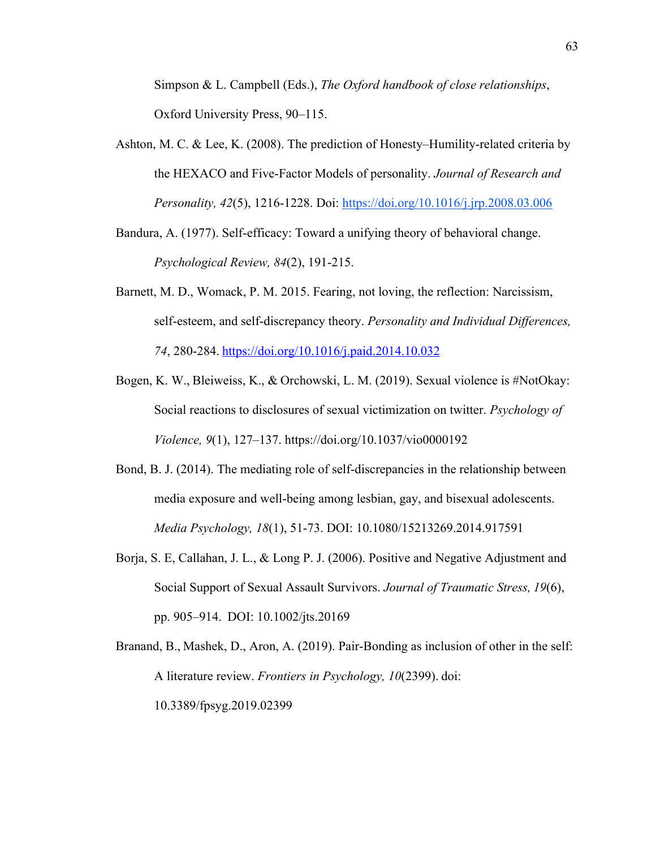Simpson & L. Campbell (Eds.), *The Oxford handbook of close relationships*, Oxford University Press, 90–115.

- Ashton, M. C. & Lee, K. (2008). The prediction of Honesty–Humility-related criteria by the HEXACO and Five-Factor Models of personality. *Journal of Research and Personality, 42*(5), 1216-1228. Doi: https://doi.org/10.1016/j.jrp.2008.03.006
- Bandura, A. (1977). Self-efficacy: Toward a unifying theory of behavioral change. *Psychological Review, 84*(2), 191-215.
- Barnett, M. D., Womack, P. M. 2015. Fearing, not loving, the reflection: Narcissism, self-esteem, and self-discrepancy theory. *Personality and Individual Differences, 74*, 280-284. https://doi.org/10.1016/j.paid.2014.10.032
- Bogen, K. W., Bleiweiss, K., & Orchowski, L. M. (2019). Sexual violence is #NotOkay: Social reactions to disclosures of sexual victimization on twitter. *Psychology of Violence, 9*(1), 127–137. https://doi.org/10.1037/vio0000192
- Bond, B. J. (2014). The mediating role of self-discrepancies in the relationship between media exposure and well-being among lesbian, gay, and bisexual adolescents. *Media Psychology, 18*(1), 51-73. DOI: 10.1080/15213269.2014.917591
- Borja, S. E, Callahan, J. L., & Long P. J. (2006). Positive and Negative Adjustment and Social Support of Sexual Assault Survivors. *Journal of Traumatic Stress, 19*(6), pp. 905–914.  DOI: 10.1002/jts.20169
- Branand, B., Mashek, D., Aron, A. (2019). Pair-Bonding as inclusion of other in the self: A literature review. *Frontiers in Psychology, 10*(2399). doi: 10.3389/fpsyg.2019.02399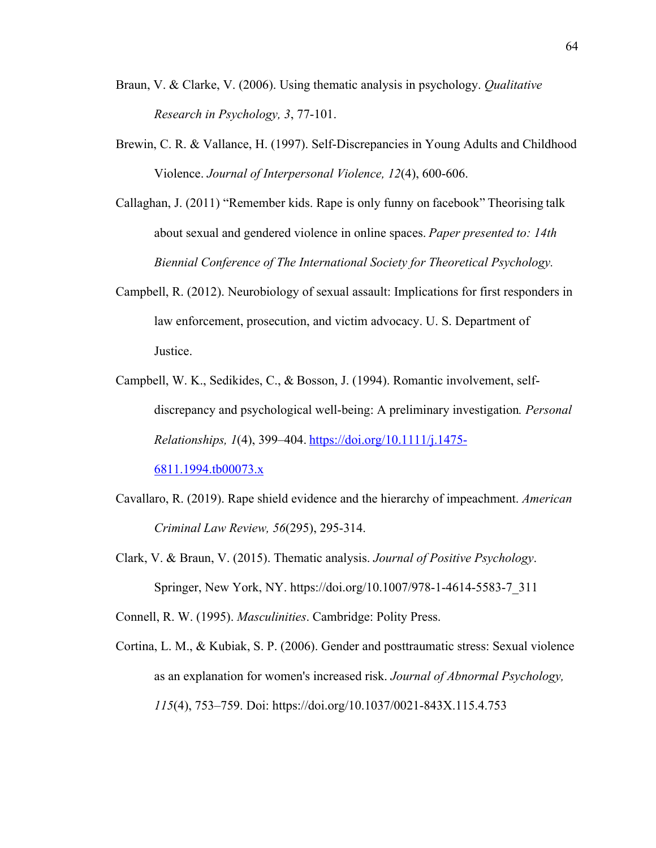- Braun, V. & Clarke, V. (2006). Using thematic analysis in psychology. *Qualitative Research in Psychology, 3*, 77-101.
- Brewin, C. R. & Vallance, H. (1997). Self-Discrepancies in Young Adults and Childhood Violence. *Journal of Interpersonal Violence, 12*(4), 600-606.
- Callaghan, J. (2011) "Remember kids. Rape is only funny on facebook" Theorising talk about sexual and gendered violence in online spaces. *Paper presented to: 14th Biennial Conference of The International Society for Theoretical Psychology.*
- Campbell, R. (2012). Neurobiology of sexual assault: Implications for first responders in law enforcement, prosecution, and victim advocacy. U. S. Department of Justice.
- Campbell, W. K., Sedikides, C., & Bosson, J. (1994). Romantic involvement, selfdiscrepancy and psychological well-being: A preliminary investigation*. Personal Relationships, 1*(4), 399–404. https://doi.org/10.1111/j.1475- 6811.1994.tb00073.x
- Cavallaro, R. (2019). Rape shield evidence and the hierarchy of impeachment. *American Criminal Law Review, 56*(295), 295-314.
- Clark, V. & Braun, V. (2015). Thematic analysis. *Journal of Positive Psychology*. Springer, New York, NY. https://doi.org/10.1007/978-1-4614-5583-7\_311

Connell, R. W. (1995). *Masculinities*. Cambridge: Polity Press.

Cortina, L. M., & Kubiak, S. P. (2006). Gender and posttraumatic stress: Sexual violence as an explanation for women's increased risk. *Journal of Abnormal Psychology, 115*(4), 753–759. Doi: https://doi.org/10.1037/0021-843X.115.4.753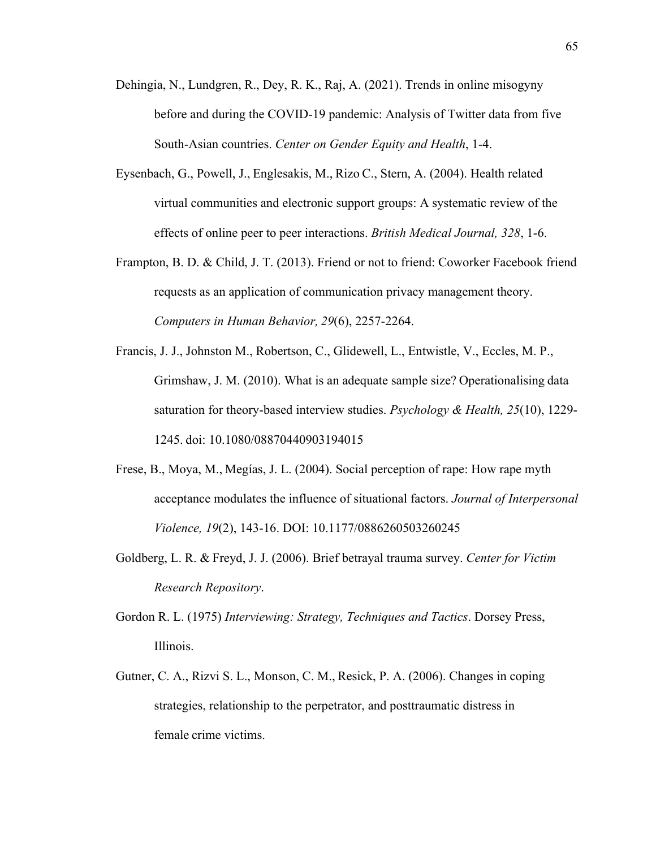- Dehingia, N., Lundgren, R., Dey, R. K., Raj, A. (2021). Trends in online misogyny before and during the COVID-19 pandemic: Analysis of Twitter data from five South-Asian countries. *Center on Gender Equity and Health*, 1-4.
- Eysenbach, G., Powell, J., Englesakis, M., Rizo C., Stern, A. (2004). Health related virtual communities and electronic support groups: A systematic review of the effects of online peer to peer interactions. *British Medical Journal, 328*, 1-6.
- Frampton, B. D. & Child, J. T. (2013). Friend or not to friend: Coworker Facebook friend requests as an application of communication privacy management theory. *Computers in Human Behavior, 29*(6), 2257-2264.
- Francis, J. J., Johnston M., Robertson, C., Glidewell, L., Entwistle, V., Eccles, M. P., Grimshaw, J. M. (2010). What is an adequate sample size? Operationalising data saturation for theory-based interview studies. *Psychology & Health, 25*(10), 1229- 1245. doi: 10.1080/08870440903194015
- Frese, B., Moya, M., Megías, J. L. (2004). Social perception of rape: How rape myth acceptance modulates the influence of situational factors. *Journal of Interpersonal Violence, 19*(2), 143-16. DOI: 10.1177/0886260503260245
- Goldberg, L. R. & Freyd, J. J. (2006). Brief betrayal trauma survey. *Center for Victim Research Repository*.
- Gordon R. L. (1975) *Interviewing: Strategy, Techniques and Tactics*. Dorsey Press, Illinois.
- Gutner, C. A., Rizvi S. L., Monson, C. M., Resick, P. A. (2006). Changes in coping strategies, relationship to the perpetrator, and posttraumatic distress in female crime victims.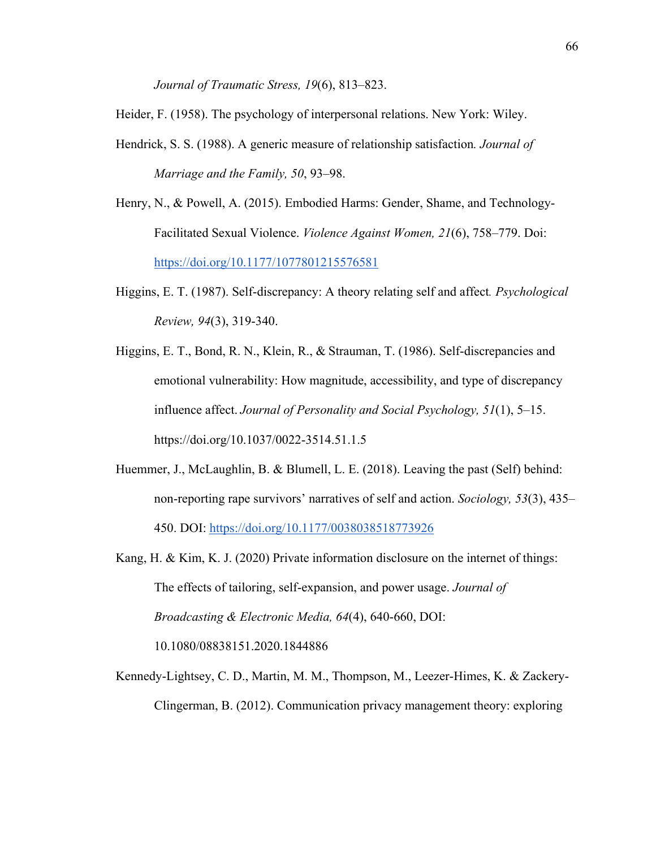*Journal of Traumatic Stress, 19*(6), 813–823.

Heider, F. (1958). The psychology of interpersonal relations. New York: Wiley.

- Hendrick, S. S. (1988). A generic measure of relationship satisfaction*. Journal of Marriage and the Family, 50*, 93–98.
- Henry, N., & Powell, A. (2015). Embodied Harms: Gender, Shame, and Technology-Facilitated Sexual Violence. *Violence Against Women, 21*(6), 758–779. Doi: https://doi.org/10.1177/1077801215576581
- Higgins, E. T. (1987). Self-discrepancy: A theory relating self and affect*. Psychological Review, 94*(3), 319-340.
- Higgins, E. T., Bond, R. N., Klein, R., & Strauman, T. (1986). Self-discrepancies and emotional vulnerability: How magnitude, accessibility, and type of discrepancy influence affect.*Journal of Personality and Social Psychology, 51*(1), 5–15. https://doi.org/10.1037/0022-3514.51.1.5
- Huemmer, J., McLaughlin, B. & Blumell, L. E. (2018). Leaving the past (Self) behind: non-reporting rape survivors' narratives of self and action. *Sociology, 53*(3), 435– 450. DOI: https://doi.org/10.1177/0038038518773926
- Kang, H. & Kim, K. J. (2020) Private information disclosure on the internet of things: The effects of tailoring, self-expansion, and power usage. *Journal of Broadcasting & Electronic Media, 64*(4), 640-660, DOI: 10.1080/08838151.2020.1844886
- Kennedy-Lightsey, C. D., Martin, M. M., Thompson, M., Leezer-Himes, K. & Zackery-Clingerman, B. (2012). Communication privacy management theory: exploring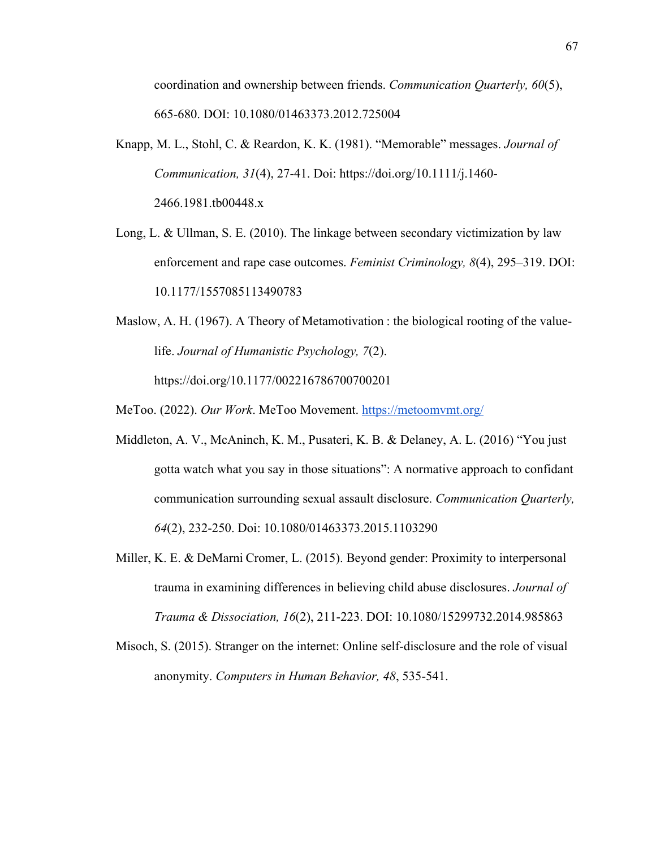coordination and ownership between friends. *Communication Quarterly, 60*(5), 665-680. DOI: 10.1080/01463373.2012.725004

- Knapp, M. L., Stohl, C. & Reardon, K. K. (1981). "Memorable" messages. *Journal of Communication, 31*(4), 27-41. Doi: https://doi.org/10.1111/j.1460- 2466.1981.tb00448.x
- Long, L. & Ullman, S. E. (2010). The linkage between secondary victimization by law enforcement and rape case outcomes. *Feminist Criminology, 8*(4), 295–319. DOI: 10.1177/1557085113490783
- Maslow, A. H. (1967). A Theory of Metamotivation : the biological rooting of the valuelife. *Journal of Humanistic Psychology, 7*(2). https://doi.org/10.1177/002216786700700201
- MeToo. (2022). *Our Work*. MeToo Movement. https://metoomvmt.org/
- Middleton, A. V., McAninch, K. M., Pusateri, K. B. & Delaney, A. L. (2016) "You just gotta watch what you say in those situations": A normative approach to confidant communication surrounding sexual assault disclosure. *Communication Quarterly, 64*(2), 232-250. Doi: 10.1080/01463373.2015.1103290
- Miller, K. E. & DeMarni Cromer, L. (2015). Beyond gender: Proximity to interpersonal trauma in examining differences in believing child abuse disclosures. *Journal of Trauma & Dissociation, 16*(2), 211-223. DOI: 10.1080/15299732.2014.985863
- Misoch, S. (2015). Stranger on the internet: Online self-disclosure and the role of visual anonymity. *Computers in Human Behavior, 48*, 535-541.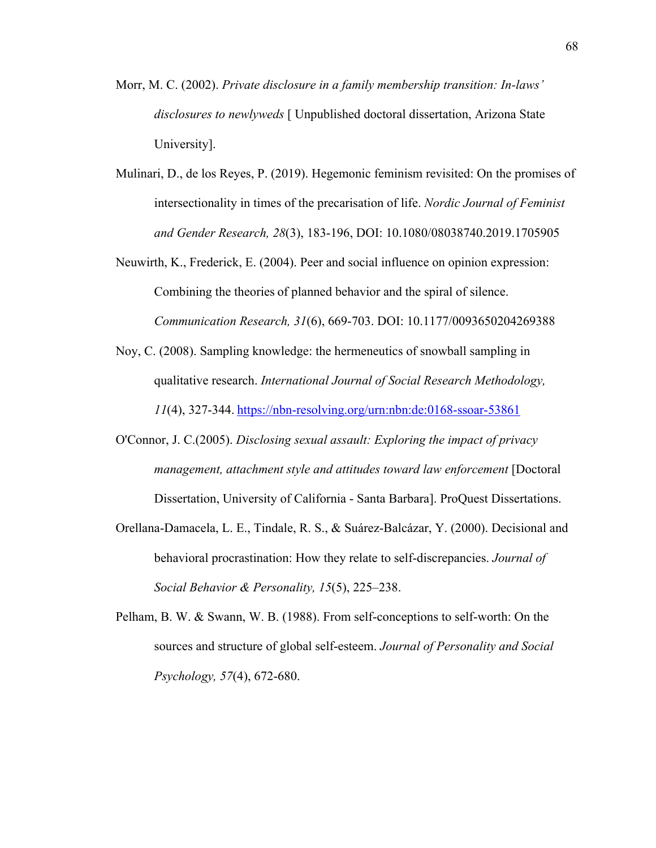- Morr, M. C. (2002). *Private disclosure in a family membership transition: In-laws' disclosures to newlyweds* [ Unpublished doctoral dissertation, Arizona State University].
- Mulinari, D., de los Reyes, P. (2019). Hegemonic feminism revisited: On the promises of intersectionality in times of the precarisation of life. *Nordic Journal of Feminist and Gender Research, 28*(3), 183-196, DOI: 10.1080/08038740.2019.1705905
- Neuwirth, K., Frederick, E. (2004). Peer and social influence on opinion expression: Combining the theories of planned behavior and the spiral of silence. *Communication Research, 31*(6), 669-703. DOI: 10.1177/0093650204269388
- Noy, C. (2008). Sampling knowledge: the hermeneutics of snowball sampling in qualitative research. *International Journal of Social Research Methodology, 11*(4), 327-344. https://nbn-resolving.org/urn:nbn:de:0168-ssoar-53861
- O'Connor, J. C.(2005). *Disclosing sexual assault: Exploring the impact of privacy management, attachment style and attitudes toward law enforcement* [Doctoral Dissertation, University of California - Santa Barbara]. ProQuest Dissertations.
- Orellana-Damacela, L. E., Tindale, R. S., & Suárez-Balcázar, Y. (2000). Decisional and behavioral procrastination: How they relate to self-discrepancies. *Journal of Social Behavior & Personality, 15*(5), 225–238.
- Pelham, B. W. & Swann, W. B. (1988). From self-conceptions to self-worth: On the sources and structure of global self-esteem. *Journal of Personality and Social Psychology, 57*(4), 672-680.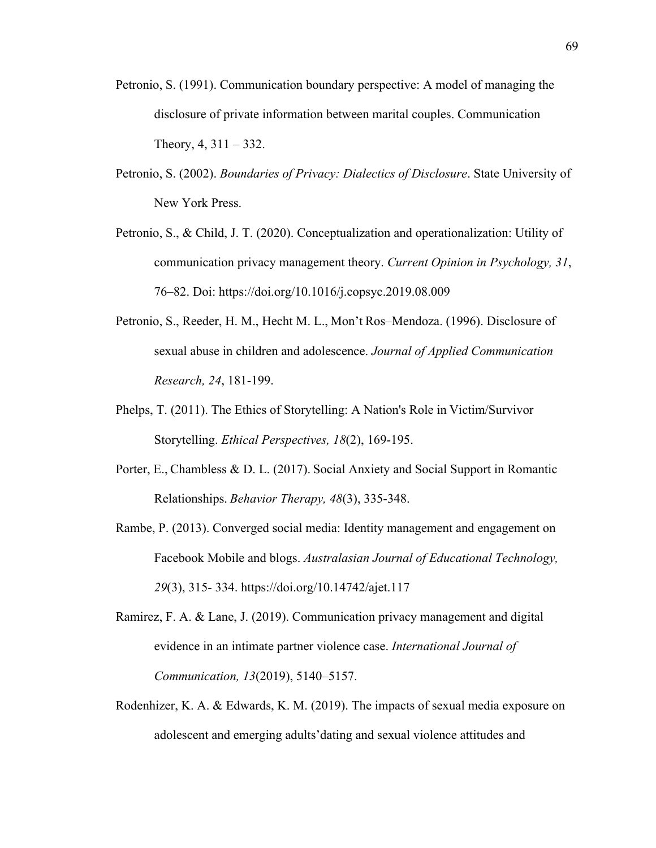- Petronio, S. (1991). Communication boundary perspective: A model of managing the disclosure of private information between marital couples. Communication Theory,  $4, 311 - 332$ .
- Petronio, S. (2002). *Boundaries of Privacy: Dialectics of Disclosure*. State University of New York Press.
- Petronio, S., & Child, J. T. (2020). Conceptualization and operationalization: Utility of communication privacy management theory. *Current Opinion in Psychology, 31*, 76–82. Doi: https://doi.org/10.1016/j.copsyc.2019.08.009
- Petronio, S., Reeder, H. M., Hecht M. L., Mon't Ros–Mendoza. (1996). Disclosure of sexual abuse in children and adolescence. *Journal of Applied Communication Research, 24*, 181-199.
- Phelps, T. (2011). The Ethics of Storytelling: A Nation's Role in Victim/Survivor Storytelling. *Ethical Perspectives, 18*(2), 169-195.
- Porter, E., Chambless & D. L. (2017). Social Anxiety and Social Support in Romantic Relationships. *Behavior Therapy, 48*(3), 335-348.
- Rambe, P. (2013). Converged social media: Identity management and engagement on Facebook Mobile and blogs. *Australasian Journal of Educational Technology, 29*(3), 315- 334. https://doi.org/10.14742/ajet.117
- Ramirez, F. A. & Lane, J. (2019). Communication privacy management and digital evidence in an intimate partner violence case. *International Journal of Communication, 13*(2019), 5140–5157.
- Rodenhizer, K. A. & Edwards, K. M. (2019). The impacts of sexual media exposure on adolescent and emerging adults'dating and sexual violence attitudes and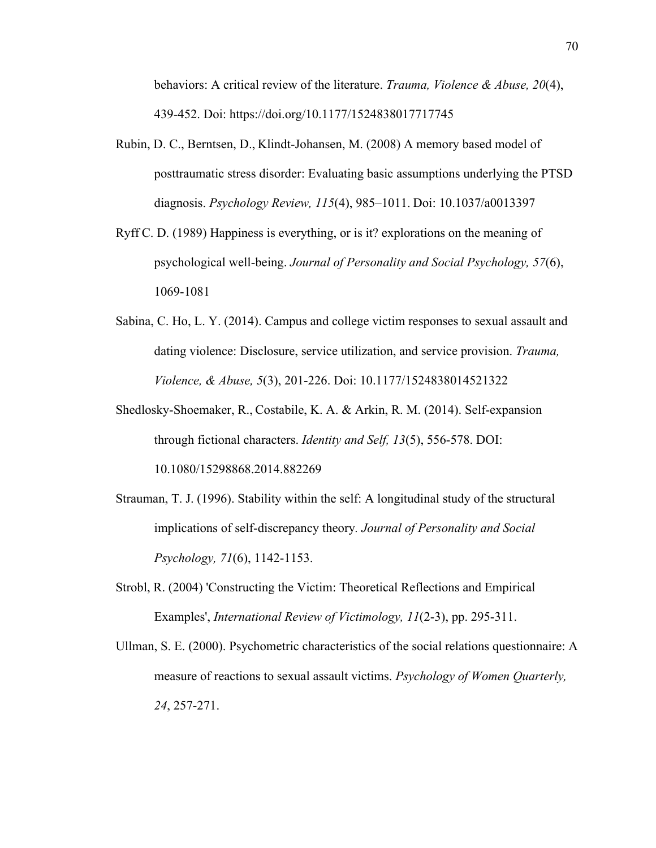behaviors: A critical review of the literature. *Trauma, Violence & Abuse, 20*(4), 439-452. Doi: https://doi.org/10.1177/1524838017717745

- Rubin, D. C., Berntsen, D., Klindt-Johansen, M. (2008) A memory based model of posttraumatic stress disorder: Evaluating basic assumptions underlying the PTSD diagnosis. *Psychology Review, 115*(4), 985–1011. Doi: 10.1037/a0013397
- Ryff C. D. (1989) Happiness is everything, or is it? explorations on the meaning of psychological well-being. *Journal of Personality and Social Psychology, 57*(6), 1069-1081
- Sabina, C. Ho, L. Y. (2014). Campus and college victim responses to sexual assault and dating violence: Disclosure, service utilization, and service provision. *Trauma, Violence, & Abuse, 5*(3), 201-226. Doi: 10.1177/1524838014521322
- Shedlosky-Shoemaker, R., Costabile, K. A. & Arkin, R. M. (2014). Self-expansion through fictional characters. *Identity and Self, 13*(5), 556-578. DOI: 10.1080/15298868.2014.882269
- Strauman, T. J. (1996). Stability within the self: A longitudinal study of the structural implications of self-discrepancy theory*. Journal of Personality and Social Psychology, 71*(6), 1142-1153.
- Strobl, R. (2004) 'Constructing the Victim: Theoretical Reflections and Empirical Examples', *International Review of Victimology, 11*(2-3), pp. 295-311.
- Ullman, S. E. (2000). Psychometric characteristics of the social relations questionnaire: A measure of reactions to sexual assault victims. *Psychology of Women Quarterly, 24*, 257-271.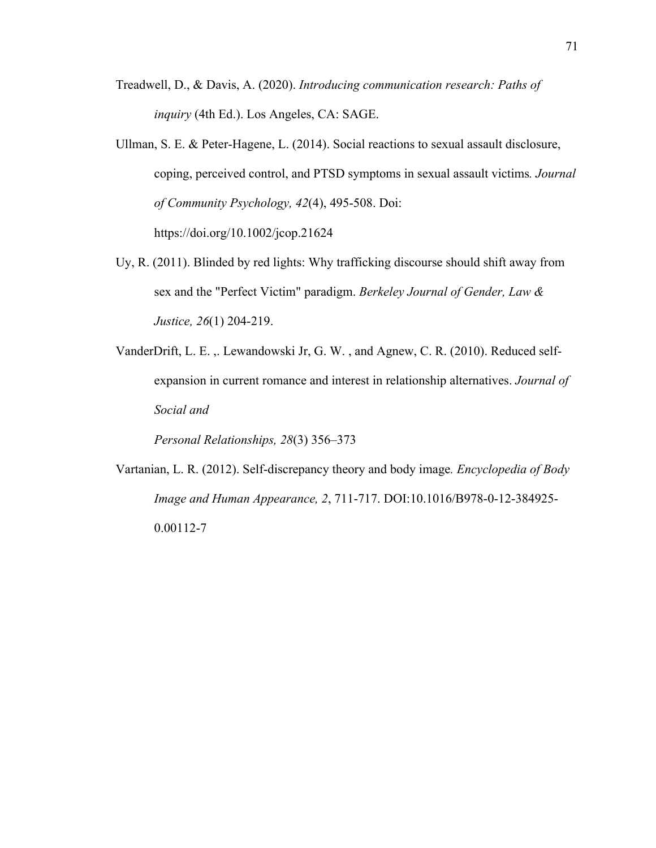- Treadwell, D., & Davis, A. (2020). *Introducing communication research: Paths of inquiry* (4th Ed.). Los Angeles, CA: SAGE.
- Ullman, S. E. & Peter-Hagene, L. (2014). Social reactions to sexual assault disclosure, coping, perceived control, and PTSD symptoms in sexual assault victims*. Journal of Community Psychology, 42*(4), 495-508. Doi: https://doi.org/10.1002/jcop.21624
- Uy, R. (2011). Blinded by red lights: Why trafficking discourse should shift away from sex and the "Perfect Victim" paradigm. *Berkeley Journal of Gender, Law & Justice, 26*(1) 204-219.
- VanderDrift, L. E. ,. Lewandowski Jr, G. W. , and Agnew, C. R. (2010). Reduced selfexpansion in current romance and interest in relationship alternatives. *Journal of Social and*

*Personal Relationships, 28*(3) 356–373

Vartanian, L. R. (2012). Self-discrepancy theory and body image*. Encyclopedia of Body Image and Human Appearance, 2*, 711-717. DOI:10.1016/B978-0-12-384925- 0.00112-7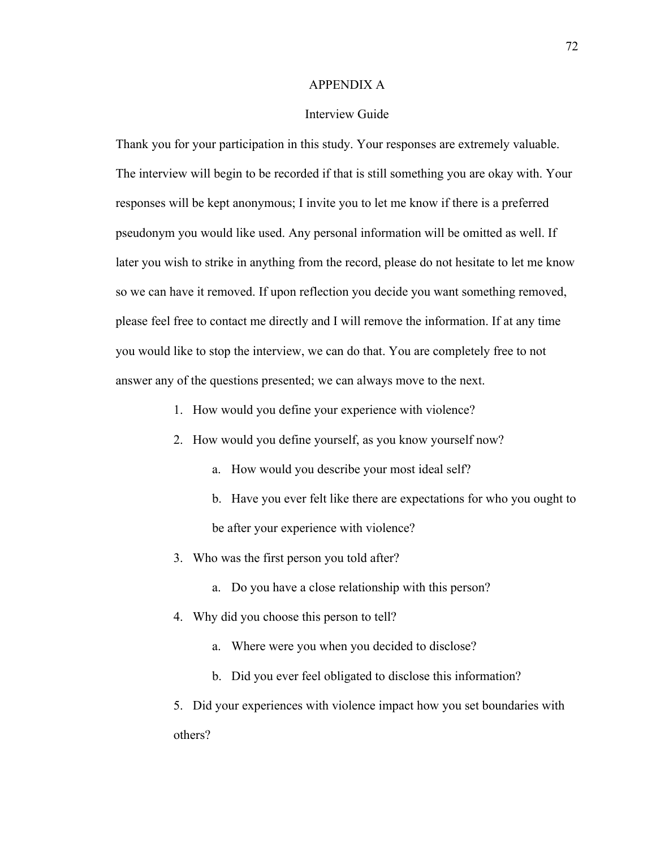#### APPENDIX A

### Interview Guide

Thank you for your participation in this study. Your responses are extremely valuable. The interview will begin to be recorded if that is still something you are okay with. Your responses will be kept anonymous; I invite you to let me know if there is a preferred pseudonym you would like used. Any personal information will be omitted as well. If later you wish to strike in anything from the record, please do not hesitate to let me know so we can have it removed. If upon reflection you decide you want something removed, please feel free to contact me directly and I will remove the information. If at any time you would like to stop the interview, we can do that. You are completely free to not answer any of the questions presented; we can always move to the next.

- 1. How would you define your experience with violence?
- 2. How would you define yourself, as you know yourself now?
	- a. How would you describe your most ideal self?
	- b. Have you ever felt like there are expectations for who you ought to be after your experience with violence?
- 3. Who was the first person you told after?
	- a. Do you have a close relationship with this person?
- 4. Why did you choose this person to tell?
	- a. Where were you when you decided to disclose?
	- b. Did you ever feel obligated to disclose this information?
- 5. Did your experiences with violence impact how you set boundaries with others?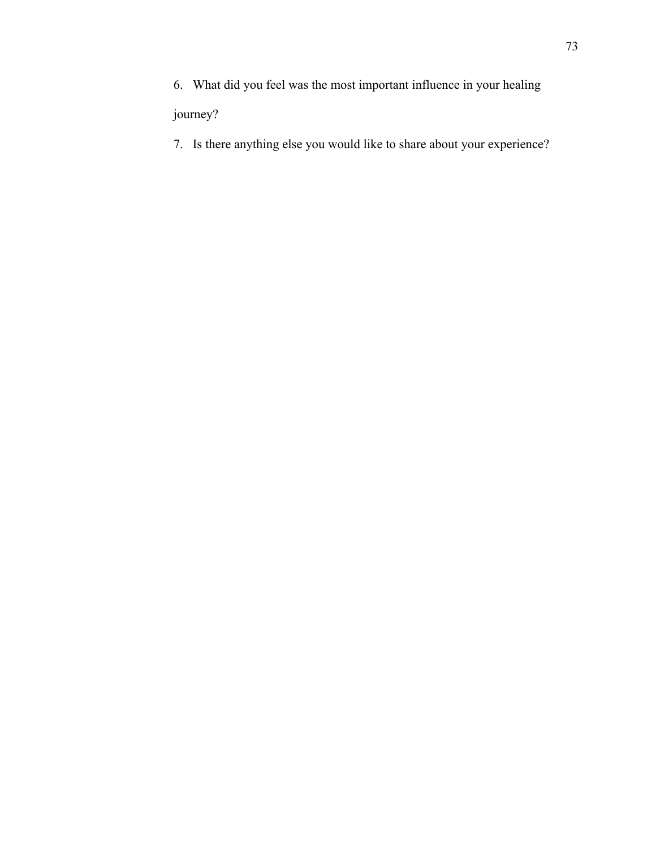6. What did you feel was the most important influence in your healing

# journey?

7. Is there anything else you would like to share about your experience?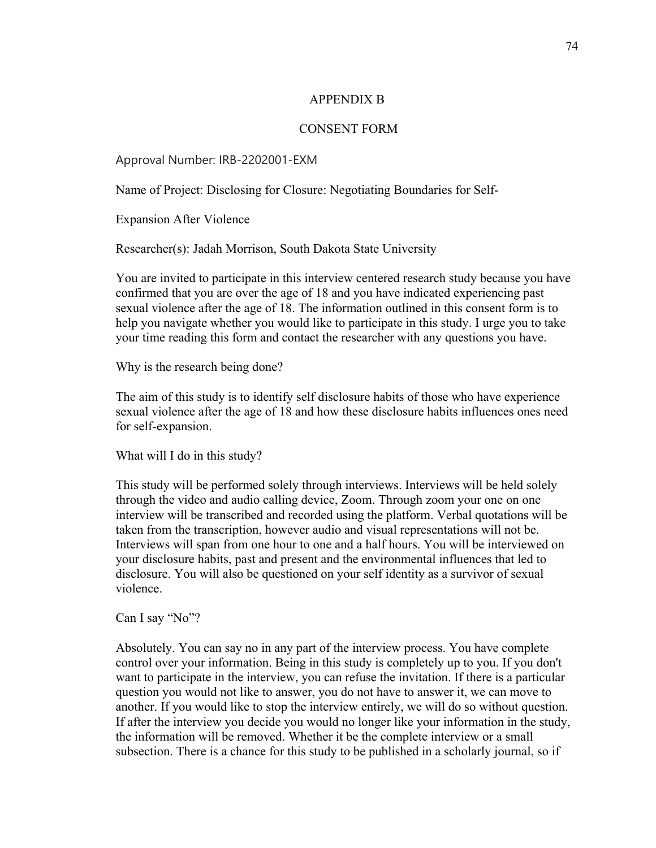## APPENDIX B

## CONSENT FORM

Approval Number: IRB-2202001-EXM

Name of Project: Disclosing for Closure: Negotiating Boundaries for Self-

Expansion After Violence

Researcher(s): Jadah Morrison, South Dakota State University

You are invited to participate in this interview centered research study because you have confirmed that you are over the age of 18 and you have indicated experiencing past sexual violence after the age of 18. The information outlined in this consent form is to help you navigate whether you would like to participate in this study. I urge you to take your time reading this form and contact the researcher with any questions you have.

Why is the research being done?

The aim of this study is to identify self disclosure habits of those who have experience sexual violence after the age of 18 and how these disclosure habits influences ones need for self-expansion.

What will I do in this study?

This study will be performed solely through interviews. Interviews will be held solely through the video and audio calling device, Zoom. Through zoom your one on one interview will be transcribed and recorded using the platform. Verbal quotations will be taken from the transcription, however audio and visual representations will not be. Interviews will span from one hour to one and a half hours. You will be interviewed on your disclosure habits, past and present and the environmental influences that led to disclosure. You will also be questioned on your self identity as a survivor of sexual violence.

Can I say "No"?

Absolutely. You can say no in any part of the interview process. You have complete control over your information. Being in this study is completely up to you. If you don't want to participate in the interview, you can refuse the invitation. If there is a particular question you would not like to answer, you do not have to answer it, we can move to another. If you would like to stop the interview entirely, we will do so without question. If after the interview you decide you would no longer like your information in the study, the information will be removed. Whether it be the complete interview or a small subsection. There is a chance for this study to be published in a scholarly journal, so if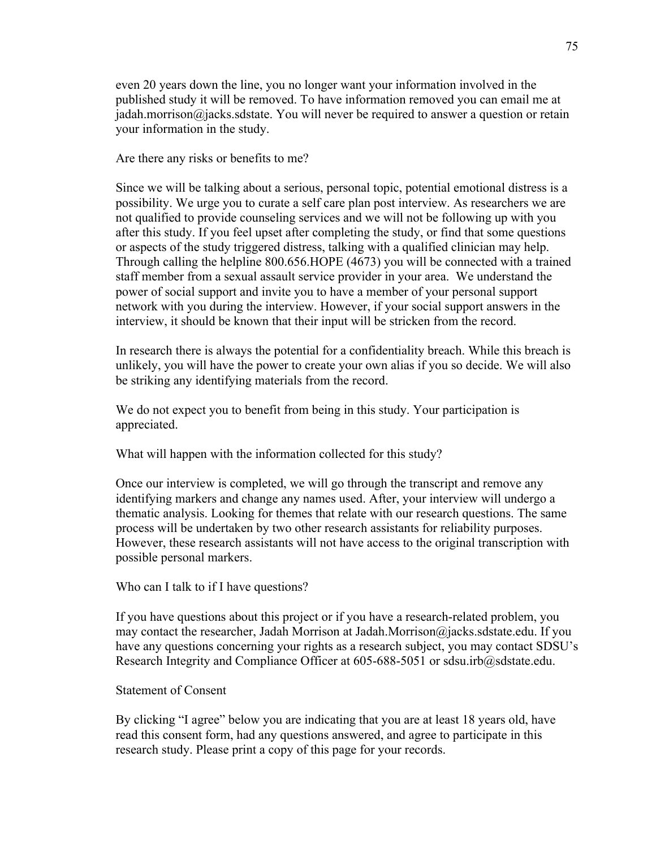even 20 years down the line, you no longer want your information involved in the published study it will be removed. To have information removed you can email me at jadah.morrison@jacks.sdstate. You will never be required to answer a question or retain your information in the study.

Are there any risks or benefits to me?

Since we will be talking about a serious, personal topic, potential emotional distress is a possibility. We urge you to curate a self care plan post interview. As researchers we are not qualified to provide counseling services and we will not be following up with you after this study. If you feel upset after completing the study, or find that some questions or aspects of the study triggered distress, talking with a qualified clinician may help. Through calling the helpline 800.656.HOPE (4673) you will be connected with a trained staff member from a sexual assault service provider in your area. We understand the power of social support and invite you to have a member of your personal support network with you during the interview. However, if your social support answers in the interview, it should be known that their input will be stricken from the record.

In research there is always the potential for a confidentiality breach. While this breach is unlikely, you will have the power to create your own alias if you so decide. We will also be striking any identifying materials from the record.

We do not expect you to benefit from being in this study. Your participation is appreciated.

What will happen with the information collected for this study?

Once our interview is completed, we will go through the transcript and remove any identifying markers and change any names used. After, your interview will undergo a thematic analysis. Looking for themes that relate with our research questions. The same process will be undertaken by two other research assistants for reliability purposes. However, these research assistants will not have access to the original transcription with possible personal markers.

Who can I talk to if I have questions?

If you have questions about this project or if you have a research-related problem, you may contact the researcher, Jadah Morrison at Jadah.Morrison@jacks.sdstate.edu. If you have any questions concerning your rights as a research subject, you may contact SDSU's Research Integrity and Compliance Officer at 605-688-5051 or sdsu.irb@sdstate.edu.

### Statement of Consent

By clicking "I agree" below you are indicating that you are at least 18 years old, have read this consent form, had any questions answered, and agree to participate in this research study. Please print a copy of this page for your records.